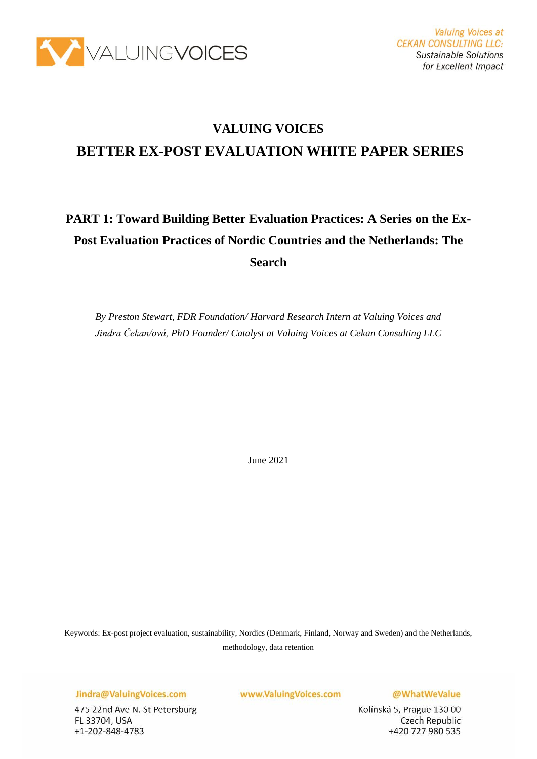

### **VALUING VOICES**

### **BETTER EX-POST EVALUATION WHITE PAPER SERIES**

# **PART 1: Toward Building Better Evaluation Practices: A Series on the Ex-Post Evaluation Practices of Nordic Countries and the Netherlands: The Search**

*By Preston Stewart, FDR Foundation/ Harvard Research Intern at Valuing Voices and Jindra Čekan/ová, PhD Founder/ Catalyst at Valuing Voices at Cekan Consulting LLC*

June 2021

Keywords: Ex-post project evaluation, sustainability, Nordics (Denmark, Finland, Norway and Sweden) and the Netherlands, methodology, data retention

Jindra@ValuingVoices.com

475 22nd Ave N. St Petersburg FL 33704, USA +1-202-848-4783

www.ValuingVoices.com

@WhatWeValue

Kolínská 5, Prague 130 00 Czech Republic +420 727 980 535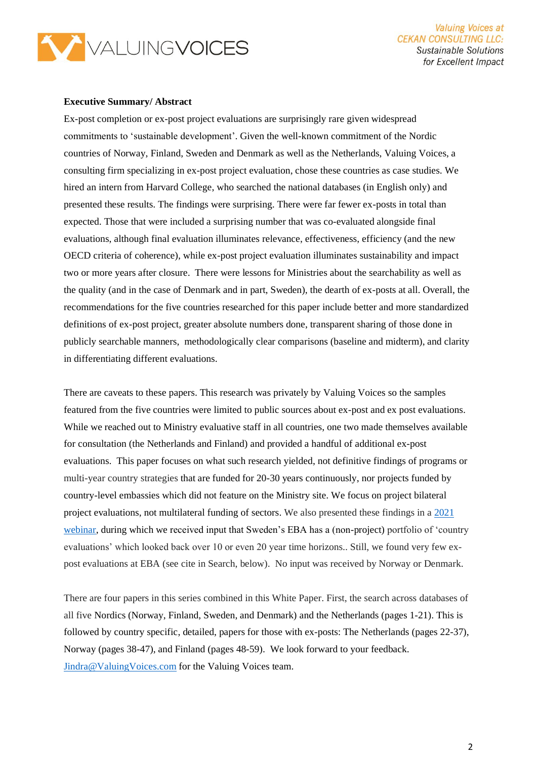

**Valuing Voices at CEKAN CONSULTING LLC: Sustainable Solutions** for Excellent Impact

#### **Executive Summary/ Abstract**

Ex-post completion or ex-post project evaluations are surprisingly rare given widespread commitments to 'sustainable development'. Given the well-known commitment of the Nordic countries of Norway, Finland, Sweden and Denmark as well as the Netherlands, Valuing Voices, a consulting firm specializing in ex-post project evaluation, chose these countries as case studies. We hired an intern from Harvard College, who searched the national databases (in English only) and presented these results. The findings were surprising. There were far fewer ex-posts in total than expected. Those that were included a surprising number that was co-evaluated alongside final evaluations, although final evaluation illuminates relevance, effectiveness, efficiency (and the new OECD criteria of coherence), while ex-post project evaluation illuminates sustainability and impact two or more years after closure. There were lessons for Ministries about the searchability as well as the quality (and in the case of Denmark and in part, Sweden), the dearth of ex-posts at all. Overall, the recommendations for the five countries researched for this paper include better and more standardized definitions of ex-post project, greater absolute numbers done, transparent sharing of those done in publicly searchable manners, methodologically clear comparisons (baseline and midterm), and clarity in differentiating different evaluations.

There are caveats to these papers. This research was privately by Valuing Voices so the samples featured from the five countries were limited to public sources about ex-post and ex post evaluations. While we reached out to Ministry evaluative staff in all countries, one two made themselves available for consultation (the Netherlands and Finland) and provided a handful of additional ex-post evaluations. This paper focuses on what such research yielded, not definitive findings of programs or multi-year country strategies that are funded for 20-30 years continuously, nor projects funded by country-level embassies which did not feature on the Ministry site. We focus on project bilateral project evaluations, not multilateral funding of sectors. We also presented these findings in a [2021](https://valuingvoices.com/upcoming-jan-webinar-lessons-from-nordic-the-netherlands-ex-post-project-evaluations-14-jan-2021/)  [webinar,](https://valuingvoices.com/upcoming-jan-webinar-lessons-from-nordic-the-netherlands-ex-post-project-evaluations-14-jan-2021/) during which we received input that Sweden's EBA has a (non-project) portfolio of 'country evaluations' which looked back over 10 or even 20 year time horizons.. Still, we found very few expost evaluations at EBA (see cite in Search, below). No input was received by Norway or Denmark.

There are four papers in this series combined in this White Paper. First, the search across databases of all five Nordics (Norway, Finland, Sweden, and Denmark) and the Netherlands (pages 1-21). This is followed by country specific, detailed, papers for those with ex-posts: The Netherlands (pages 22-37), Norway (pages 38-47), and Finland (pages 48-59). We look forward to your feedback. [Jindra@ValuingVoices.com](mailto:Jindra@ValuingVoices.com) for the Valuing Voices team.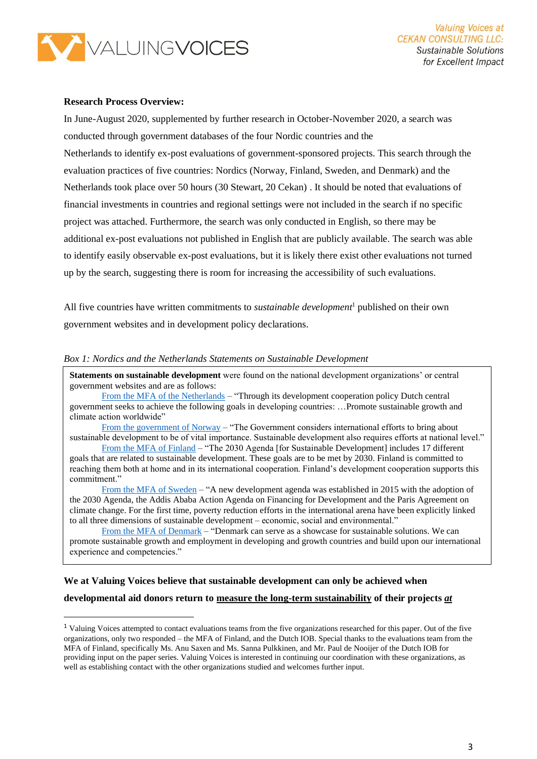

#### **Research Process Overview:**

In June-August 2020, supplemented by further research in October-November 2020, a search was conducted through government databases of the four Nordic countries and the Netherlands to identify ex-post evaluations of government-sponsored projects. This search through the evaluation practices of five countries: Nordics (Norway, Finland, Sweden, and Denmark) and the Netherlands took place over 50 hours (30 Stewart, 20 Cekan) . It should be noted that evaluations of financial investments in countries and regional settings were not included in the search if no specific project was attached. Furthermore, the search was only conducted in English, so there may be additional ex-post evaluations not published in English that are publicly available. The search was able to identify easily observable ex-post evaluations, but it is likely there exist other evaluations not turned up by the search, suggesting there is room for increasing the accessibility of such evaluations.

All five countries have written commitments to *sustainable development*<sup>1</sup> published on their own government websites and in development policy declarations.

#### *Box 1: Nordics and the Netherlands Statements on Sustainable Development*

**Statements on sustainable development** were found on the national development organizations' or central government websites and are as follows:

[From the MFA of the Netherlands](https://www.government.nl/topics/development-cooperation/the-development-policy-of-the-netherlands) – "Through its development cooperation policy Dutch central government seeks to achieve the following goals in developing countries: …Promote sustainable growth and climate action worldwide"

[From the government of Norway](https://www.regjeringen.no/globalassets/upload/fin/berekraftig/nat_action.pdf) – "The Government considers international efforts to bring about sustainable development to be of vital importance. Sustainable development also requires efforts at national level."

[From the MFA of Finland](https://um.fi/agenda-2030-sustainable-development-goals) – "The 2030 Agenda [for Sustainable Development] includes 17 different goals that are related to sustainable development. These goals are to be met by 2030. Finland is committed to reaching them both at home and in its international cooperation. Finland's development cooperation supports this commitment."

[From the MFA of Sweden](https://www.government.se/49a184/contentassets/43972c7f81c34d51a82e6a7502860895/skr-60-engelsk-version_web.pdf) – "A new development agenda was established in 2015 with the adoption of the 2030 Agenda, the Addis Ababa Action Agenda on Financing for Development and the Paris Agreement on climate change. For the first time, poverty reduction efforts in the international arena have been explicitly linked to all three dimensions of sustainable development – economic, social and environmental."

[From the MFA of Denmark](https://um.dk/en/danida-en/sustainable%20growth/) – "Denmark can serve as a showcase for sustainable solutions. We can promote sustainable growth and employment in developing and growth countries and build upon our international experience and competencies."

### **We at Valuing Voices believe that sustainable development can only be achieved when developmental aid donors return to measure the long-term sustainability of their projects** *at*

<sup>1</sup> Valuing Voices attempted to contact evaluations teams from the five organizations researched for this paper. Out of the five organizations, only two responded – the MFA of Finland, and the Dutch IOB. Special thanks to the evaluations team from the MFA of Finland, specifically Ms. Anu Saxen and Ms. Sanna Pulkkinen, and Mr. Paul de Nooijer of the Dutch IOB for providing input on the paper series. Valuing Voices is interested in continuing our coordination with these organizations, as well as establishing contact with the other organizations studied and welcomes further input.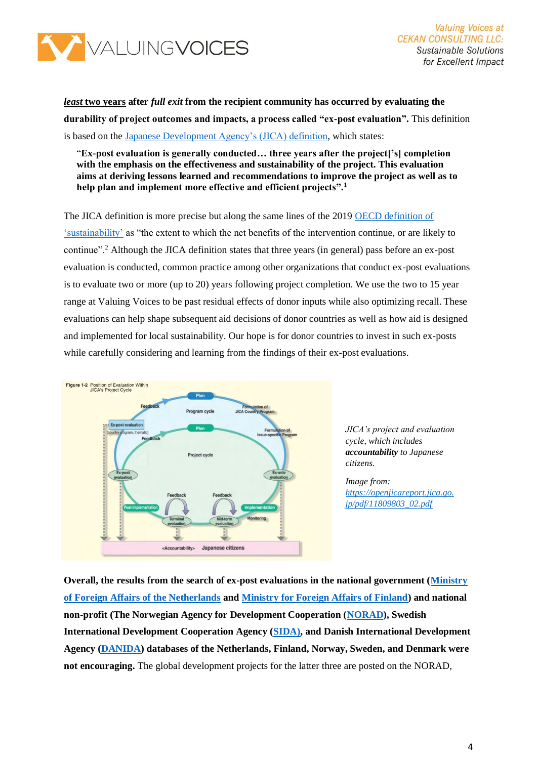

### *least* **two years after** *full exit* **from the recipient community has occurred by evaluating the durability of project outcomes and impacts, a process called "ex-post evaluation".** This definition is based on the [Japanese Development Agency's \(JICA\) definition,](https://www.jica.go.jp/english/our_work/evaluation/tech_and_grant/project/ex_post/index.html) which states:

#### "**Ex-post evaluation is generally conducted… three years after the project['s] completion with the emphasis on the effectiveness and sustainability of the project. This evaluation aims at deriving lessons learned and recommendations to improve the project as well as to help plan and implement more effective and efficient projects".<sup>1</sup>**

The JICA definition is more precise but along the same lines of the 2019 [OECD definition of](https://www.oecd.org/dac/evaluation/revised-evaluation-criteria-dec-2019.pdf)  ['sustainability'](https://www.oecd.org/dac/evaluation/revised-evaluation-criteria-dec-2019.pdf) as "the extent to which the net benefits of the intervention continue, or are likely to continue".<sup>2</sup> Although the JICA definition states that three years (in general) pass before an ex-post evaluation is conducted, common practice among other organizations that conduct ex-post evaluations is to evaluate two or more (up to 20) years following project completion. We use the two to 15 year range at Valuing Voices to be past residual effects of donor inputs while also optimizing recall. These evaluations can help shape subsequent aid decisions of donor countries as well as how aid is designed and implemented for local sustainability. Our hope is for donor countries to invest in such ex-posts while carefully considering and learning from the findings of their ex-post evaluations.



*JICA's project and evaluation cycle, which includes accountability to Japanese citizens.*

*Image from: [https://openjicareport.jica.go.](https://openjicareport.jica.go.jp/pdf/11809803_02.pdf) [jp/pdf/11809803\\_02.pdf](https://openjicareport.jica.go.jp/pdf/11809803_02.pdf)*

**Overall, the results from the search of ex-post evaluations in the national government [\(Ministry](https://www.government.nl/ministries/ministry-of-foreign-affairs)  [of Foreign Affairs of the Netherlands](https://www.government.nl/ministries/ministry-of-foreign-affairs) and [Ministry for Foreign Affairs of Finland\)](https://um.fi/frontpage) and national non-profit (The Norwegian Agency for Development Cooperation [\(NORAD\)](https://norad.no/en/front/), Swedish International Development Cooperation Agency [\(SIDA\)](https://www.sida.se/English/), and Danish International Development Agency [\(DANIDA\)](https://um.dk/en/danida-en/) databases of the Netherlands, Finland, Norway, Sweden, and Denmark were not encouraging.** The global development projects for the latter three are posted on the NORAD,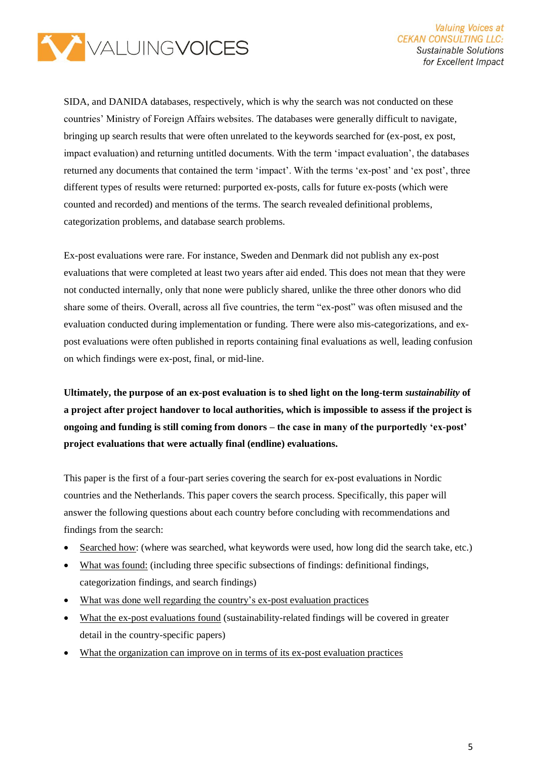

SIDA, and DANIDA databases, respectively, which is why the search was not conducted on these countries' Ministry of Foreign Affairs websites. The databases were generally difficult to navigate, bringing up search results that were often unrelated to the keywords searched for (ex-post, ex post, impact evaluation) and returning untitled documents. With the term 'impact evaluation', the databases returned any documents that contained the term 'impact'. With the terms 'ex-post' and 'ex post', three different types of results were returned: purported ex-posts, calls for future ex-posts (which were counted and recorded) and mentions of the terms. The search revealed definitional problems, categorization problems, and database search problems.

Ex-post evaluations were rare. For instance, Sweden and Denmark did not publish any ex-post evaluations that were completed at least two years after aid ended. This does not mean that they were not conducted internally, only that none were publicly shared, unlike the three other donors who did share some of theirs. Overall, across all five countries, the term "ex-post" was often misused and the evaluation conducted during implementation or funding. There were also mis-categorizations, and expost evaluations were often published in reports containing final evaluations as well, leading confusion on which findings were ex-post, final, or mid-line.

**Ultimately, the purpose of an ex-post evaluation is to shed light on the long-term** *sustainability* **of a project after project handover to local authorities, which is impossible to assess if the project is ongoing and funding is still coming from donors – the case in many of the purportedly 'ex-post' project evaluations that were actually final (endline) evaluations.**

This paper is the first of a four-part series covering the search for ex-post evaluations in Nordic countries and the Netherlands. This paper covers the search process. Specifically, this paper will answer the following questions about each country before concluding with recommendations and findings from the search:

- Searched how: (where was searched, what keywords were used, how long did the search take, etc.)
- What was found: (including three specific subsections of findings: definitional findings, categorization findings, and search findings)
- What was done well regarding the country's ex-post evaluation practices
- What the ex-post evaluations found (sustainability-related findings will be covered in greater detail in the country-specific papers)
- What the organization can improve on in terms of its ex-post evaluation practices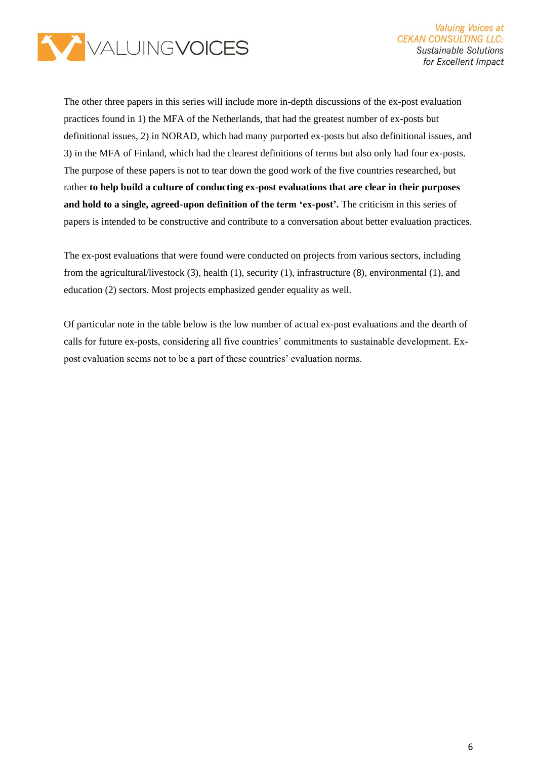

The other three papers in this series will include more in-depth discussions of the ex-post evaluation practices found in 1) the MFA of the Netherlands, that had the greatest number of ex-posts but definitional issues, 2) in NORAD, which had many purported ex-posts but also definitional issues, and 3) in the MFA of Finland, which had the clearest definitions of terms but also only had four ex-posts. The purpose of these papers is not to tear down the good work of the five countries researched, but rather **to help build a culture of conducting ex-post evaluations that are clear in their purposes and hold to a single, agreed-upon definition of the term 'ex-post'.** The criticism in this series of papers is intended to be constructive and contribute to a conversation about better evaluation practices.

The ex-post evaluations that were found were conducted on projects from various sectors, including from the agricultural/livestock (3), health (1), security (1), infrastructure (8), environmental (1), and education (2) sectors. Most projects emphasized gender equality as well.

Of particular note in the table below is the low number of actual ex-post evaluations and the dearth of calls for future ex-posts, considering all five countries' commitments to sustainable development. Expost evaluation seems not to be a part of these countries' evaluation norms.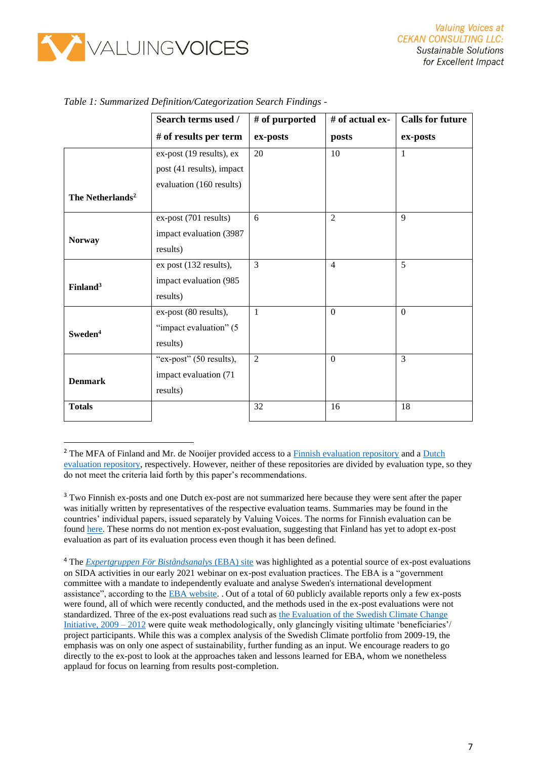

|                              | Search terms used /       | # of purported | # of actual ex- | <b>Calls for future</b> |
|------------------------------|---------------------------|----------------|-----------------|-------------------------|
|                              | # of results per term     | ex-posts       | posts           | ex-posts                |
|                              | ex-post (19 results), ex  | 20             | 10              | 1                       |
|                              | post (41 results), impact |                |                 |                         |
|                              | evaluation (160 results)  |                |                 |                         |
| The Netherlands <sup>2</sup> |                           |                |                 |                         |
|                              | ex-post (701 results)     | 6              | $\overline{2}$  | 9                       |
| <b>Norway</b>                | impact evaluation (3987   |                |                 |                         |
|                              | results)                  |                |                 |                         |
|                              | ex post (132 results),    | $\overline{3}$ | $\overline{4}$  | 5                       |
| Finland <sup>3</sup>         | impact evaluation (985    |                |                 |                         |
|                              | results)                  |                |                 |                         |
|                              | ex-post (80 results),     | 1              | $\Omega$        | $\Omega$                |
| Sweden <sup>4</sup>          | "impact evaluation" (5    |                |                 |                         |
|                              | results)                  |                |                 |                         |
|                              | "ex-post" (50 results),   | 2              | $\Omega$        | $\overline{3}$          |
| <b>Denmark</b>               | impact evaluation (71     |                |                 |                         |
|                              | results)                  |                |                 |                         |
| <b>Totals</b>                |                           | 32             | 16              | 18                      |
|                              |                           |                |                 |                         |

|  |  | Table 1: Summarized Definition/Categorization Search Findings - |  |
|--|--|-----------------------------------------------------------------|--|
|  |  |                                                                 |  |

<sup>&</sup>lt;sup>2</sup> The MFA of Finland and Mr. de Nooijer provided access to a [Finnish evaluation repository](https://um.fi/development-cooperation-evaluation-reports-project-and-programme-evaluations) and a Dutch [evaluation repository,](http://archief.iob-evaluatie.nl/en/publicaties.html) respectively. However, neither of these repositories are divided by evaluation type, so they do not meet the criteria laid forth by this paper's recommendations.

<sup>&</sup>lt;sup>3</sup> Two Finnish ex-posts and one Dutch ex-post are not summarized here because they were sent after the paper was initially written by representatives of the respective evaluation teams. Summaries may be found in the countries' individual papers, issued separately by Valuing Voices. The norms for Finnish evaluation can be foun[d here.](https://um.fi/documents/35732/48132/development_evaluation_norm_2015/bd2579d5-ccb3-bb0f-540d-1db0513a3a76?t=1525690790183) These norms do not mention ex-post evaluation, suggesting that Finland has yet to adopt ex-post evaluation as part of its evaluation process even though it has been defined.

<sup>4</sup> The *[Expertgruppen För Biståndsanalys](https://eba.se/en/ebarapport/)* (EBA) site was highlighted as a potential source of ex-post evaluations on SIDA activities in our early 2021 webinar on ex-post evaluation practices. The EBA is a "government committee with a mandate to independently evaluate and analyse Sweden's international development assistance", according to the [EBA website.](https://eba.se/en/) . Out of a total of 60 publicly available reports only a few ex-posts were found, all of which were recently conducted, and the methods used in the ex-post evaluations were not standardized. Three of the ex-post evaluations read such as [the Evaluation of the Swedish Climate Change](https://eba.se/en/rapporter/evaluation-of-the-swedish-climate-change-initiative-2009-2012-3/11944/)  [Initiative, 2009 –](https://eba.se/en/rapporter/evaluation-of-the-swedish-climate-change-initiative-2009-2012-3/11944/) 2012 were quite weak methodologically, only glancingly visiting ultimate 'beneficiaries'/ project participants. While this was a complex analysis of the Swedish Climate portfolio from 2009-19, the emphasis was on only one aspect of sustainability, further funding as an input. We encourage readers to go directly to the ex-post to look at the approaches taken and lessons learned for EBA, whom we nonetheless applaud for focus on learning from results post-completion.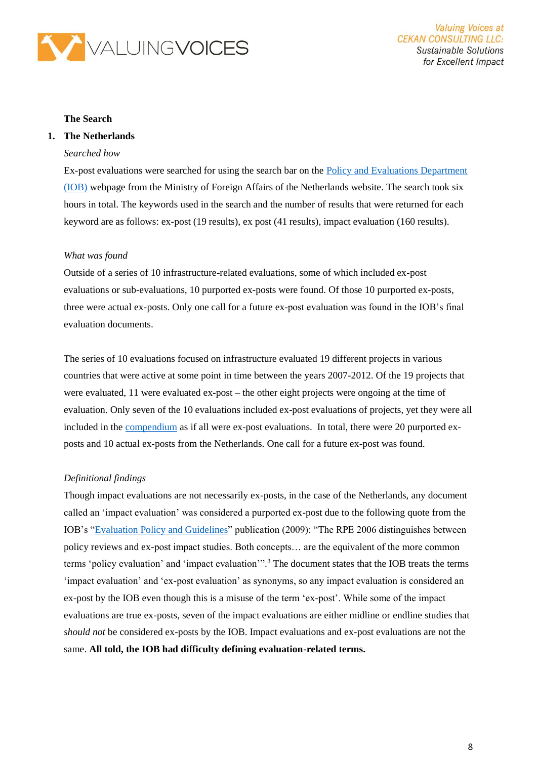

#### **The Search**

#### **1. The Netherlands**

#### *Searched how*

Ex-post evaluations were searched for using the search bar on the [Policy and Evaluations Department](https://english.iob-evaluatie.nl/)  [\(IOB\)](https://english.iob-evaluatie.nl/) webpage from the Ministry of Foreign Affairs of the Netherlands website. The search took six hours in total. The keywords used in the search and the number of results that were returned for each keyword are as follows: ex-post (19 results), ex post (41 results), impact evaluation (160 results).

#### *What was found*

Outside of a series of 10 infrastructure-related evaluations, some of which included ex-post evaluations or sub-evaluations, 10 purported ex-posts were found. Of those 10 purported ex-posts, three were actual ex-posts. Only one call for a future ex-post evaluation was found in the IOB's final evaluation documents.

The series of 10 evaluations focused on infrastructure evaluated 19 different projects in various countries that were active at some point in time between the years 2007-2012. Of the 19 projects that were evaluated, 11 were evaluated ex-post – the other eight projects were ongoing at the time of evaluation. Only seven of the 10 evaluations included ex-post evaluations of projects, yet they were all included in the [compendium](https://english.iob-evaluatie.nl/publications/sub-studies/2015/07/01/investing-in-public-infrastructure-country-case-studies) as if all were ex-post evaluations. In total, there were 20 purported exposts and 10 actual ex-posts from the Netherlands. One call for a future ex-post was found.

#### *Definitional findings*

Though impact evaluations are not necessarily ex-posts, in the case of the Netherlands, any document called an 'impact evaluation' was considered a purported ex-post due to the following quote from the IOB's ["Evaluation Policy and Guidelines"](https://english.iob-evaluatie.nl/publications/regulations/2009/10/01/evaluation-policy-and-guidelines) publication (2009): "The RPE 2006 distinguishes between policy reviews and ex-post impact studies. Both concepts… are the equivalent of the more common terms 'policy evaluation' and 'impact evaluation'".<sup>3</sup> The document states that the IOB treats the terms 'impact evaluation' and 'ex-post evaluation' as synonyms, so any impact evaluation is considered an ex-post by the IOB even though this is a misuse of the term 'ex-post'. While some of the impact evaluations are true ex-posts, seven of the impact evaluations are either midline or endline studies that *should not* be considered ex-posts by the IOB. Impact evaluations and ex-post evaluations are not the same. **All told, the IOB had difficulty defining evaluation-related terms.**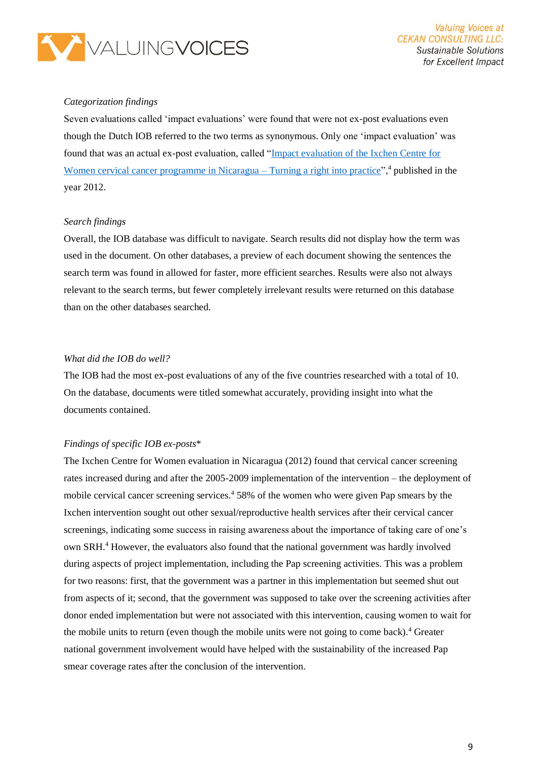

#### *Categorization findings*

Seven evaluations called 'impact evaluations' were found that were not ex-post evaluations even though the Dutch IOB referred to the two terms as synonymous. Only one 'impact evaluation' was found that was an actual ex-post evaluation, called ["Impact evaluation of the Ixchen Centre for](https://english.iob-evaluatie.nl/publications/evaluations/2012/10/01/371-%E2%80%93-impact-evaluation-of-the-ixchen-centre-for-women-cervical-cancer-programme-in-nicaragua-2005-2009-%E2%80%93-turning-a-right-into-practice-kopie)  [Women cervical cancer programme in Nicaragua –](https://english.iob-evaluatie.nl/publications/evaluations/2012/10/01/371-%E2%80%93-impact-evaluation-of-the-ixchen-centre-for-women-cervical-cancer-programme-in-nicaragua-2005-2009-%E2%80%93-turning-a-right-into-practice-kopie) Turning a right into practice",<sup>4</sup> published in the year 2012.

#### *Search findings*

Overall, the IOB database was difficult to navigate. Search results did not display how the term was used in the document. On other databases, a preview of each document showing the sentences the search term was found in allowed for faster, more efficient searches. Results were also not always relevant to the search terms, but fewer completely irrelevant results were returned on this database than on the other databases searched.

#### *What did the IOB do well?*

The IOB had the most ex-post evaluations of any of the five countries researched with a total of 10. On the database, documents were titled somewhat accurately, providing insight into what the documents contained.

#### *Findings of specific IOB ex-posts*\*

The Ixchen Centre for Women evaluation in Nicaragua (2012) found that cervical cancer screening rates increased during and after the 2005-2009 implementation of the intervention – the deployment of mobile cervical cancer screening services.<sup>4</sup> 58% of the women who were given Pap smears by the Ixchen intervention sought out other sexual/reproductive health services after their cervical cancer screenings, indicating some success in raising awareness about the importance of taking care of one's own SRH.<sup>4</sup> However, the evaluators also found that the national government was hardly involved during aspects of project implementation, including the Pap screening activities. This was a problem for two reasons: first, that the government was a partner in this implementation but seemed shut out from aspects of it; second, that the government was supposed to take over the screening activities after donor ended implementation but were not associated with this intervention, causing women to wait for the mobile units to return (even though the mobile units were not going to come back).<sup>4</sup> Greater national government involvement would have helped with the sustainability of the increased Pap smear coverage rates after the conclusion of the intervention.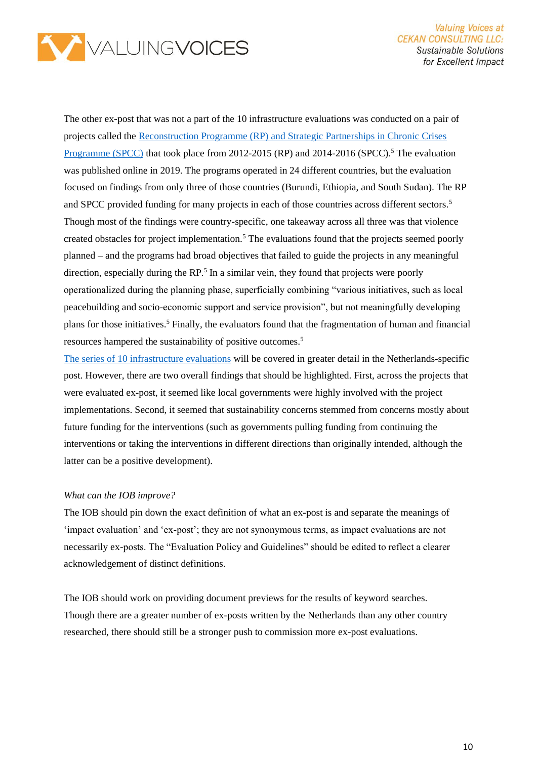

The other ex-post that was not a part of the 10 infrastructure evaluations was conducted on a pair of projects called the [Reconstruction Programme \(RP\) and Strategic Partnerships in Chronic Crises](https://english.iob-evaluatie.nl/publications/evaluations/2019/07/01/428-%E2%80%93-iob-%E2%80%93-an-evaluation-of-the-reconstruction-programme-2012-2015-the-strategic-partnerships-chronic-crises-programme-2014-2016-and-the-addressing-root-causes-tender-process)  [Programme \(SPCC\)](https://english.iob-evaluatie.nl/publications/evaluations/2019/07/01/428-%E2%80%93-iob-%E2%80%93-an-evaluation-of-the-reconstruction-programme-2012-2015-the-strategic-partnerships-chronic-crises-programme-2014-2016-and-the-addressing-root-causes-tender-process) that took place from 2012-2015 (RP) and 2014-2016 (SPCC).<sup>5</sup> The evaluation was published online in 2019. The programs operated in 24 different countries, but the evaluation focused on findings from only three of those countries (Burundi, Ethiopia, and South Sudan). The RP and SPCC provided funding for many projects in each of those countries across different sectors.<sup>5</sup> Though most of the findings were country-specific, one takeaway across all three was that violence created obstacles for project implementation.<sup>5</sup> The evaluations found that the projects seemed poorly planned – and the programs had broad objectives that failed to guide the projects in any meaningful direction, especially during the RP.<sup>5</sup> In a similar vein, they found that projects were poorly operationalized during the planning phase, superficially combining "various initiatives, such as local peacebuilding and socio-economic support and service provision", but not meaningfully developing plans for those initiatives.<sup>5</sup> Finally, the evaluators found that the fragmentation of human and financial resources hampered the sustainability of positive outcomes.<sup>5</sup>

[The series of 10 infrastructure evaluations](https://english.iob-evaluatie.nl/publications/sub-studies/2015/07/01/investing-in-public-infrastructure-country-case-studies) will be covered in greater detail in the Netherlands-specific post. However, there are two overall findings that should be highlighted. First, across the projects that were evaluated ex-post, it seemed like local governments were highly involved with the project implementations. Second, it seemed that sustainability concerns stemmed from concerns mostly about future funding for the interventions (such as governments pulling funding from continuing the interventions or taking the interventions in different directions than originally intended, although the latter can be a positive development).

#### *What can the IOB improve?*

The IOB should pin down the exact definition of what an ex-post is and separate the meanings of 'impact evaluation' and 'ex-post'; they are not synonymous terms, as impact evaluations are not necessarily ex-posts. The "Evaluation Policy and Guidelines" should be edited to reflect a clearer acknowledgement of distinct definitions.

The IOB should work on providing document previews for the results of keyword searches. Though there are a greater number of ex-posts written by the Netherlands than any other country researched, there should still be a stronger push to commission more ex-post evaluations.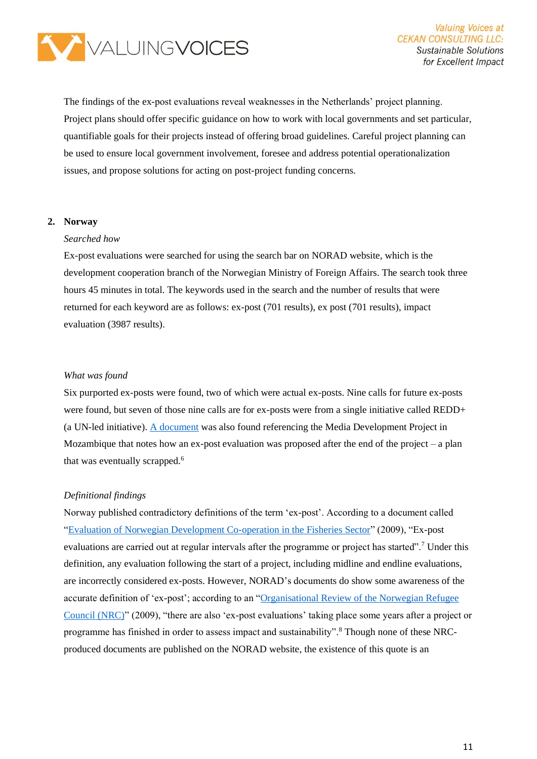

The findings of the ex-post evaluations reveal weaknesses in the Netherlands' project planning. Project plans should offer specific guidance on how to work with local governments and set particular, quantifiable goals for their projects instead of offering broad guidelines. Careful project planning can be used to ensure local government involvement, foresee and address potential operationalization issues, and propose solutions for acting on post-project funding concerns.

#### **2. Norway**

#### *Searched how*

Ex-post evaluations were searched for using the search bar on NORAD website, which is the development cooperation branch of the Norwegian Ministry of Foreign Affairs. The search took three hours 45 minutes in total. The keywords used in the search and the number of results that were returned for each keyword are as follows: ex-post (701 results), ex post (701 results), impact evaluation (3987 results).

#### *What was found*

Six purported ex-posts were found, two of which were actual ex-posts. Nine calls for future ex-posts were found, but seven of those nine calls are for ex-posts were from a single initiative called REDD+ (a UN-led initiative). [A document](https://norad.no/globalassets/import-2162015-80434-am/www.norad.no-ny/filarkiv/vedlegg-til-publikasjoner/case-report-moz1.pdf) was also found referencing the Media Development Project in Mozambique that notes how an ex-post evaluation was proposed after the end of the project – a plan that was eventually scrapped.<sup>6</sup>

#### *Definitional findings*

Norway published contradictory definitions of the term 'ex-post'. According to a document called ["Evaluation of Norwegian Development Co-operation in the Fisheries Sector"](https://norad.no/globalassets/import-2162015-80434-am/www.norad.no-ny/filarkiv/vedlegg-til-publikasjoner/evaluation-of-norwegian-development-co-operation-in-the-fisheries-sector1.pdf) (2009), "Ex-post evaluations are carried out at regular intervals after the programme or project has started".<sup>7</sup> Under this definition, any evaluation following the start of a project, including midline and endline evaluations, are incorrectly considered ex-posts. However, NORAD's documents do show some awareness of the accurate definition of 'ex-post'; according to an ["Organisational Review of the Norwegian Refugee](https://norad.no/globalassets/import-2162015-80434-am/www.norad.no-ny/filarkiv/vedlegg-til-publikasjoner/organisational-review-of-the-norwegian-refugee-council.pdf)  [Council \(NRC\)"](https://norad.no/globalassets/import-2162015-80434-am/www.norad.no-ny/filarkiv/vedlegg-til-publikasjoner/organisational-review-of-the-norwegian-refugee-council.pdf) (2009), "there are also 'ex-post evaluations' taking place some years after a project or programme has finished in order to assess impact and sustainability".<sup>8</sup> Though none of these NRCproduced documents are published on the NORAD website, the existence of this quote is an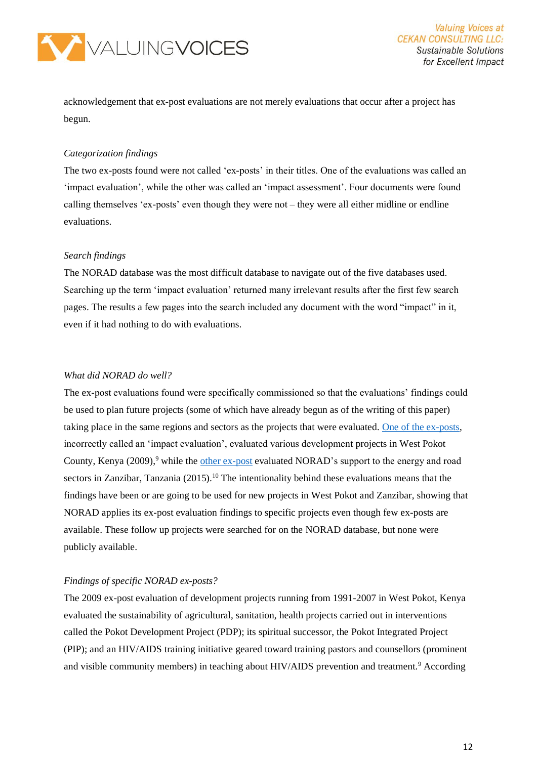

acknowledgement that ex-post evaluations are not merely evaluations that occur after a project has begun.

#### *Categorization findings*

The two ex-posts found were not called 'ex-posts' in their titles. One of the evaluations was called an 'impact evaluation', while the other was called an 'impact assessment'. Four documents were found calling themselves 'ex-posts' even though they were not – they were all either midline or endline evaluations.

#### *Search findings*

The NORAD database was the most difficult database to navigate out of the five databases used. Searching up the term 'impact evaluation' returned many irrelevant results after the first few search pages. The results a few pages into the search included any document with the word "impact" in it, even if it had nothing to do with evaluations.

#### *What did NORAD do well?*

The ex-post evaluations found were specifically commissioned so that the evaluations' findings could be used to plan future projects (some of which have already begun as of the writing of this paper) taking place in the same regions and sectors as the projects that were evaluated. [One of the ex-posts,](https://norad.no/globalassets/import-2162015-80434-am/www.norad.no-ny/filarkiv/ngo-evaluations/impact-evaluation-of-three-projects-in-pokot-kenya.pdf) incorrectly called an 'impact evaluation', evaluated various development projects in West Pokot County, Kenya  $(2009)$ ,<sup>9</sup> while the [other ex-post](https://norad.no/globalassets/publikasjoner/publikasjoner-2015-/norad-collected-reviews/impact-assessment-of-norwegian-support-to-the-energy-and-road-sectors-in-pemba.pdf) evaluated NORAD's support to the energy and road sectors in Zanzibar, Tanzania  $(2015)$ .<sup>10</sup> The intentionality behind these evaluations means that the findings have been or are going to be used for new projects in West Pokot and Zanzibar, showing that NORAD applies its ex-post evaluation findings to specific projects even though few ex-posts are available. These follow up projects were searched for on the NORAD database, but none were publicly available.

#### *Findings of specific NORAD ex-posts?*

The 2009 ex-post evaluation of development projects running from 1991-2007 in West Pokot, Kenya evaluated the sustainability of agricultural, sanitation, health projects carried out in interventions called the Pokot Development Project (PDP); its spiritual successor, the Pokot Integrated Project (PIP); and an HIV/AIDS training initiative geared toward training pastors and counsellors (prominent and visible community members) in teaching about HIV/AIDS prevention and treatment.<sup>9</sup> According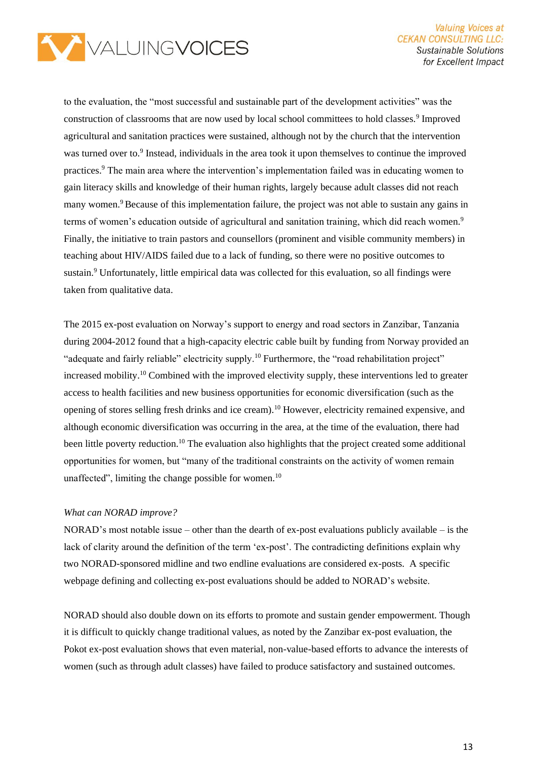

to the evaluation, the "most successful and sustainable part of the development activities" was the construction of classrooms that are now used by local school committees to hold classes.<sup>9</sup> Improved agricultural and sanitation practices were sustained, although not by the church that the intervention was turned over to.<sup>9</sup> Instead, individuals in the area took it upon themselves to continue the improved practices.<sup>9</sup> The main area where the intervention's implementation failed was in educating women to gain literacy skills and knowledge of their human rights, largely because adult classes did not reach many women.<sup>9</sup> Because of this implementation failure, the project was not able to sustain any gains in terms of women's education outside of agricultural and sanitation training, which did reach women.<sup>9</sup> Finally, the initiative to train pastors and counsellors (prominent and visible community members) in teaching about HIV/AIDS failed due to a lack of funding, so there were no positive outcomes to sustain.<sup>9</sup> Unfortunately, little empirical data was collected for this evaluation, so all findings were taken from qualitative data.

The 2015 ex-post evaluation on Norway's support to energy and road sectors in Zanzibar, Tanzania during 2004-2012 found that a high-capacity electric cable built by funding from Norway provided an "adequate and fairly reliable" electricity supply.<sup>10</sup> Furthermore, the "road rehabilitation project" increased mobility.<sup>10</sup> Combined with the improved electivity supply, these interventions led to greater access to health facilities and new business opportunities for economic diversification (such as the opening of stores selling fresh drinks and ice cream).<sup>10</sup> However, electricity remained expensive, and although economic diversification was occurring in the area, at the time of the evaluation, there had been little poverty reduction.<sup>10</sup> The evaluation also highlights that the project created some additional opportunities for women, but "many of the traditional constraints on the activity of women remain unaffected", limiting the change possible for women.<sup>10</sup>

#### *What can NORAD improve?*

NORAD's most notable issue – other than the dearth of ex-post evaluations publicly available – is the lack of clarity around the definition of the term 'ex-post'. The contradicting definitions explain why two NORAD-sponsored midline and two endline evaluations are considered ex-posts. A specific webpage defining and collecting ex-post evaluations should be added to NORAD's website.

NORAD should also double down on its efforts to promote and sustain gender empowerment. Though it is difficult to quickly change traditional values, as noted by the Zanzibar ex-post evaluation, the Pokot ex-post evaluation shows that even material, non-value-based efforts to advance the interests of women (such as through adult classes) have failed to produce satisfactory and sustained outcomes.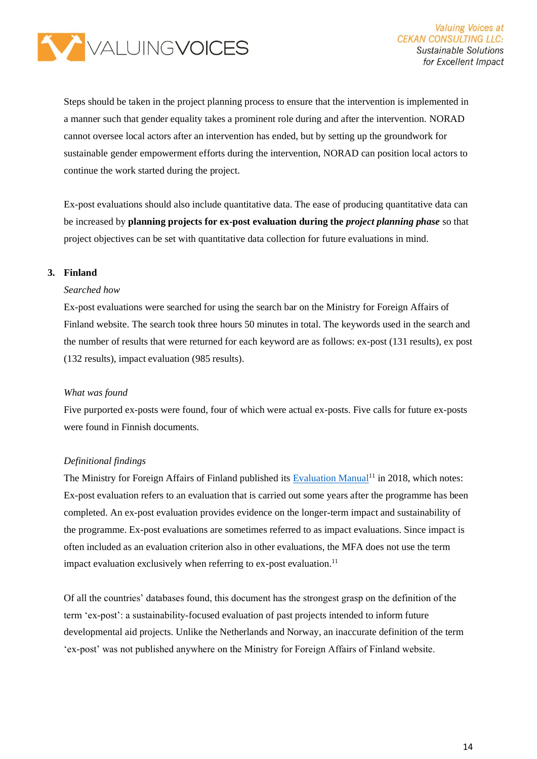

Steps should be taken in the project planning process to ensure that the intervention is implemented in a manner such that gender equality takes a prominent role during and after the intervention. NORAD cannot oversee local actors after an intervention has ended, but by setting up the groundwork for sustainable gender empowerment efforts during the intervention, NORAD can position local actors to continue the work started during the project.

Ex-post evaluations should also include quantitative data. The ease of producing quantitative data can be increased by **planning projects for ex-post evaluation during the** *project planning phase* so that project objectives can be set with quantitative data collection for future evaluations in mind.

#### **3. Finland**

#### *Searched how*

Ex-post evaluations were searched for using the search bar on the Ministry for Foreign Affairs of Finland website. The search took three hours 50 minutes in total. The keywords used in the search and the number of results that were returned for each keyword are as follows: ex-post (131 results), ex post (132 results), impact evaluation (985 results).

#### *What was found*

Five purported ex-posts were found, four of which were actual ex-posts. Five calls for future ex-posts were found in Finnish documents.

#### *Definitional findings*

The Ministry for Foreign Affairs of Finland published its [Evaluation Manual](https://eoppiva.zapter.io/evaluationmanual2018)<sup>11</sup> in 2018, which notes: Ex-post evaluation refers to an evaluation that is carried out some years after the programme has been completed. An ex-post evaluation provides evidence on the longer-term impact and sustainability of the programme. Ex-post evaluations are sometimes referred to as impact evaluations. Since impact is often included as an evaluation criterion also in other evaluations, the MFA does not use the term impact evaluation exclusively when referring to ex-post evaluation.<sup>11</sup>

Of all the countries' databases found, this document has the strongest grasp on the definition of the term 'ex-post': a sustainability-focused evaluation of past projects intended to inform future developmental aid projects. Unlike the Netherlands and Norway, an inaccurate definition of the term 'ex-post' was not published anywhere on the Ministry for Foreign Affairs of Finland website.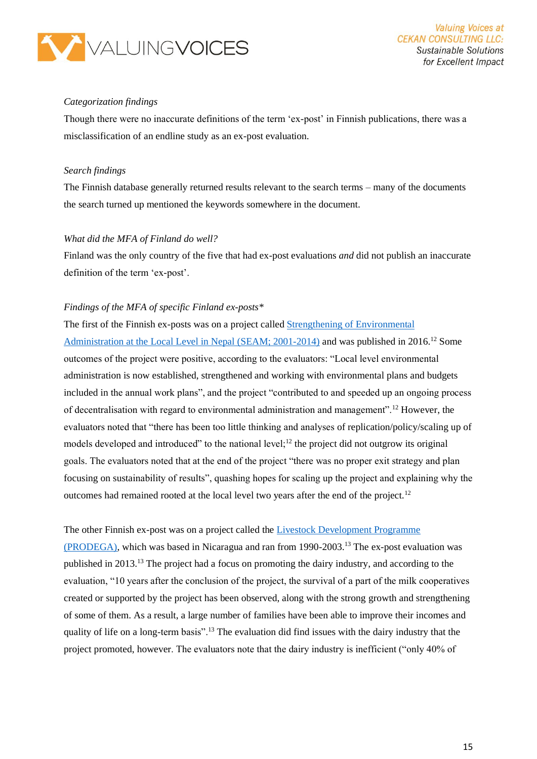

#### *Categorization findings*

Though there were no inaccurate definitions of the term 'ex-post' in Finnish publications, there was a misclassification of an endline study as an ex-post evaluation.

#### *Search findings*

The Finnish database generally returned results relevant to the search terms – many of the documents the search turned up mentioned the keywords somewhere in the document.

#### *What did the MFA of Finland do well?*

Finland was the only country of the five that had ex-post evaluations *and* did not publish an inaccurate definition of the term 'ex-post'.

#### *Findings of the MFA of specific Finland ex-posts\**

The first of the Finnish ex-posts was on a project called [Strengthening of Environmental](https://um.fi/documents/384998/0/Nepal_SEAM_Post_evaluation%2BTOR_2016.pdf/03bc624c-2241-7fd0-2c03-0d9b3c68feda#search=%22ex+post%22)  [Administration at the Local Level in Nepal \(SEAM; 2001-2014\)](https://um.fi/documents/384998/0/Nepal_SEAM_Post_evaluation%2BTOR_2016.pdf/03bc624c-2241-7fd0-2c03-0d9b3c68feda#search=%22ex+post%22) and was published in 2016.<sup>12</sup> Some outcomes of the project were positive, according to the evaluators: "Local level environmental administration is now established, strengthened and working with environmental plans and budgets included in the annual work plans", and the project "contributed to and speeded up an ongoing process of decentralisation with regard to environmental administration and management".<sup>12</sup> However, the evaluators noted that "there has been too little thinking and analyses of replication/policy/scaling up of models developed and introduced" to the national level; $^{12}$  the project did not outgrow its original goals. The evaluators noted that at the end of the project "there was no proper exit strategy and plan focusing on sustainability of results", quashing hopes for scaling up the project and explaining why the outcomes had remained rooted at the local level two years after the end of the project.<sup>12</sup>

#### The other Finnish ex-post was on a project called the [Livestock Development Programme](https://um.fi/documents/384998/385866/prodega_final_report/b4812a1d-5bc0-b467-3634-4fd13763cb8e?t=1528278516971)

[\(PRODEGA\),](https://um.fi/documents/384998/385866/prodega_final_report/b4812a1d-5bc0-b467-3634-4fd13763cb8e?t=1528278516971) which was based in Nicaragua and ran from 1990-2003.<sup>13</sup> The ex-post evaluation was published in 2013.<sup>13</sup> The project had a focus on promoting the dairy industry, and according to the evaluation, "10 years after the conclusion of the project, the survival of a part of the milk cooperatives created or supported by the project has been observed, along with the strong growth and strengthening of some of them. As a result, a large number of families have been able to improve their incomes and quality of life on a long-term basis".<sup>13</sup> The evaluation did find issues with the dairy industry that the project promoted, however. The evaluators note that the dairy industry is inefficient ("only 40% of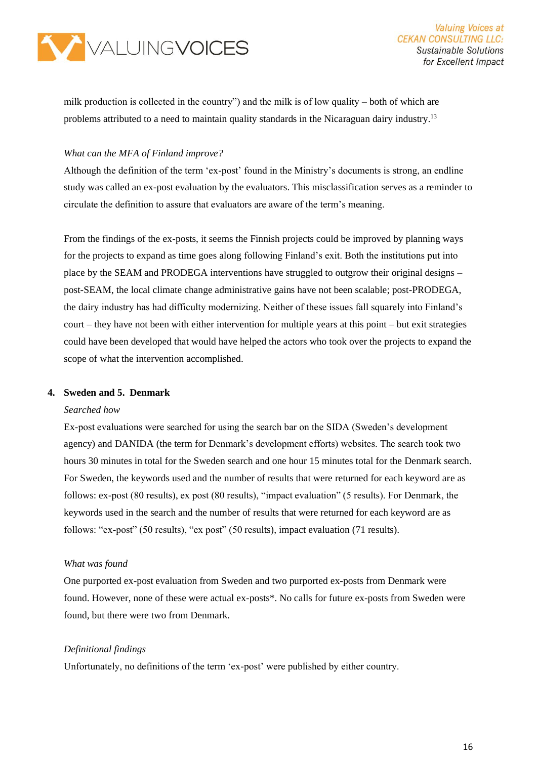

milk production is collected in the country") and the milk is of low quality – both of which are problems attributed to a need to maintain quality standards in the Nicaraguan dairy industry.<sup>13</sup>

#### *What can the MFA of Finland improve?*

Although the definition of the term 'ex-post' found in the Ministry's documents is strong, an endline study was called an ex-post evaluation by the evaluators. This misclassification serves as a reminder to circulate the definition to assure that evaluators are aware of the term's meaning.

From the findings of the ex-posts, it seems the Finnish projects could be improved by planning ways for the projects to expand as time goes along following Finland's exit. Both the institutions put into place by the SEAM and PRODEGA interventions have struggled to outgrow their original designs – post-SEAM, the local climate change administrative gains have not been scalable; post-PRODEGA, the dairy industry has had difficulty modernizing. Neither of these issues fall squarely into Finland's court – they have not been with either intervention for multiple years at this point – but exit strategies could have been developed that would have helped the actors who took over the projects to expand the scope of what the intervention accomplished.

#### **4. Sweden and 5. Denmark**

#### *Searched how*

Ex-post evaluations were searched for using the search bar on the SIDA (Sweden's development agency) and DANIDA (the term for Denmark's development efforts) websites. The search took two hours 30 minutes in total for the Sweden search and one hour 15 minutes total for the Denmark search. For Sweden, the keywords used and the number of results that were returned for each keyword are as follows: ex-post (80 results), ex post (80 results), "impact evaluation" (5 results). For Denmark, the keywords used in the search and the number of results that were returned for each keyword are as follows: "ex-post" (50 results), "ex post" (50 results), impact evaluation (71 results).

#### *What was found*

One purported ex-post evaluation from Sweden and two purported ex-posts from Denmark were found. However, none of these were actual ex-posts\*. No calls for future ex-posts from Sweden were found, but there were two from Denmark.

#### *Definitional findings*

Unfortunately, no definitions of the term 'ex-post' were published by either country.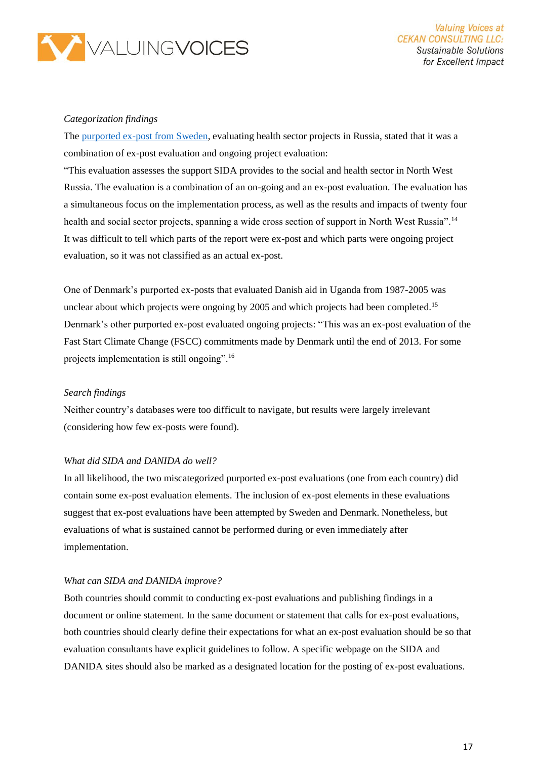

#### *Categorization findings*

The [purported ex-post from Sweden,](https://www.sida.se/contentassets/88db8b0f4910498a84845316ecdd4d5d/14282.pdf) evaluating health sector projects in Russia, stated that it was a combination of ex-post evaluation and ongoing project evaluation:

"This evaluation assesses the support SIDA provides to the social and health sector in North West Russia. The evaluation is a combination of an on-going and an ex-post evaluation. The evaluation has a simultaneous focus on the implementation process, as well as the results and impacts of twenty four health and social sector projects, spanning a wide cross section of support in North West Russia".<sup>14</sup> It was difficult to tell which parts of the report were ex-post and which parts were ongoing project evaluation, so it was not classified as an actual ex-post.

One of Denmark's purported ex-posts that evaluated Danish aid in Uganda from 1987-2005 was unclear about which projects were ongoing by 2005 and which projects had been completed.<sup>15</sup> Denmark's other purported ex-post evaluated ongoing projects: "This was an ex-post evaluation of the Fast Start Climate Change (FSCC) commitments made by Denmark until the end of 2013. For some projects implementation is still ongoing".<sup>16</sup>

#### *Search findings*

Neither country's databases were too difficult to navigate, but results were largely irrelevant (considering how few ex-posts were found).

#### *What did SIDA and DANIDA do well?*

In all likelihood, the two miscategorized purported ex-post evaluations (one from each country) did contain some ex-post evaluation elements. The inclusion of ex-post elements in these evaluations suggest that ex-post evaluations have been attempted by Sweden and Denmark. Nonetheless, but evaluations of what is sustained cannot be performed during or even immediately after implementation.

#### *What can SIDA and DANIDA improve?*

Both countries should commit to conducting ex-post evaluations and publishing findings in a document or online statement. In the same document or statement that calls for ex-post evaluations, both countries should clearly define their expectations for what an ex-post evaluation should be so that evaluation consultants have explicit guidelines to follow. A specific webpage on the SIDA and DANIDA sites should also be marked as a designated location for the posting of ex-post evaluations.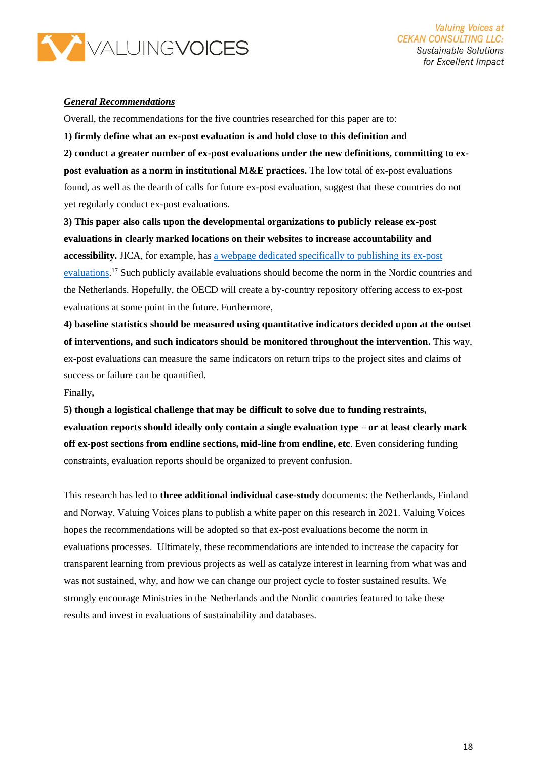

#### *General Recommendations*

Overall, the recommendations for the five countries researched for this paper are to:

**1) firmly define what an ex-post evaluation is and hold close to this definition and** 

**2) conduct a greater number of ex-post evaluations under the new definitions, committing to expost evaluation as a norm in institutional M&E practices.** The low total of ex-post evaluations found, as well as the dearth of calls for future ex-post evaluation, suggest that these countries do not yet regularly conduct ex-post evaluations.

**3) This paper also calls upon the developmental organizations to publicly release ex-post evaluations in clearly marked locations on their websites to increase accountability and accessibility.** JICA, for example, has [a webpage dedicated specifically to publishing its ex-post](https://www.jica.go.jp/english/our_work/evaluation/oda_loan/post/index.html)  [evaluations.](https://www.jica.go.jp/english/our_work/evaluation/oda_loan/post/index.html)<sup>17</sup> Such publicly available evaluations should become the norm in the Nordic countries and the Netherlands. Hopefully, the OECD will create a by-country repository offering access to ex-post evaluations at some point in the future. Furthermore,

**4) baseline statistics should be measured using quantitative indicators decided upon at the outset of interventions, and such indicators should be monitored throughout the intervention.** This way, ex-post evaluations can measure the same indicators on return trips to the project sites and claims of success or failure can be quantified.

#### Finally**,**

**5) though a logistical challenge that may be difficult to solve due to funding restraints, evaluation reports should ideally only contain a single evaluation type – or at least clearly mark off ex-post sections from endline sections, mid-line from endline, etc**. Even considering funding constraints, evaluation reports should be organized to prevent confusion.

This research has led to **three additional individual case-study** documents: the Netherlands, Finland and Norway. Valuing Voices plans to publish a white paper on this research in 2021. Valuing Voices hopes the recommendations will be adopted so that ex-post evaluations become the norm in evaluations processes. Ultimately, these recommendations are intended to increase the capacity for transparent learning from previous projects as well as catalyze interest in learning from what was and was not sustained, why, and how we can change our project cycle to foster sustained results. We strongly encourage Ministries in the Netherlands and the Nordic countries featured to take these results and invest in evaluations of sustainability and databases.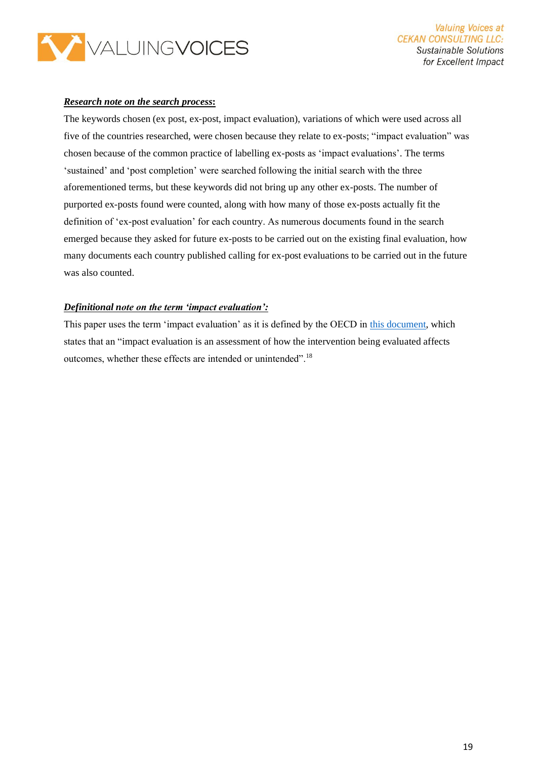

#### *Research note on the search process***:**

The keywords chosen (ex post, ex-post, impact evaluation), variations of which were used across all five of the countries researched, were chosen because they relate to ex-posts; "impact evaluation" was chosen because of the common practice of labelling ex-posts as 'impact evaluations'. The terms 'sustained' and 'post completion' were searched following the initial search with the three aforementioned terms, but these keywords did not bring up any other ex-posts. The number of purported ex-posts found were counted, along with how many of those ex-posts actually fit the definition of 'ex-post evaluation' for each country. As numerous documents found in the search emerged because they asked for future ex-posts to be carried out on the existing final evaluation, how many documents each country published calling for ex-post evaluations to be carried out in the future was also counted.

#### *Definitional note on the term 'impact evaluation':*

This paper uses the term 'impact evaluation' as it is defined by the OECD in [this document,](http://www.oecd.org/dac/evaluation/dcdndep/37671602.pdf) which states that an "impact evaluation is an assessment of how the intervention being evaluated affects outcomes, whether these effects are intended or unintended".<sup>18</sup>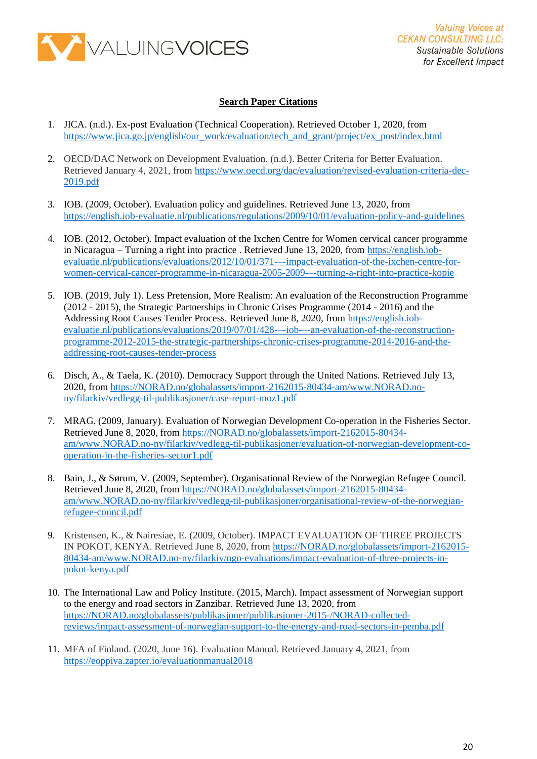

#### **Search Paper Citations**

- 1. JICA. (n.d.). Ex-post Evaluation (Technical Cooperation). Retrieved October 1, 2020, from [https://www.jica.go.jp/english/our\\_work/evaluation/tech\\_and\\_grant/project/ex\\_post/index.html](https://www.jica.go.jp/english/our_work/evaluation/tech_and_grant/project/ex_post/index.html)
- 2. OECD/DAC Network on Development Evaluation. (n.d.). Better Criteria for Better Evaluation. Retrieved January 4, 2021, from [https://www.oecd.org/dac/evaluation/revised-evaluation-criteria-dec-](https://www.oecd.org/dac/evaluation/revised-evaluation-criteria-dec-2019.pdf)[2019.pdf](https://www.oecd.org/dac/evaluation/revised-evaluation-criteria-dec-2019.pdf)
- 3. IOB. (2009, October). Evaluation policy and guidelines. Retrieved June 13, 2020, from <https://english.iob-evaluatie.nl/publications/regulations/2009/10/01/evaluation-policy-and-guidelines>
- 4. IOB. (2012, October). Impact evaluation of the Ixchen Centre for Women cervical cancer programme in Nicaragua – Turning a right into practice . Retrieved June 13, 2020, from [https://english.iob](https://english.iob-evaluatie.nl/publications/evaluations/2012/10/01/371-–-impact-evaluation-of-the-ixchen-centre-for-women-cervical-cancer-programme-in-nicaragua-2005-2009-–-turning-a-right-into-practice-kopie)[evaluatie.nl/publications/evaluations/2012/10/01/371-–-impact-evaluation-of-the-ixchen-centre-for](https://english.iob-evaluatie.nl/publications/evaluations/2012/10/01/371-–-impact-evaluation-of-the-ixchen-centre-for-women-cervical-cancer-programme-in-nicaragua-2005-2009-–-turning-a-right-into-practice-kopie)[women-cervical-cancer-programme-in-nicaragua-2005-2009-–-turning-a-right-into-practice-kopie](https://english.iob-evaluatie.nl/publications/evaluations/2012/10/01/371-–-impact-evaluation-of-the-ixchen-centre-for-women-cervical-cancer-programme-in-nicaragua-2005-2009-–-turning-a-right-into-practice-kopie)
- 5. IOB. (2019, July 1). Less Pretension, More Realism: An evaluation of the Reconstruction Programme (2012 - 2015), the Strategic Partnerships in Chronic Crises Programme (2014 - 2016) and the Addressing Root Causes Tender Process. Retrieved June 8, 2020, from [https://english.iob](https://english.iob-evaluatie.nl/publications/evaluations/2019/07/01/428-–-iob-–-an-evaluation-of-the-reconstruction-programme-2012-2015-the-strategic-partnerships-chronic-crises-programme-2014-2016-and-the-addressing-root-causes-tender-process)[evaluatie.nl/publications/evaluations/2019/07/01/428-–-iob-–-an-evaluation-of-the-reconstruction](https://english.iob-evaluatie.nl/publications/evaluations/2019/07/01/428-–-iob-–-an-evaluation-of-the-reconstruction-programme-2012-2015-the-strategic-partnerships-chronic-crises-programme-2014-2016-and-the-addressing-root-causes-tender-process)[programme-2012-2015-the-strategic-partnerships-chronic-crises-programme-2014-2016-and-the](https://english.iob-evaluatie.nl/publications/evaluations/2019/07/01/428-–-iob-–-an-evaluation-of-the-reconstruction-programme-2012-2015-the-strategic-partnerships-chronic-crises-programme-2014-2016-and-the-addressing-root-causes-tender-process)[addressing-root-causes-tender-process](https://english.iob-evaluatie.nl/publications/evaluations/2019/07/01/428-–-iob-–-an-evaluation-of-the-reconstruction-programme-2012-2015-the-strategic-partnerships-chronic-crises-programme-2014-2016-and-the-addressing-root-causes-tender-process)
- 6. Disch, A., & Taela, K. (2010). Democracy Support through the United Nations. Retrieved July 13, 2020, from [https://NORAD.no/globalassets/import-2162015-80434-am/www.NORAD.no](https://norad.no/globalassets/import-2162015-80434-am/www.norad.no-ny/filarkiv/vedlegg-til-publikasjoner/case-report-moz1.pdf)[ny/filarkiv/vedlegg-til-publikasjoner/case-report-moz1.pdf](https://norad.no/globalassets/import-2162015-80434-am/www.norad.no-ny/filarkiv/vedlegg-til-publikasjoner/case-report-moz1.pdf)
- 7. MRAG. (2009, January). Evaluation of Norwegian Development Co-operation in the Fisheries Sector. Retrieved June 8, 2020, from [https://NORAD.no/globalassets/import-2162015-80434](https://norad.no/globalassets/import-2162015-80434-am/www.norad.no-ny/filarkiv/vedlegg-til-publikasjoner/evaluation-of-norwegian-development-co-operation-in-the-fisheries-sector1.pdf) [am/www.NORAD.no-ny/filarkiv/vedlegg-til-publikasjoner/evaluation-of-norwegian-development-co](https://norad.no/globalassets/import-2162015-80434-am/www.norad.no-ny/filarkiv/vedlegg-til-publikasjoner/evaluation-of-norwegian-development-co-operation-in-the-fisheries-sector1.pdf)[operation-in-the-fisheries-sector1.pdf](https://norad.no/globalassets/import-2162015-80434-am/www.norad.no-ny/filarkiv/vedlegg-til-publikasjoner/evaluation-of-norwegian-development-co-operation-in-the-fisheries-sector1.pdf)
- 8. Bain, J., & Sørum, V. (2009, September). Organisational Review of the Norwegian Refugee Council. Retrieved June 8, 2020, from [https://NORAD.no/globalassets/import-2162015-80434](https://norad.no/globalassets/import-2162015-80434-am/www.norad.no-ny/filarkiv/vedlegg-til-publikasjoner/organisational-review-of-the-norwegian-refugee-council.pdf) [am/www.NORAD.no-ny/filarkiv/vedlegg-til-publikasjoner/organisational-review-of-the-norwegian](https://norad.no/globalassets/import-2162015-80434-am/www.norad.no-ny/filarkiv/vedlegg-til-publikasjoner/organisational-review-of-the-norwegian-refugee-council.pdf)[refugee-council.pdf](https://norad.no/globalassets/import-2162015-80434-am/www.norad.no-ny/filarkiv/vedlegg-til-publikasjoner/organisational-review-of-the-norwegian-refugee-council.pdf)
- 9. Kristensen, K., & Nairesiae, E. (2009, October). IMPACT EVALUATION OF THREE PROJECTS IN POKOT, KENYA. Retrieved June 8, 2020, from [https://NORAD.no/globalassets/import-2162015-](https://norad.no/globalassets/import-2162015-80434-am/www.norad.no-ny/filarkiv/ngo-evaluations/impact-evaluation-of-three-projects-in-pokot-kenya.pdf) [80434-am/www.NORAD.no-ny/filarkiv/ngo-evaluations/impact-evaluation-of-three-projects-in](https://norad.no/globalassets/import-2162015-80434-am/www.norad.no-ny/filarkiv/ngo-evaluations/impact-evaluation-of-three-projects-in-pokot-kenya.pdf)[pokot-kenya.pdf](https://norad.no/globalassets/import-2162015-80434-am/www.norad.no-ny/filarkiv/ngo-evaluations/impact-evaluation-of-three-projects-in-pokot-kenya.pdf)
- 10. The International Law and Policy Institute. (2015, March). Impact assessment of Norwegian support to the energy and road sectors in Zanzibar. Retrieved June 13, 2020, from [https://NORAD.no/globalassets/publikasjoner/publikasjoner-2015-/NORAD-collected](https://norad.no/globalassets/publikasjoner/publikasjoner-2015-/norad-collected-reviews/impact-assessment-of-norwegian-support-to-the-energy-and-road-sectors-in-pemba.pdf)[reviews/impact-assessment-of-norwegian-support-to-the-energy-and-road-sectors-in-pemba.pdf](https://norad.no/globalassets/publikasjoner/publikasjoner-2015-/norad-collected-reviews/impact-assessment-of-norwegian-support-to-the-energy-and-road-sectors-in-pemba.pdf)
- 11. MFA of Finland. (2020, June 16). Evaluation Manual. Retrieved January 4, 2021, from <https://eoppiva.zapter.io/evaluationmanual2018>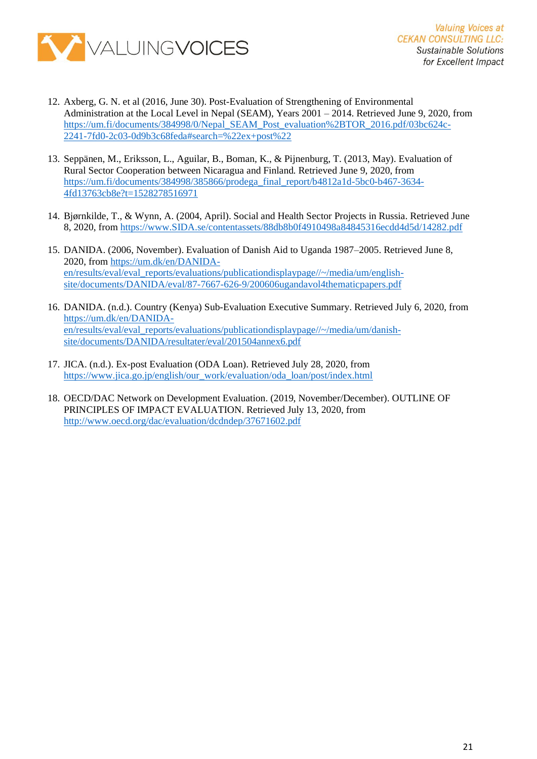

- 12. Axberg, G. N. et al (2016, June 30). Post-Evaluation of Strengthening of Environmental Administration at the Local Level in Nepal (SEAM), Years 2001 – 2014. Retrieved June 9, 2020, from [https://um.fi/documents/384998/0/Nepal\\_SEAM\\_Post\\_evaluation%2BTOR\\_2016.pdf/03bc624c-](https://um.fi/documents/384998/0/Nepal_SEAM_Post_evaluation%2BTOR_2016.pdf/03bc624c-2241-7fd0-2c03-0d9b3c68feda#search=%22ex+post%22)[2241-7fd0-2c03-0d9b3c68feda#search=%22ex+post%22](https://um.fi/documents/384998/0/Nepal_SEAM_Post_evaluation%2BTOR_2016.pdf/03bc624c-2241-7fd0-2c03-0d9b3c68feda#search=%22ex+post%22)
- 13. Seppänen, M., Eriksson, L., Aguilar, B., Boman, K., & Pijnenburg, T. (2013, May). Evaluation of Rural Sector Cooperation between Nicaragua and Finland. Retrieved June 9, 2020, from [https://um.fi/documents/384998/385866/prodega\\_final\\_report/b4812a1d-5bc0-b467-3634-](https://um.fi/documents/384998/385866/prodega_final_report/b4812a1d-5bc0-b467-3634-4fd13763cb8e?t=1528278516971) [4fd13763cb8e?t=1528278516971](https://um.fi/documents/384998/385866/prodega_final_report/b4812a1d-5bc0-b467-3634-4fd13763cb8e?t=1528278516971)
- 14. Bjørnkilde, T., & Wynn, A. (2004, April). Social and Health Sector Projects in Russia. Retrieved June 8, 2020, from [https://www.SIDA.se/contentassets/88db8b0f4910498a84845316ecdd4d5d/14282.pdf](https://www.sida.se/contentassets/88db8b0f4910498a84845316ecdd4d5d/14282.pdf)
- 15. DANIDA. (2006, November). Evaluation of Danish Aid to Uganda 1987–2005. Retrieved June 8, 2020, from [https://um.dk/en/DANIDA](https://um.dk/en/danida-en/results/eval/eval_reports/evaluations/publicationdisplaypage/~/media/um/english-site/documents/danida/eval/87-7667-626-9/200606ugandavol4thematicpapers.pdf)[en/results/eval/eval\\_reports/evaluations/publicationdisplaypage//~/media/um/english](https://um.dk/en/danida-en/results/eval/eval_reports/evaluations/publicationdisplaypage/~/media/um/english-site/documents/danida/eval/87-7667-626-9/200606ugandavol4thematicpapers.pdf)[site/documents/DANIDA/eval/87-7667-626-9/200606ugandavol4thematicpapers.pdf](https://um.dk/en/danida-en/results/eval/eval_reports/evaluations/publicationdisplaypage/~/media/um/english-site/documents/danida/eval/87-7667-626-9/200606ugandavol4thematicpapers.pdf)
- 16. DANIDA. (n.d.). Country (Kenya) Sub-Evaluation Executive Summary. Retrieved July 6, 2020, from [https://um.dk/en/DANIDA](https://um.dk/en/danida-en/results/eval/eval_reports/evaluations/publicationdisplaypage/~/media/um/danish-site/documents/danida/resultater/eval/201504annex6.pdf)[en/results/eval/eval\\_reports/evaluations/publicationdisplaypage//~/media/um/danish](https://um.dk/en/danida-en/results/eval/eval_reports/evaluations/publicationdisplaypage/~/media/um/danish-site/documents/danida/resultater/eval/201504annex6.pdf)[site/documents/DANIDA/resultater/eval/201504annex6.pdf](https://um.dk/en/danida-en/results/eval/eval_reports/evaluations/publicationdisplaypage/~/media/um/danish-site/documents/danida/resultater/eval/201504annex6.pdf)
- 17. JICA. (n.d.). Ex-post Evaluation (ODA Loan). Retrieved July 28, 2020, from [https://www.jica.go.jp/english/our\\_work/evaluation/oda\\_loan/post/index.html](https://www.jica.go.jp/english/our_work/evaluation/oda_loan/post/index.html)
- 18. OECD/DAC Network on Development Evaluation. (2019, November/December). OUTLINE OF PRINCIPLES OF IMPACT EVALUATION. Retrieved July 13, 2020, from <http://www.oecd.org/dac/evaluation/dcdndep/37671602.pdf>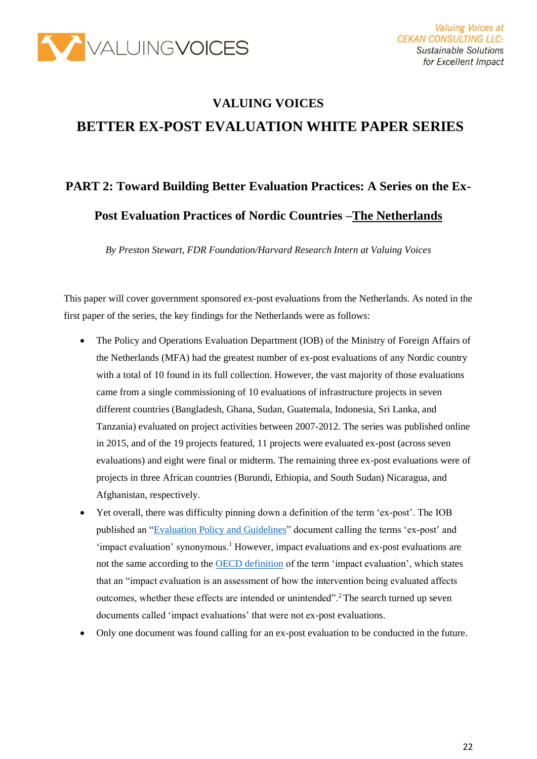

# **VALUING VOICES BETTER EX-POST EVALUATION WHITE PAPER SERIES**

# **PART 2: Toward Building Better Evaluation Practices: A Series on the Ex-Post Evaluation Practices of Nordic Countries –The Netherlands**

*By Preston Stewart, FDR Foundation/Harvard Research Intern at Valuing Voices*

This paper will cover government sponsored ex-post evaluations from the Netherlands. As noted in the first paper of the series, the key findings for the Netherlands were as follows:

- The Policy and Operations Evaluation Department (IOB) of the Ministry of Foreign Affairs of the Netherlands (MFA) had the greatest number of ex-post evaluations of any Nordic country with a total of 10 found in its full collection. However, the vast majority of those evaluations came from a single commissioning of 10 evaluations of infrastructure projects in seven different countries (Bangladesh, Ghana, Sudan, Guatemala, Indonesia, Sri Lanka, and Tanzania) evaluated on project activities between 2007-2012. The series was published online in 2015, and of the 19 projects featured, 11 projects were evaluated ex-post (across seven evaluations) and eight were final or midterm. The remaining three ex-post evaluations were of projects in three African countries (Burundi, Ethiopia, and South Sudan) Nicaragua, and Afghanistan, respectively.
- Yet overall, there was difficulty pinning down a definition of the term 'ex-post'. The IOB published an ["Evaluation Policy and Guidelines"](https://english.iob-evaluatie.nl/publications/regulations/2009/10/01/evaluation-policy-and-guidelines) document calling the terms 'ex-post' and  $'$ impact evaluation' synonymous.<sup>1</sup> However, impact evaluations and ex-post evaluations are not the same according to the [OECD definition](http://www.oecd.org/dac/evaluation/dcdndep/37671602.pdf) of the term 'impact evaluation', which states that an "impact evaluation is an assessment of how the intervention being evaluated affects outcomes, whether these effects are intended or unintended".<sup>2</sup>The search turned up seven documents called 'impact evaluations' that were not ex-post evaluations.
- Only one document was found calling for an ex-post evaluation to be conducted in the future.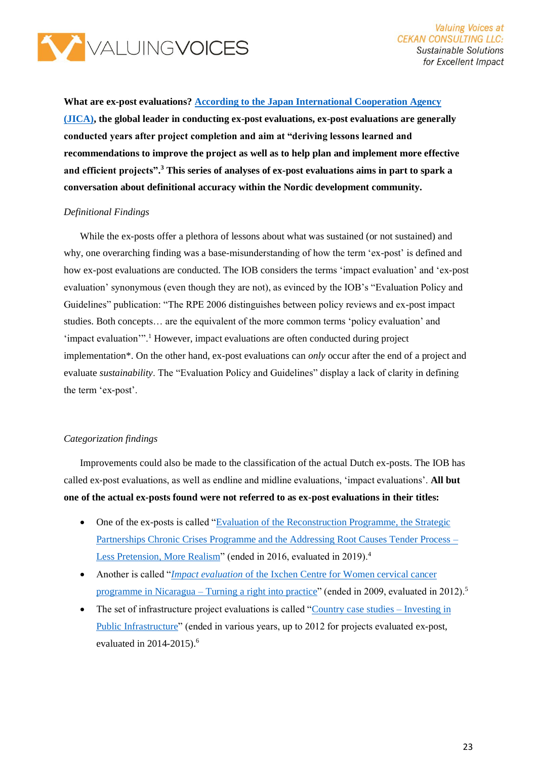

**What are ex-post evaluations[? According to the Japan International Cooperation Agency](https://www.jica.go.jp/english/our_work/evaluation/tech_and_grant/project/ex_post/index.html)  [\(JICA\),](https://www.jica.go.jp/english/our_work/evaluation/tech_and_grant/project/ex_post/index.html) the global leader in conducting ex-post evaluations, ex-post evaluations are generally conducted years after project completion and aim at "deriving lessons learned and recommendations to improve the project as well as to help plan and implement more effective and efficient projects".<sup>3</sup> This series of analyses of ex-post evaluations aims in part to spark a conversation about definitional accuracy within the Nordic development community.**

#### *Definitional Findings*

While the ex-posts offer a plethora of lessons about what was sustained (or not sustained) and why, one overarching finding was a base-misunderstanding of how the term 'ex-post' is defined and how ex-post evaluations are conducted. The IOB considers the terms 'impact evaluation' and 'ex-post evaluation' synonymous (even though they are not), as evinced by the IOB's "Evaluation Policy and Guidelines" publication: "The RPE 2006 distinguishes between policy reviews and ex-post impact studies. Both concepts… are the equivalent of the more common terms 'policy evaluation' and 'impact evaluation'".<sup>1</sup> However, impact evaluations are often conducted during project implementation\*. On the other hand, ex-post evaluations can *only* occur after the end of a project and evaluate *sustainability*. The "Evaluation Policy and Guidelines" display a lack of clarity in defining the term 'ex-post'.

#### *Categorization findings*

Improvements could also be made to the classification of the actual Dutch ex-posts. The IOB has called ex-post evaluations, as well as endline and midline evaluations, 'impact evaluations'. **All but one of the actual ex-posts found were not referred to as ex-post evaluations in their titles:**

- One of the ex-posts is called "Evaluation of the Reconstruction Programme, the Strategic [Partnerships Chronic Crises Programme and the Addressing Root Causes Tender Process –](https://english.iob-evaluatie.nl/publications/evaluations/2019/07/01/428-–-iob-–-an-evaluation-of-the-reconstruction-programme-2012-2015-the-strategic-partnerships-chronic-crises-programme-2014-2016-and-the-addressing-root-causes-tender-process) [Less Pretension, More Realism"](https://english.iob-evaluatie.nl/publications/evaluations/2019/07/01/428-–-iob-–-an-evaluation-of-the-reconstruction-programme-2012-2015-the-strategic-partnerships-chronic-crises-programme-2014-2016-and-the-addressing-root-causes-tender-process) (ended in 2016, evaluated in 2019).<sup>4</sup>
- Another is called "*Impact evaluation* [of the Ixchen Centre for Women cervical cancer](https://english.iob-evaluatie.nl/publications/evaluations/2012/10/01/371-–-impact-evaluation-of-the-ixchen-centre-for-women-cervical-cancer-programme-in-nicaragua-2005-2009-–-turning-a-right-into-practice-kopie)  programme in Nicaragua – [Turning a right into practice"](https://english.iob-evaluatie.nl/publications/evaluations/2012/10/01/371-–-impact-evaluation-of-the-ixchen-centre-for-women-cervical-cancer-programme-in-nicaragua-2005-2009-–-turning-a-right-into-practice-kopie) (ended in 2009, evaluated in  $2012$ ).<sup>5</sup>
- The set of infrastructure project evaluations is called ["Country case studies –](https://english.iob-evaluatie.nl/publications/sub-studies/2015/07/01/investing-in-public-infrastructure-country-case-studies) Investing in [Public Infrastructure"](https://english.iob-evaluatie.nl/publications/sub-studies/2015/07/01/investing-in-public-infrastructure-country-case-studies) (ended in various years, up to 2012 for projects evaluated ex-post, evaluated in 2014-2015).<sup>6</sup>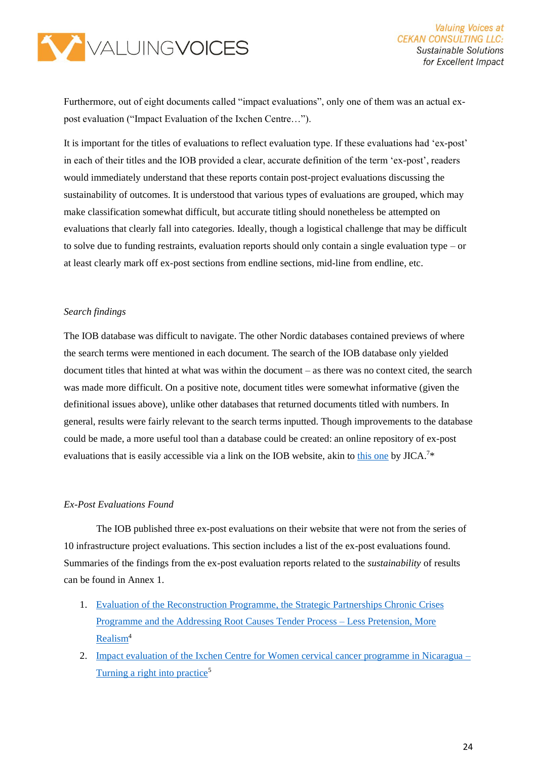

Furthermore, out of eight documents called "impact evaluations", only one of them was an actual expost evaluation ("Impact Evaluation of the Ixchen Centre…").

It is important for the titles of evaluations to reflect evaluation type. If these evaluations had 'ex-post' in each of their titles and the IOB provided a clear, accurate definition of the term 'ex-post', readers would immediately understand that these reports contain post-project evaluations discussing the sustainability of outcomes. It is understood that various types of evaluations are grouped, which may make classification somewhat difficult, but accurate titling should nonetheless be attempted on evaluations that clearly fall into categories. Ideally, though a logistical challenge that may be difficult to solve due to funding restraints, evaluation reports should only contain a single evaluation type – or at least clearly mark off ex-post sections from endline sections, mid-line from endline, etc.

#### *Search findings*

The IOB database was difficult to navigate. The other Nordic databases contained previews of where the search terms were mentioned in each document. The search of the IOB database only yielded document titles that hinted at what was within the document – as there was no context cited, the search was made more difficult. On a positive note, document titles were somewhat informative (given the definitional issues above), unlike other databases that returned documents titled with numbers. In general, results were fairly relevant to the search terms inputted. Though improvements to the database could be made, a more useful tool than a database could be created: an online repository of ex-post evaluations that is easily accessible via a link on the IOB website, akin to [this one](https://www.jica.go.jp/english/our_work/evaluation/oda_loan/post/index.html) by  $JICA.^{7*}$ 

#### *Ex-Post Evaluations Found*

The IOB published three ex-post evaluations on their website that were not from the series of 10 infrastructure project evaluations. This section includes a list of the ex-post evaluations found. Summaries of the findings from the ex-post evaluation reports related to the *sustainability* of results can be found in Annex 1.

- 1. [Evaluation of the Reconstruction Programme, the Strategic Partnerships Chronic Crises](https://english.iob-evaluatie.nl/publications/evaluations/2019/07/01/428-–-iob-–-an-evaluation-of-the-reconstruction-programme-2012-2015-the-strategic-partnerships-chronic-crises-programme-2014-2016-and-the-addressing-root-causes-tender-process)  [Programme and the Addressing Root Causes Tender Process –](https://english.iob-evaluatie.nl/publications/evaluations/2019/07/01/428-–-iob-–-an-evaluation-of-the-reconstruction-programme-2012-2015-the-strategic-partnerships-chronic-crises-programme-2014-2016-and-the-addressing-root-causes-tender-process) Less Pretension, More [Realism](https://english.iob-evaluatie.nl/publications/evaluations/2019/07/01/428-–-iob-–-an-evaluation-of-the-reconstruction-programme-2012-2015-the-strategic-partnerships-chronic-crises-programme-2014-2016-and-the-addressing-root-causes-tender-process)<sup>4</sup>
- 2. [Impact evaluation of the Ixchen Centre for Women cervical cancer programme in Nicaragua –](https://english.iob-evaluatie.nl/publications/evaluations/2012/10/01/371-–-impact-evaluation-of-the-ixchen-centre-for-women-cervical-cancer-programme-in-nicaragua-2005-2009-–-turning-a-right-into-practice-kopie) [Turning a right into practice](https://english.iob-evaluatie.nl/publications/evaluations/2012/10/01/371-–-impact-evaluation-of-the-ixchen-centre-for-women-cervical-cancer-programme-in-nicaragua-2005-2009-–-turning-a-right-into-practice-kopie)<sup>5</sup>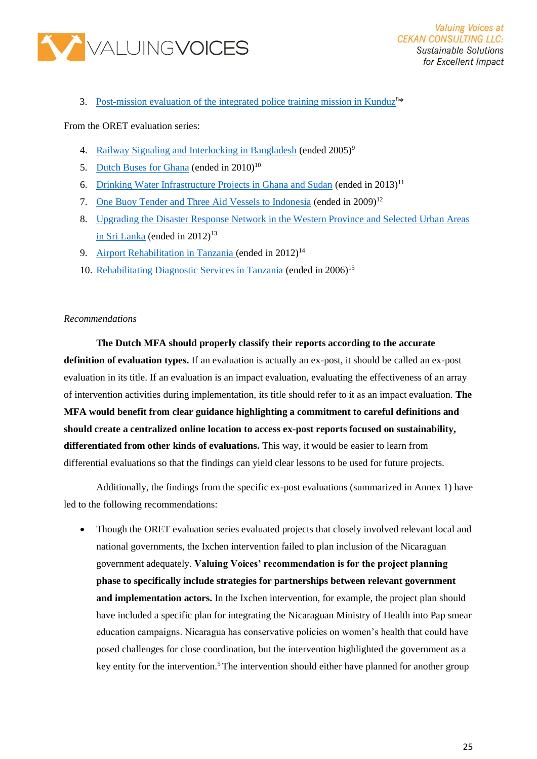

3. [Post-mission evaluation of the integrated police training mission in Kunduz](https://english.iob-evaluatie.nl/publications/reports/2019/11/19/432-kunduz)<sup>8\*</sup>

From the ORET evaluation series:

- 4. [Railway Signaling and Interlocking in Bangladesh](https://english.iob-evaluatie.nl/binaries/iob-evaluatie-eng/documents/sub-studies/2015/07/01/investing-in-public-infrastructure-country-case-studies/EUR_Railway_signalling_and_interlocking_in_Bangladesh_201502.pdf) (ended 2005)<sup>9</sup>
- 5. [Dutch Buses for Ghana](https://english.iob-evaluatie.nl/binaries/iob-evaluatie-eng/documents/sub-studies/2015/07/01/investing-in-public-infrastructure-country-case-studies/EUR_Dutch_buses_for_Ghana_201411.pdf) (ended in  $2010^{10}$ )
- 6. [Drinking Water Infrastructure Projects in Ghana and Sudan](https://english.iob-evaluatie.nl/binaries/iob-evaluatie-eng/documents/sub-studies/2015/07/01/investing-in-public-infrastructure-country-case-studies/University_Bayreuth_Drinking_water_infrastructure_projects_Ghana_Sudan_201502.pdf) (ended in 2013)<sup>11</sup>
- 7. [One Buoy Tender and Three Aid Vessels to Indonesia](https://english.iob-evaluatie.nl/binaries/iob-evaluatie-eng/documents/sub-studies/2015/07/01/investing-in-public-infrastructure-country-case-studies/EUR_Vessels_Indonesia_201503.pdf) (ended in 2009)<sup>12</sup>
- 8. [Upgrading the Disaster Response Network in the Western Province and Selected Urban Areas](https://english.iob-evaluatie.nl/binaries/iob-evaluatie-eng/documents/sub-studies/2015/07/01/investing-in-public-infrastructure-country-case-studies/EUR_Upgrading_disaster_response_network_Sri_Lanka_201502.pdf)  [in Sri Lanka](https://english.iob-evaluatie.nl/binaries/iob-evaluatie-eng/documents/sub-studies/2015/07/01/investing-in-public-infrastructure-country-case-studies/EUR_Upgrading_disaster_response_network_Sri_Lanka_201502.pdf) (ended in  $2012$ )<sup>13</sup>
- 9. [Airport Rehabilitation in Tanzania](https://english.iob-evaluatie.nl/binaries/iob-evaluatie-eng/documents/sub-studies/2015/07/01/investing-in-public-infrastructure-country-case-studies/EUR_Airport_rehabilitation_Tanzania_201503.pdf) (ended in  $2012$ )<sup>14</sup>
- 10. [Rehabilitating Diagnostic Services in Tanzania](https://english.iob-evaluatie.nl/binaries/iob-evaluatie-eng/documents/sub-studies/2015/07/01/investing-in-public-infrastructure-country-case-studies/EUR_Rehabilitation_diagnostic_services_Tanzania_201504.pdf) (ended in 2006)<sup>15</sup>

#### *Recommendations*

**The Dutch MFA should properly classify their reports according to the accurate definition of evaluation types.** If an evaluation is actually an ex-post, it should be called an ex-post evaluation in its title. If an evaluation is an impact evaluation, evaluating the effectiveness of an array of intervention activities during implementation, its title should refer to it as an impact evaluation. **The MFA would benefit from clear guidance highlighting a commitment to careful definitions and should create a centralized online location to access ex-post reports focused on sustainability, differentiated from other kinds of evaluations.** This way, it would be easier to learn from differential evaluations so that the findings can yield clear lessons to be used for future projects.

Additionally, the findings from the specific ex-post evaluations (summarized in Annex 1) have led to the following recommendations:

• Though the ORET evaluation series evaluated projects that closely involved relevant local and national governments, the Ixchen intervention failed to plan inclusion of the Nicaraguan government adequately. **Valuing Voices' recommendation is for the project planning phase to specifically include strategies for partnerships between relevant government and implementation actors.** In the Ixchen intervention, for example, the project plan should have included a specific plan for integrating the Nicaraguan Ministry of Health into Pap smear education campaigns. Nicaragua has conservative policies on women's health that could have posed challenges for close coordination, but the intervention highlighted the government as a key entity for the intervention.<sup>5</sup> The intervention should either have planned for another group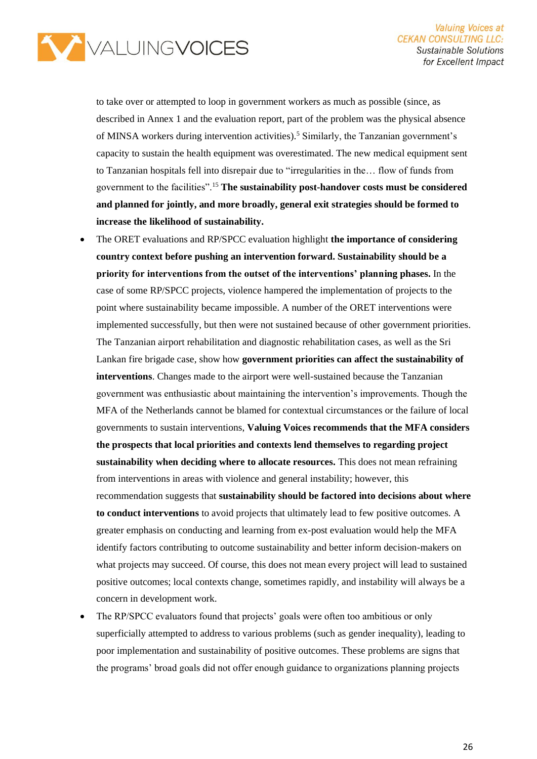

to take over or attempted to loop in government workers as much as possible (since, as described in Annex 1 and the evaluation report, part of the problem was the physical absence of MINSA workers during intervention activities).<sup>5</sup> Similarly, the Tanzanian government's capacity to sustain the health equipment was overestimated. The new medical equipment sent to Tanzanian hospitals fell into disrepair due to "irregularities in the… flow of funds from government to the facilities".<sup>15</sup> **The sustainability post-handover costs must be considered and planned for jointly, and more broadly, general exit strategies should be formed to increase the likelihood of sustainability.**

- The ORET evaluations and RP/SPCC evaluation highlight **the importance of considering country context before pushing an intervention forward. Sustainability should be a priority for interventions from the outset of the interventions' planning phases.** In the case of some RP/SPCC projects, violence hampered the implementation of projects to the point where sustainability became impossible. A number of the ORET interventions were implemented successfully, but then were not sustained because of other government priorities. The Tanzanian airport rehabilitation and diagnostic rehabilitation cases, as well as the Sri Lankan fire brigade case, show how **government priorities can affect the sustainability of interventions**. Changes made to the airport were well-sustained because the Tanzanian government was enthusiastic about maintaining the intervention's improvements. Though the MFA of the Netherlands cannot be blamed for contextual circumstances or the failure of local governments to sustain interventions, **Valuing Voices recommends that the MFA considers the prospects that local priorities and contexts lend themselves to regarding project sustainability when deciding where to allocate resources.** This does not mean refraining from interventions in areas with violence and general instability; however, this recommendation suggests that **sustainability should be factored into decisions about where to conduct interventions** to avoid projects that ultimately lead to few positive outcomes. A greater emphasis on conducting and learning from ex-post evaluation would help the MFA identify factors contributing to outcome sustainability and better inform decision-makers on what projects may succeed. Of course, this does not mean every project will lead to sustained positive outcomes; local contexts change, sometimes rapidly, and instability will always be a concern in development work.
- The RP/SPCC evaluators found that projects' goals were often too ambitious or only superficially attempted to address to various problems (such as gender inequality), leading to poor implementation and sustainability of positive outcomes. These problems are signs that the programs' broad goals did not offer enough guidance to organizations planning projects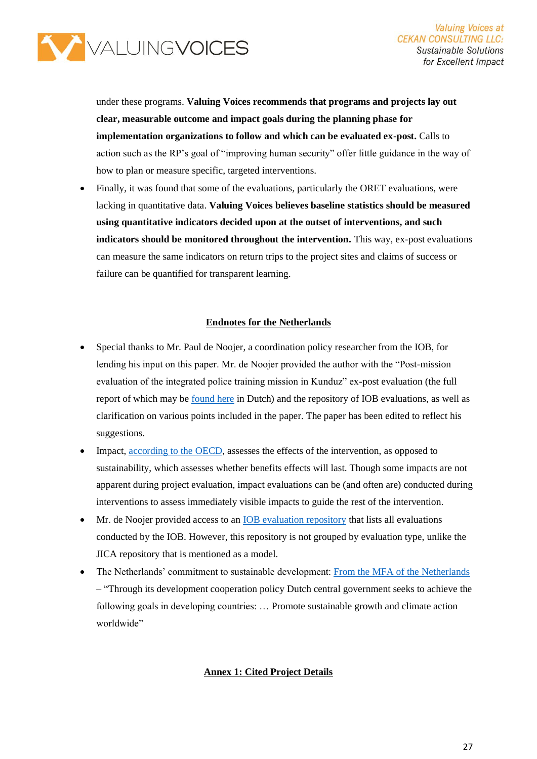

under these programs. **Valuing Voices recommends that programs and projects lay out clear, measurable outcome and impact goals during the planning phase for implementation organizations to follow and which can be evaluated ex-post.** Calls to action such as the RP's goal of "improving human security" offer little guidance in the way of how to plan or measure specific, targeted interventions.

• Finally, it was found that some of the evaluations, particularly the ORET evaluations, were lacking in quantitative data. **Valuing Voices believes baseline statistics should be measured using quantitative indicators decided upon at the outset of interventions, and such indicators should be monitored throughout the intervention.** This way, ex-post evaluations can measure the same indicators on return trips to the project sites and claims of success or failure can be quantified for transparent learning.

#### **Endnotes for the Netherlands**

- Special thanks to Mr. Paul de Noojer, a coordination policy researcher from the IOB, for lending his input on this paper. Mr. de Noojer provided the author with the "Post-mission evaluation of the integrated police training mission in Kunduz" ex-post evaluation (the full report of which may be [found here](https://www.iob-evaluatie.nl/publicaties/rapporten/2019/11/19/432-kunduz) in Dutch) and the repository of IOB evaluations, as well as clarification on various points included in the paper. The paper has been edited to reflect his suggestions.
- Impact, [according to the](https://www.oecd.org/dac/evaluation/daccriteriaforevaluatingdevelopmentassistance.htm#:~:text=The%20extent%20to%20which%20the%20intervention%20has%20generated%20or%20is,transformative%20effects%20of%20the%20intervention.) OECD, assesses the effects of the intervention, as opposed to sustainability, which assesses whether benefits effects will last. Though some impacts are not apparent during project evaluation, impact evaluations can be (and often are) conducted during interventions to assess immediately visible impacts to guide the rest of the intervention.
- Mr. de Noojer provided access to an [IOB evaluation repository](http://archief.iob-evaluatie.nl/en/publicaties.html) that lists all evaluations conducted by the IOB. However, this repository is not grouped by evaluation type, unlike the JICA repository that is mentioned as a model.
- The Netherlands' commitment to sustainable development: [From the MFA of the Netherlands](https://www.government.nl/topics/development-cooperation/the-development-policy-of-the-netherlands) – "Through its development cooperation policy Dutch central government seeks to achieve the following goals in developing countries: … Promote sustainable growth and climate action worldwide"

#### **Annex 1: Cited Project Details**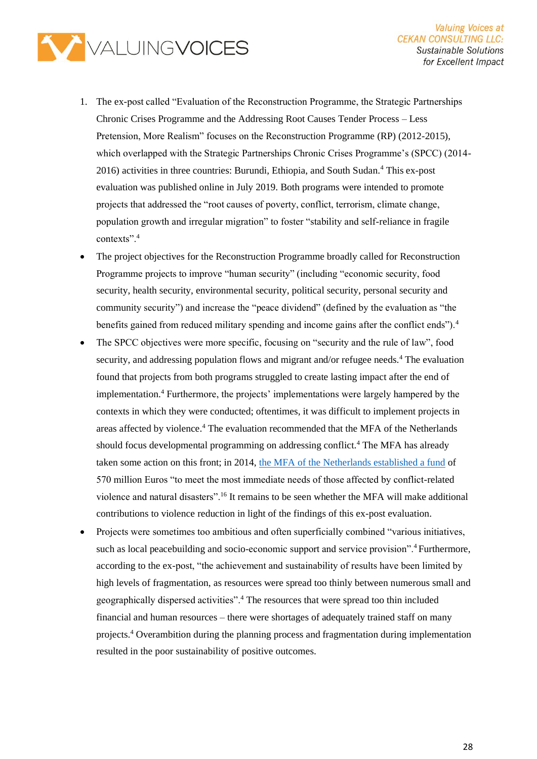

- 1. The ex-post called "Evaluation of the Reconstruction Programme, the Strategic Partnerships Chronic Crises Programme and the Addressing Root Causes Tender Process – Less Pretension, More Realism" focuses on the Reconstruction Programme (RP) (2012-2015), which overlapped with the Strategic Partnerships Chronic Crises Programme's (SPCC) (2014- 2016) activities in three countries: Burundi, Ethiopia, and South Sudan.<sup>4</sup> This ex-post evaluation was published online in July 2019. Both programs were intended to promote projects that addressed the "root causes of poverty, conflict, terrorism, climate change, population growth and irregular migration" to foster "stability and self-reliance in fragile contexts".<sup>4</sup>
- The project objectives for the Reconstruction Programme broadly called for Reconstruction Programme projects to improve "human security" (including "economic security, food security, health security, environmental security, political security, personal security and community security") and increase the "peace dividend" (defined by the evaluation as "the benefits gained from reduced military spending and income gains after the conflict ends").<sup>4</sup>
- The SPCC objectives were more specific, focusing on "security and the rule of law", food security, and addressing population flows and migrant and/or refugee needs.<sup>4</sup> The evaluation found that projects from both programs struggled to create lasting impact after the end of implementation.<sup>4</sup> Furthermore, the projects' implementations were largely hampered by the contexts in which they were conducted; oftentimes, it was difficult to implement projects in areas affected by violence.<sup>4</sup> The evaluation recommended that the MFA of the Netherlands should focus developmental programming on addressing conflict.<sup>4</sup> The MFA has already taken some action on this front; in 2014, [the MFA of the Netherlands established a fund](https://www.government.nl/latest/news/2014/09/16/new-fund-for-victims-of-conflict-related-violence-and-natural-disasters) of 570 million Euros "to meet the most immediate needs of those affected by conflict-related violence and natural disasters".<sup>16</sup> It remains to be seen whether the MFA will make additional contributions to violence reduction in light of the findings of this ex-post evaluation.
- Projects were sometimes too ambitious and often superficially combined "various initiatives, such as local peacebuilding and socio-economic support and service provision".<sup>4</sup> Furthermore, according to the ex-post, "the achievement and sustainability of results have been limited by high levels of fragmentation, as resources were spread too thinly between numerous small and geographically dispersed activities".<sup>4</sup> The resources that were spread too thin included financial and human resources – there were shortages of adequately trained staff on many projects.<sup>4</sup> Overambition during the planning process and fragmentation during implementation resulted in the poor sustainability of positive outcomes.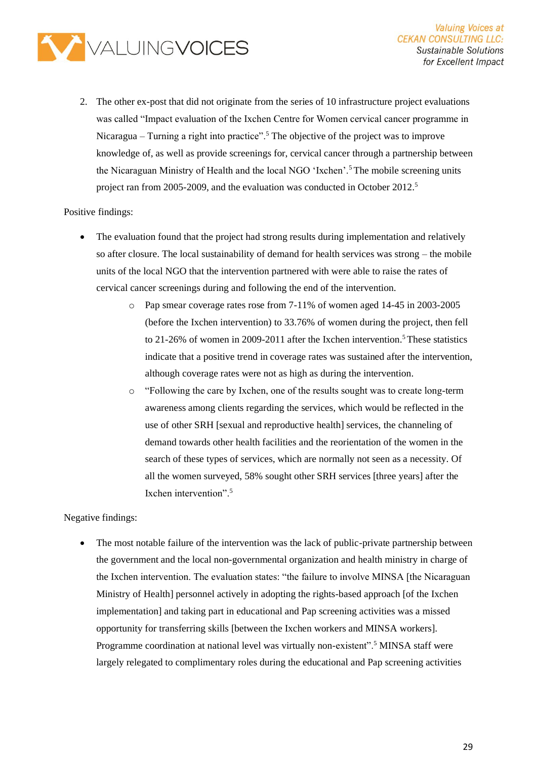

2. The other ex-post that did not originate from the series of 10 infrastructure project evaluations was called "Impact evaluation of the Ixchen Centre for Women cervical cancer programme in Nicaragua – Turning a right into practice".<sup>5</sup> The objective of the project was to improve knowledge of, as well as provide screenings for, cervical cancer through a partnership between the Nicaraguan Ministry of Health and the local NGO 'Ixchen'.<sup>5</sup>The mobile screening units project ran from 2005-2009, and the evaluation was conducted in October 2012.<sup>5</sup>

#### Positive findings:

- The evaluation found that the project had strong results during implementation and relatively so after closure. The local sustainability of demand for health services was strong – the mobile units of the local NGO that the intervention partnered with were able to raise the rates of cervical cancer screenings during and following the end of the intervention.
	- o Pap smear coverage rates rose from 7-11% of women aged 14-45 in 2003-2005 (before the Ixchen intervention) to 33.76% of women during the project, then fell to  $21-26\%$  of women in 2009-2011 after the Ixchen intervention.<sup>5</sup> These statistics indicate that a positive trend in coverage rates was sustained after the intervention, although coverage rates were not as high as during the intervention.
	- $\circ$  "Following the care by Ixchen, one of the results sought was to create long-term awareness among clients regarding the services, which would be reflected in the use of other SRH [sexual and reproductive health] services, the channeling of demand towards other health facilities and the reorientation of the women in the search of these types of services, which are normally not seen as a necessity. Of all the women surveyed, 58% sought other SRH services [three years] after the Ixchen intervention".<sup>5</sup>

#### Negative findings:

• The most notable failure of the intervention was the lack of public-private partnership between the government and the local non-governmental organization and health ministry in charge of the Ixchen intervention. The evaluation states: "the failure to involve MINSA [the Nicaraguan Ministry of Health] personnel actively in adopting the rights-based approach [of the Ixchen implementation] and taking part in educational and Pap screening activities was a missed opportunity for transferring skills [between the Ixchen workers and MINSA workers]. Programme coordination at national level was virtually non-existent".<sup>5</sup> MINSA staff were largely relegated to complimentary roles during the educational and Pap screening activities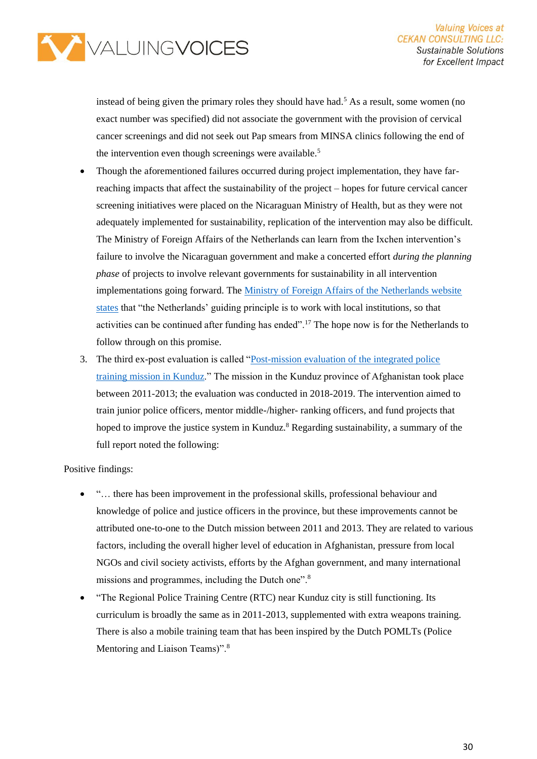

instead of being given the primary roles they should have had.<sup>5</sup> As a result, some women (no exact number was specified) did not associate the government with the provision of cervical cancer screenings and did not seek out Pap smears from MINSA clinics following the end of the intervention even though screenings were available.<sup>5</sup>

- Though the aforementioned failures occurred during project implementation, they have farreaching impacts that affect the sustainability of the project – hopes for future cervical cancer screening initiatives were placed on the Nicaraguan Ministry of Health, but as they were not adequately implemented for sustainability, replication of the intervention may also be difficult. The Ministry of Foreign Affairs of the Netherlands can learn from the Ixchen intervention's failure to involve the Nicaraguan government and make a concerted effort *during the planning phase* of projects to involve relevant governments for sustainability in all intervention implementations going forward. The [Ministry of Foreign Affairs of the Netherlands website](https://www.government.nl/topics/development-cooperation/documents/policy-notes/2018/05/18/investing-in-global-prospects)  [states](https://www.government.nl/topics/development-cooperation/documents/policy-notes/2018/05/18/investing-in-global-prospects) that "the Netherlands' guiding principle is to work with local institutions, so that activities can be continued after funding has ended".<sup>17</sup> The hope now is for the Netherlands to follow through on this promise.
- 3. The third ex-post evaluation is called ["Post-mission evaluation of the integrated police](https://english.iob-evaluatie.nl/publications/reports/2019/11/19/432-kunduz)  [training mission in Kunduz.](https://english.iob-evaluatie.nl/publications/reports/2019/11/19/432-kunduz)" The mission in the Kunduz province of Afghanistan took place between 2011-2013; the evaluation was conducted in 2018-2019. The intervention aimed to train junior police officers, mentor middle-/higher- ranking officers, and fund projects that hoped to improve the justice system in Kunduz.<sup>8</sup> Regarding sustainability, a summary of the full report noted the following:

Positive findings:

- "… there has been improvement in the professional skills, professional behaviour and knowledge of police and justice officers in the province, but these improvements cannot be attributed one-to-one to the Dutch mission between 2011 and 2013. They are related to various factors, including the overall higher level of education in Afghanistan, pressure from local NGOs and civil society activists, efforts by the Afghan government, and many international missions and programmes, including the Dutch one".<sup>8</sup>
- "The Regional Police Training Centre (RTC) near Kunduz city is still functioning. Its curriculum is broadly the same as in 2011-2013, supplemented with extra weapons training. There is also a mobile training team that has been inspired by the Dutch POMLTs (Police Mentoring and Liaison Teams)".<sup>8</sup>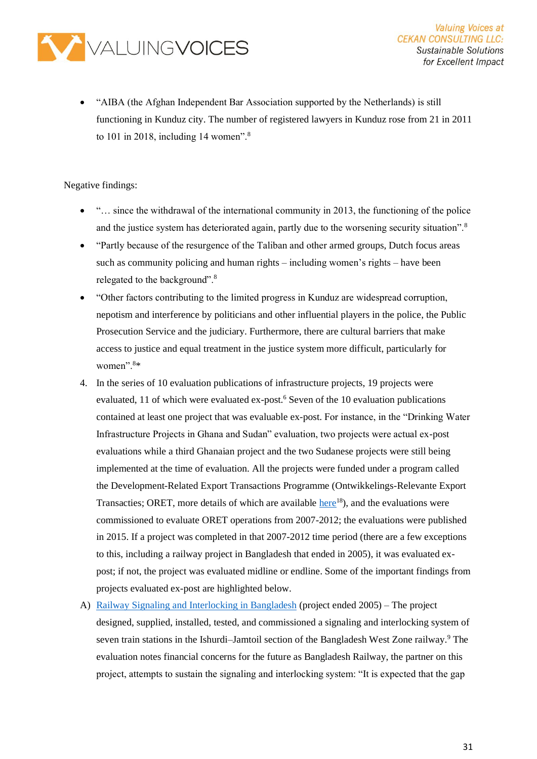

• "AIBA (the Afghan Independent Bar Association supported by the Netherlands) is still functioning in Kunduz city. The number of registered lawyers in Kunduz rose from 21 in 2011 to 101 in 2018, including 14 women".<sup>8</sup>

Negative findings:

- "... since the withdrawal of the international community in 2013, the functioning of the police and the justice system has deteriorated again, partly due to the worsening security situation".<sup>8</sup>
- "Partly because of the resurgence of the Taliban and other armed groups, Dutch focus areas such as community policing and human rights – including women's rights – have been relegated to the background".<sup>8</sup>
- "Other factors contributing to the limited progress in Kunduz are widespread corruption, nepotism and interference by politicians and other influential players in the police, the Public Prosecution Service and the judiciary. Furthermore, there are cultural barriers that make access to justice and equal treatment in the justice system more difficult, particularly for women".<sup>8</sup>\*
- 4. In the series of 10 evaluation publications of infrastructure projects, 19 projects were evaluated, 11 of which were evaluated ex-post.<sup>6</sup> Seven of the 10 evaluation publications contained at least one project that was evaluable ex-post. For instance, in the "Drinking Water Infrastructure Projects in Ghana and Sudan" evaluation, two projects were actual ex-post evaluations while a third Ghanaian project and the two Sudanese projects were still being implemented at the time of evaluation. All the projects were funded under a program called the Development-Related Export Transactions Programme (Ontwikkelings-Relevante Export Transacties; ORET, more details of which are available [here](https://www.government.nl/binaries/government/documents/reports/2015/07/01/iob-work-in-progress-evaluation-of-the-oret-programme-investing-in-public-infrastructure-in-developing-countries/work-in-progress-%E2%80%93-evaluation-of-the-oret-programme-%E2%80%93-investing-in-public-infrastructure-in-developing-countries.pdf)<sup>18</sup>), and the evaluations were commissioned to evaluate ORET operations from 2007-2012; the evaluations were published in 2015. If a project was completed in that 2007-2012 time period (there are a few exceptions to this, including a railway project in Bangladesh that ended in 2005), it was evaluated expost; if not, the project was evaluated midline or endline. Some of the important findings from projects evaluated ex-post are highlighted below.
- A) [Railway Signaling and Interlocking in Bangladesh](https://english.iob-evaluatie.nl/binaries/iob-evaluatie-eng/documents/sub-studies/2015/07/01/investing-in-public-infrastructure-country-case-studies/EUR_Railway_signalling_and_interlocking_in_Bangladesh_201502.pdf) (project ended 2005) The project designed, supplied, installed, tested, and commissioned a signaling and interlocking system of seven train stations in the Ishurdi–Jamtoil section of the Bangladesh West Zone railway.<sup>9</sup> The evaluation notes financial concerns for the future as Bangladesh Railway, the partner on this project, attempts to sustain the signaling and interlocking system: "It is expected that the gap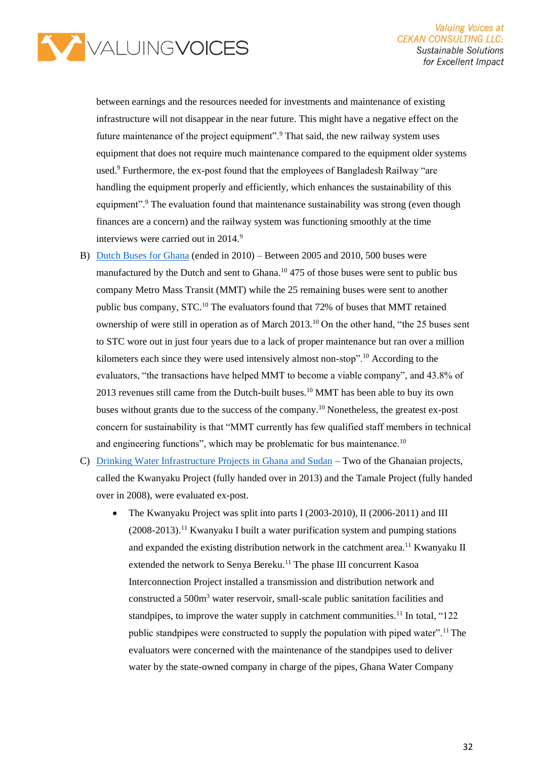

between earnings and the resources needed for investments and maintenance of existing infrastructure will not disappear in the near future. This might have a negative effect on the future maintenance of the project equipment".<sup>9</sup> That said, the new railway system uses equipment that does not require much maintenance compared to the equipment older systems used.<sup>9</sup> Furthermore, the ex-post found that the employees of Bangladesh Railway "are handling the equipment properly and efficiently, which enhances the sustainability of this equipment".<sup>9</sup> The evaluation found that maintenance sustainability was strong (even though finances are a concern) and the railway system was functioning smoothly at the time interviews were carried out in 2014.9

- B) [Dutch Buses for Ghana](https://english.iob-evaluatie.nl/binaries/iob-evaluatie-eng/documents/sub-studies/2015/07/01/investing-in-public-infrastructure-country-case-studies/EUR_Dutch_buses_for_Ghana_201411.pdf) (ended in 2010) Between 2005 and 2010, 500 buses were manufactured by the Dutch and sent to Ghana.<sup>10</sup> 475 of those buses were sent to public bus company Metro Mass Transit (MMT) while the 25 remaining buses were sent to another public bus company, STC.<sup>10</sup> The evaluators found that 72% of buses that MMT retained ownership of were still in operation as of March 2013.<sup>10</sup> On the other hand, "the 25 buses sent to STC wore out in just four years due to a lack of proper maintenance but ran over a million kilometers each since they were used intensively almost non-stop".<sup>10</sup> According to the evaluators, "the transactions have helped MMT to become a viable company", and 43.8% of 2013 revenues still came from the Dutch-built buses.<sup>10</sup> MMT has been able to buy its own buses without grants due to the success of the company.<sup>10</sup> Nonetheless, the greatest ex-post concern for sustainability is that "MMT currently has few qualified staff members in technical and engineering functions", which may be problematic for bus maintenance.<sup>10</sup>
- C) [Drinking Water Infrastructure Projects in Ghana and Sudan](https://english.iob-evaluatie.nl/binaries/iob-evaluatie-eng/documents/sub-studies/2015/07/01/investing-in-public-infrastructure-country-case-studies/University_Bayreuth_Drinking_water_infrastructure_projects_Ghana_Sudan_201502.pdf) Two of the Ghanaian projects, called the Kwanyaku Project (fully handed over in 2013) and the Tamale Project (fully handed over in 2008), were evaluated ex-post.
	- The Kwanyaku Project was split into parts I (2003-2010), II (2006-2011) and III  $(2008-2013)$ .<sup>11</sup> Kwanyaku I built a water purification system and pumping stations and expanded the existing distribution network in the catchment area.<sup>11</sup> Kwanyaku II extended the network to Senya Bereku.<sup>11</sup> The phase III concurrent Kasoa Interconnection Project installed a transmission and distribution network and constructed a 500m<sup>3</sup> water reservoir, small-scale public sanitation facilities and standpipes, to improve the water supply in catchment communities.<sup>11</sup> In total, "122" public standpipes were constructed to supply the population with piped water".<sup>11</sup> The evaluators were concerned with the maintenance of the standpipes used to deliver water by the state-owned company in charge of the pipes, Ghana Water Company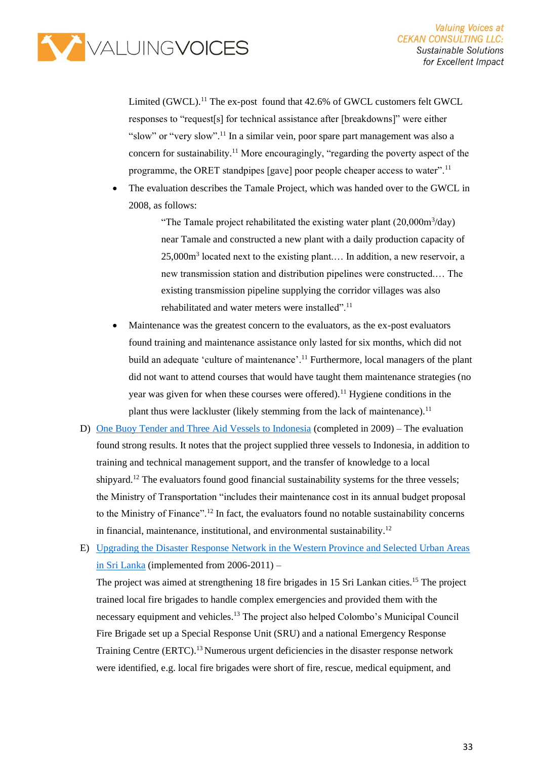

Limited (GWCL).<sup>11</sup> The ex-post found that 42.6% of GWCL customers felt GWCL responses to "request[s] for technical assistance after [breakdowns]" were either "slow" or "very slow".<sup>11</sup> In a similar vein, poor spare part management was also a concern for sustainability.<sup>11</sup> More encouragingly, "regarding the poverty aspect of the programme, the ORET standpipes [gave] poor people cheaper access to water".<sup>11</sup>

The evaluation describes the Tamale Project, which was handed over to the GWCL in 2008, as follows:

> "The Tamale project rehabilitated the existing water plant  $(20,000\text{m}^3/\text{day})$ near Tamale and constructed a new plant with a daily production capacity of 25,000m<sup>3</sup> located next to the existing plant.... In addition, a new reservoir, a new transmission station and distribution pipelines were constructed.… The existing transmission pipeline supplying the corridor villages was also rehabilitated and water meters were installed".<sup>11</sup>

- Maintenance was the greatest concern to the evaluators, as the ex-post evaluators found training and maintenance assistance only lasted for six months, which did not build an adequate 'culture of maintenance'.<sup>11</sup> Furthermore, local managers of the plant did not want to attend courses that would have taught them maintenance strategies (no year was given for when these courses were offered).<sup>11</sup> Hygiene conditions in the plant thus were lackluster (likely stemming from the lack of maintenance).<sup>11</sup>
- D) [One Buoy Tender and Three Aid Vessels to Indonesia](https://english.iob-evaluatie.nl/binaries/iob-evaluatie-eng/documents/sub-studies/2015/07/01/investing-in-public-infrastructure-country-case-studies/EUR_Vessels_Indonesia_201503.pdf) (completed in 2009) The evaluation found strong results. It notes that the project supplied three vessels to Indonesia, in addition to training and technical management support, and the transfer of knowledge to a local shipvard.<sup>12</sup> The evaluators found good financial sustainability systems for the three vessels; the Ministry of Transportation "includes their maintenance cost in its annual budget proposal to the Ministry of Finance".<sup>12</sup> In fact, the evaluators found no notable sustainability concerns in financial, maintenance, institutional, and environmental sustainability.<sup>12</sup>
- E) [Upgrading the Disaster Response Network in the Western Province and Selected Urban Areas](https://english.iob-evaluatie.nl/binaries/iob-evaluatie-eng/documents/sub-studies/2015/07/01/investing-in-public-infrastructure-country-case-studies/EUR_Upgrading_disaster_response_network_Sri_Lanka_201502.pdf)  [in Sri Lanka](https://english.iob-evaluatie.nl/binaries/iob-evaluatie-eng/documents/sub-studies/2015/07/01/investing-in-public-infrastructure-country-case-studies/EUR_Upgrading_disaster_response_network_Sri_Lanka_201502.pdf) (implemented from 2006-2011) –

The project was aimed at strengthening 18 fire brigades in 15 Sri Lankan cities.<sup>15</sup> The project trained local fire brigades to handle complex emergencies and provided them with the necessary equipment and vehicles.<sup>13</sup> The project also helped Colombo's Municipal Council Fire Brigade set up a Special Response Unit (SRU) and a national Emergency Response Training Centre (ERTC).<sup>13</sup> Numerous urgent deficiencies in the disaster response network were identified, e.g. local fire brigades were short of fire, rescue, medical equipment, and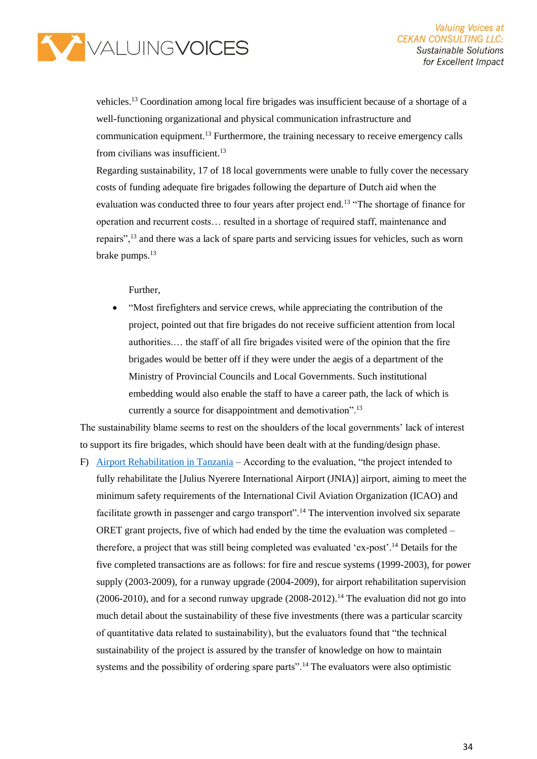

vehicles.<sup>13</sup> Coordination among local fire brigades was insufficient because of a shortage of a well-functioning organizational and physical communication infrastructure and communication equipment.<sup>13</sup> Furthermore, the training necessary to receive emergency calls from civilians was insufficient.<sup>13</sup>

Regarding sustainability, 17 of 18 local governments were unable to fully cover the necessary costs of funding adequate fire brigades following the departure of Dutch aid when the evaluation was conducted three to four years after project end.<sup>13</sup> "The shortage of finance for operation and recurrent costs… resulted in a shortage of required staff, maintenance and repairs",<sup>13</sup> and there was a lack of spare parts and servicing issues for vehicles, such as worn brake pumps.<sup>13</sup>

Further,

• "Most firefighters and service crews, while appreciating the contribution of the project, pointed out that fire brigades do not receive sufficient attention from local authorities.… the staff of all fire brigades visited were of the opinion that the fire brigades would be better off if they were under the aegis of a department of the Ministry of Provincial Councils and Local Governments. Such institutional embedding would also enable the staff to have a career path, the lack of which is currently a source for disappointment and demotivation".<sup>13</sup>

The sustainability blame seems to rest on the shoulders of the local governments' lack of interest to support its fire brigades, which should have been dealt with at the funding/design phase.

F) [Airport Rehabilitation in Tanzania](https://english.iob-evaluatie.nl/binaries/iob-evaluatie-eng/documents/sub-studies/2015/07/01/investing-in-public-infrastructure-country-case-studies/EUR_Airport_rehabilitation_Tanzania_201503.pdf) – According to the evaluation, "the project intended to fully rehabilitate the [Julius Nyerere International Airport (JNIA)] airport, aiming to meet the minimum safety requirements of the International Civil Aviation Organization (ICAO) and facilitate growth in passenger and cargo transport".<sup>14</sup> The intervention involved six separate ORET grant projects, five of which had ended by the time the evaluation was completed – therefore, a project that was still being completed was evaluated 'ex-post'.<sup>14</sup> Details for the five completed transactions are as follows: for fire and rescue systems (1999-2003), for power supply (2003-2009), for a runway upgrade (2004-2009), for airport rehabilitation supervision  $(2006-2010)$ , and for a second runway upgrade  $(2008-2012)$ .<sup>14</sup> The evaluation did not go into much detail about the sustainability of these five investments (there was a particular scarcity of quantitative data related to sustainability), but the evaluators found that "the technical sustainability of the project is assured by the transfer of knowledge on how to maintain systems and the possibility of ordering spare parts".<sup>14</sup> The evaluators were also optimistic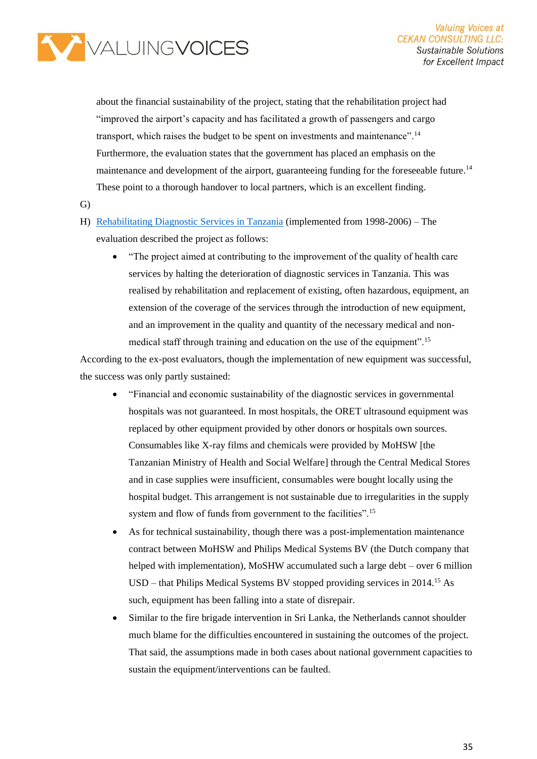

about the financial sustainability of the project, stating that the rehabilitation project had "improved the airport's capacity and has facilitated a growth of passengers and cargo transport, which raises the budget to be spent on investments and maintenance".<sup>14</sup> Furthermore, the evaluation states that the government has placed an emphasis on the maintenance and development of the airport, guaranteeing funding for the foreseeable future.<sup>14</sup> These point to a thorough handover to local partners, which is an excellent finding.

- G)
- H) [Rehabilitating Diagnostic Services](https://english.iob-evaluatie.nl/binaries/iob-evaluatie-eng/documents/sub-studies/2015/07/01/investing-in-public-infrastructure-country-case-studies/EUR_Rehabilitation_diagnostic_services_Tanzania_201504.pdf) in Tanzania (implemented from 1998-2006) The evaluation described the project as follows:
	- "The project aimed at contributing to the improvement of the quality of health care services by halting the deterioration of diagnostic services in Tanzania. This was realised by rehabilitation and replacement of existing, often hazardous, equipment, an extension of the coverage of the services through the introduction of new equipment, and an improvement in the quality and quantity of the necessary medical and nonmedical staff through training and education on the use of the equipment".<sup>15</sup>

According to the ex-post evaluators, though the implementation of new equipment was successful, the success was only partly sustained:

- "Financial and economic sustainability of the diagnostic services in governmental hospitals was not guaranteed. In most hospitals, the ORET ultrasound equipment was replaced by other equipment provided by other donors or hospitals own sources. Consumables like X-ray films and chemicals were provided by MoHSW [the Tanzanian Ministry of Health and Social Welfare] through the Central Medical Stores and in case supplies were insufficient, consumables were bought locally using the hospital budget. This arrangement is not sustainable due to irregularities in the supply system and flow of funds from government to the facilities".<sup>15</sup>
- As for technical sustainability, though there was a post-implementation maintenance contract between MoHSW and Philips Medical Systems BV (the Dutch company that helped with implementation), MoSHW accumulated such a large debt – over 6 million  $USD$  – that Philips Medical Systems BV stopped providing services in 2014.<sup>15</sup> As such, equipment has been falling into a state of disrepair.
- Similar to the fire brigade intervention in Sri Lanka, the Netherlands cannot shoulder much blame for the difficulties encountered in sustaining the outcomes of the project. That said, the assumptions made in both cases about national government capacities to sustain the equipment/interventions can be faulted.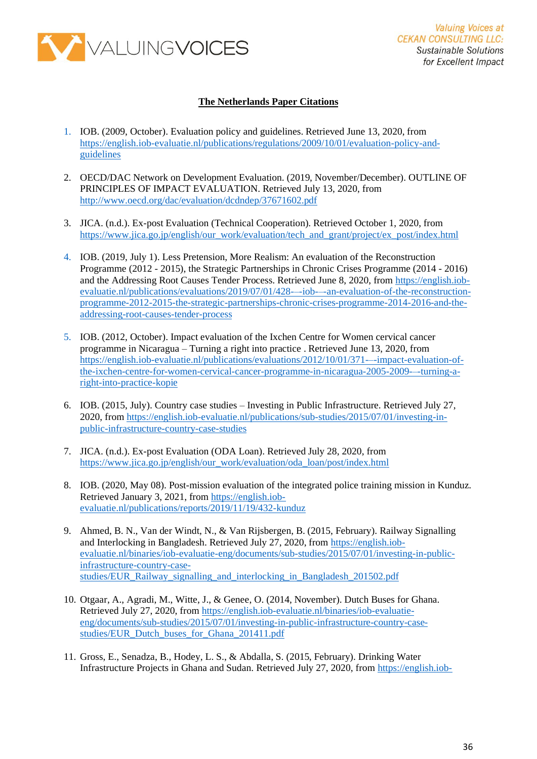

#### **The Netherlands Paper Citations**

- 1. IOB. (2009, October). Evaluation policy and guidelines. Retrieved June 13, 2020, from [https://english.iob-evaluatie.nl/publications/regulations/2009/10/01/evaluation-policy-and](https://english.iob-evaluatie.nl/publications/regulations/2009/10/01/evaluation-policy-and-guidelines)[guidelines](https://english.iob-evaluatie.nl/publications/regulations/2009/10/01/evaluation-policy-and-guidelines)
- 2. OECD/DAC Network on Development Evaluation. (2019, November/December). OUTLINE OF PRINCIPLES OF IMPACT EVALUATION. Retrieved July 13, 2020, from <http://www.oecd.org/dac/evaluation/dcdndep/37671602.pdf>
- 3. JICA. (n.d.). Ex-post Evaluation (Technical Cooperation). Retrieved October 1, 2020, from [https://www.jica.go.jp/english/our\\_work/evaluation/tech\\_and\\_grant/project/ex\\_post/index.html](https://www.jica.go.jp/english/our_work/evaluation/tech_and_grant/project/ex_post/index.html)
- 4. IOB. (2019, July 1). Less Pretension, More Realism: An evaluation of the Reconstruction Programme (2012 - 2015), the Strategic Partnerships in Chronic Crises Programme (2014 - 2016) and the Addressing Root Causes Tender Process. Retrieved June 8, 2020, from [https://english.iob](https://english.iob-evaluatie.nl/publications/evaluations/2019/07/01/428-–-iob-–-an-evaluation-of-the-reconstruction-programme-2012-2015-the-strategic-partnerships-chronic-crises-programme-2014-2016-and-the-addressing-root-causes-tender-process)[evaluatie.nl/publications/evaluations/2019/07/01/428-–-iob-–-an-evaluation-of-the-reconstruction](https://english.iob-evaluatie.nl/publications/evaluations/2019/07/01/428-–-iob-–-an-evaluation-of-the-reconstruction-programme-2012-2015-the-strategic-partnerships-chronic-crises-programme-2014-2016-and-the-addressing-root-causes-tender-process)[programme-2012-2015-the-strategic-partnerships-chronic-crises-programme-2014-2016-and-the](https://english.iob-evaluatie.nl/publications/evaluations/2019/07/01/428-–-iob-–-an-evaluation-of-the-reconstruction-programme-2012-2015-the-strategic-partnerships-chronic-crises-programme-2014-2016-and-the-addressing-root-causes-tender-process)[addressing-root-causes-tender-process](https://english.iob-evaluatie.nl/publications/evaluations/2019/07/01/428-–-iob-–-an-evaluation-of-the-reconstruction-programme-2012-2015-the-strategic-partnerships-chronic-crises-programme-2014-2016-and-the-addressing-root-causes-tender-process)
- 5. IOB. (2012, October). Impact evaluation of the Ixchen Centre for Women cervical cancer programme in Nicaragua – Turning a right into practice . Retrieved June 13, 2020, from [https://english.iob-evaluatie.nl/publications/evaluations/2012/10/01/371-–-impact-evaluation-of](https://english.iob-evaluatie.nl/publications/evaluations/2012/10/01/371-–-impact-evaluation-of-the-ixchen-centre-for-women-cervical-cancer-programme-in-nicaragua-2005-2009-–-turning-a-right-into-practice-kopie)[the-ixchen-centre-for-women-cervical-cancer-programme-in-nicaragua-2005-2009-–-turning-a](https://english.iob-evaluatie.nl/publications/evaluations/2012/10/01/371-–-impact-evaluation-of-the-ixchen-centre-for-women-cervical-cancer-programme-in-nicaragua-2005-2009-–-turning-a-right-into-practice-kopie)[right-into-practice-kopie](https://english.iob-evaluatie.nl/publications/evaluations/2012/10/01/371-–-impact-evaluation-of-the-ixchen-centre-for-women-cervical-cancer-programme-in-nicaragua-2005-2009-–-turning-a-right-into-practice-kopie)
- 6. IOB. (2015, July). Country case studies Investing in Public Infrastructure. Retrieved July 27, 2020, from [https://english.iob-evaluatie.nl/publications/sub-studies/2015/07/01/investing-in](https://english.iob-evaluatie.nl/publications/sub-studies/2015/07/01/investing-in-public-infrastructure-country-case-studies)[public-infrastructure-country-case-studies](https://english.iob-evaluatie.nl/publications/sub-studies/2015/07/01/investing-in-public-infrastructure-country-case-studies)
- 7. JICA. (n.d.). Ex-post Evaluation (ODA Loan). Retrieved July 28, 2020, from [https://www.jica.go.jp/english/our\\_work/evaluation/oda\\_loan/post/index.html](https://www.jica.go.jp/english/our_work/evaluation/oda_loan/post/index.html)
- 8. IOB. (2020, May 08). Post-mission evaluation of the integrated police training mission in Kunduz. Retrieved January 3, 2021, from [https://english.iob](https://english.iob-evaluatie.nl/publications/reports/2019/11/19/432-kunduz)[evaluatie.nl/publications/reports/2019/11/19/432-kunduz](https://english.iob-evaluatie.nl/publications/reports/2019/11/19/432-kunduz)
- 9. Ahmed, B. N., Van der Windt, N., & Van Rijsbergen, B. (2015, February). Railway Signalling and Interlocking in Bangladesh. Retrieved July 27, 2020, from [https://english.iob](https://english.iob-evaluatie.nl/binaries/iob-evaluatie-eng/documents/sub-studies/2015/07/01/investing-in-public-infrastructure-country-case-studies/EUR_Railway_signalling_and_interlocking_in_Bangladesh_201502.pdf)[evaluatie.nl/binaries/iob-evaluatie-eng/documents/sub-studies/2015/07/01/investing-in-public](https://english.iob-evaluatie.nl/binaries/iob-evaluatie-eng/documents/sub-studies/2015/07/01/investing-in-public-infrastructure-country-case-studies/EUR_Railway_signalling_and_interlocking_in_Bangladesh_201502.pdf)[infrastructure-country-case](https://english.iob-evaluatie.nl/binaries/iob-evaluatie-eng/documents/sub-studies/2015/07/01/investing-in-public-infrastructure-country-case-studies/EUR_Railway_signalling_and_interlocking_in_Bangladesh_201502.pdf)[studies/EUR\\_Railway\\_signalling\\_and\\_interlocking\\_in\\_Bangladesh\\_201502.pdf](https://english.iob-evaluatie.nl/binaries/iob-evaluatie-eng/documents/sub-studies/2015/07/01/investing-in-public-infrastructure-country-case-studies/EUR_Railway_signalling_and_interlocking_in_Bangladesh_201502.pdf)
- 10. Otgaar, A., Agradi, M., Witte, J., & Genee, O. (2014, November). Dutch Buses for Ghana. Retrieved July 27, 2020, fro[m https://english.iob-evaluatie.nl/binaries/iob-evaluatie](https://english.iob-evaluatie.nl/binaries/iob-evaluatie-eng/documents/sub-studies/2015/07/01/investing-in-public-infrastructure-country-case-studies/EUR_Dutch_buses_for_Ghana_201411.pdf)[eng/documents/sub-studies/2015/07/01/investing-in-public-infrastructure-country-case](https://english.iob-evaluatie.nl/binaries/iob-evaluatie-eng/documents/sub-studies/2015/07/01/investing-in-public-infrastructure-country-case-studies/EUR_Dutch_buses_for_Ghana_201411.pdf)[studies/EUR\\_Dutch\\_buses\\_for\\_Ghana\\_201411.pdf](https://english.iob-evaluatie.nl/binaries/iob-evaluatie-eng/documents/sub-studies/2015/07/01/investing-in-public-infrastructure-country-case-studies/EUR_Dutch_buses_for_Ghana_201411.pdf)
- 11. Gross, E., Senadza, B., Hodey, L. S., & Abdalla, S. (2015, February). Drinking Water Infrastructure Projects in Ghana and Sudan. Retrieved July 27, 2020, from [https://english.iob-](https://english.iob-evaluatie.nl/binaries/iob-evaluatie-eng/documents/sub-studies/2015/07/01/investing-in-public-infrastructure-country-case-studies/University_Bayreuth_Drinking_water_infrastructure_projects_Ghana_Sudan_201502.pdf)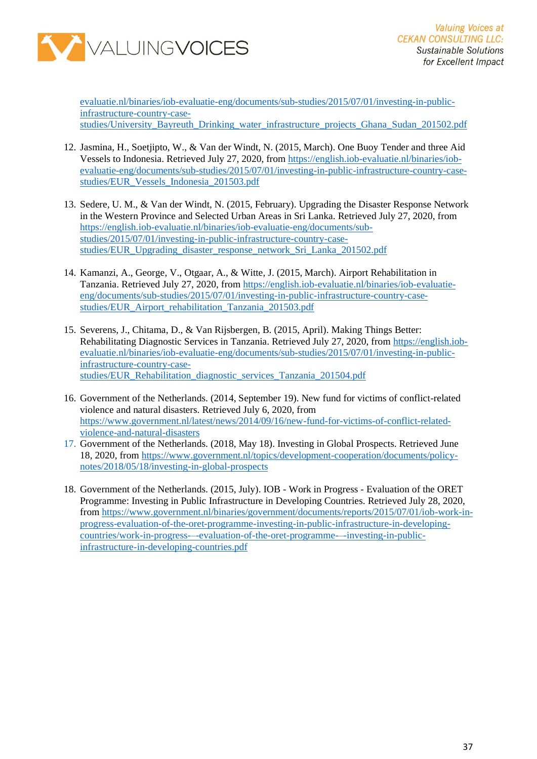

[evaluatie.nl/binaries/iob-evaluatie-eng/documents/sub-studies/2015/07/01/investing-in-public](https://english.iob-evaluatie.nl/binaries/iob-evaluatie-eng/documents/sub-studies/2015/07/01/investing-in-public-infrastructure-country-case-studies/University_Bayreuth_Drinking_water_infrastructure_projects_Ghana_Sudan_201502.pdf)[infrastructure-country-case](https://english.iob-evaluatie.nl/binaries/iob-evaluatie-eng/documents/sub-studies/2015/07/01/investing-in-public-infrastructure-country-case-studies/University_Bayreuth_Drinking_water_infrastructure_projects_Ghana_Sudan_201502.pdf)[studies/University\\_Bayreuth\\_Drinking\\_water\\_infrastructure\\_projects\\_Ghana\\_Sudan\\_201502.pdf](https://english.iob-evaluatie.nl/binaries/iob-evaluatie-eng/documents/sub-studies/2015/07/01/investing-in-public-infrastructure-country-case-studies/University_Bayreuth_Drinking_water_infrastructure_projects_Ghana_Sudan_201502.pdf)

- 12. Jasmina, H., Soetjipto, W., & Van der Windt, N. (2015, March). One Buoy Tender and three Aid Vessels to Indonesia. Retrieved July 27, 2020, from [https://english.iob-evaluatie.nl/binaries/iob](https://english.iob-evaluatie.nl/binaries/iob-evaluatie-eng/documents/sub-studies/2015/07/01/investing-in-public-infrastructure-country-case-studies/EUR_Vessels_Indonesia_201503.pdf)[evaluatie-eng/documents/sub-studies/2015/07/01/investing-in-public-infrastructure-country-case](https://english.iob-evaluatie.nl/binaries/iob-evaluatie-eng/documents/sub-studies/2015/07/01/investing-in-public-infrastructure-country-case-studies/EUR_Vessels_Indonesia_201503.pdf)[studies/EUR\\_Vessels\\_Indonesia\\_201503.pdf](https://english.iob-evaluatie.nl/binaries/iob-evaluatie-eng/documents/sub-studies/2015/07/01/investing-in-public-infrastructure-country-case-studies/EUR_Vessels_Indonesia_201503.pdf)
- 13. Sedere, U. M., & Van der Windt, N. (2015, February). Upgrading the Disaster Response Network in the Western Province and Selected Urban Areas in Sri Lanka. Retrieved July 27, 2020, from [https://english.iob-evaluatie.nl/binaries/iob-evaluatie-eng/documents/sub](https://english.iob-evaluatie.nl/binaries/iob-evaluatie-eng/documents/sub-studies/2015/07/01/investing-in-public-infrastructure-country-case-studies/EUR_Upgrading_disaster_response_network_Sri_Lanka_201502.pdf)[studies/2015/07/01/investing-in-public-infrastructure-country-case](https://english.iob-evaluatie.nl/binaries/iob-evaluatie-eng/documents/sub-studies/2015/07/01/investing-in-public-infrastructure-country-case-studies/EUR_Upgrading_disaster_response_network_Sri_Lanka_201502.pdf)[studies/EUR\\_Upgrading\\_disaster\\_response\\_network\\_Sri\\_Lanka\\_201502.pdf](https://english.iob-evaluatie.nl/binaries/iob-evaluatie-eng/documents/sub-studies/2015/07/01/investing-in-public-infrastructure-country-case-studies/EUR_Upgrading_disaster_response_network_Sri_Lanka_201502.pdf)
- 14. Kamanzi, A., George, V., Otgaar, A., & Witte, J. (2015, March). Airport Rehabilitation in Tanzania. Retrieved July 27, 2020, from [https://english.iob-evaluatie.nl/binaries/iob-evaluatie](https://english.iob-evaluatie.nl/binaries/iob-evaluatie-eng/documents/sub-studies/2015/07/01/investing-in-public-infrastructure-country-case-studies/EUR_Airport_rehabilitation_Tanzania_201503.pdf)[eng/documents/sub-studies/2015/07/01/investing-in-public-infrastructure-country-case](https://english.iob-evaluatie.nl/binaries/iob-evaluatie-eng/documents/sub-studies/2015/07/01/investing-in-public-infrastructure-country-case-studies/EUR_Airport_rehabilitation_Tanzania_201503.pdf)[studies/EUR\\_Airport\\_rehabilitation\\_Tanzania\\_201503.pdf](https://english.iob-evaluatie.nl/binaries/iob-evaluatie-eng/documents/sub-studies/2015/07/01/investing-in-public-infrastructure-country-case-studies/EUR_Airport_rehabilitation_Tanzania_201503.pdf)
- 15. Severens, J., Chitama, D., & Van Rijsbergen, B. (2015, April). Making Things Better: Rehabilitating Diagnostic Services in Tanzania. Retrieved July 27, 2020, from [https://english.iob](https://english.iob-evaluatie.nl/binaries/iob-evaluatie-eng/documents/sub-studies/2015/07/01/investing-in-public-infrastructure-country-case-studies/EUR_Rehabilitation_diagnostic_services_Tanzania_201504.pdf)[evaluatie.nl/binaries/iob-evaluatie-eng/documents/sub-studies/2015/07/01/investing-in-public](https://english.iob-evaluatie.nl/binaries/iob-evaluatie-eng/documents/sub-studies/2015/07/01/investing-in-public-infrastructure-country-case-studies/EUR_Rehabilitation_diagnostic_services_Tanzania_201504.pdf)[infrastructure-country-case](https://english.iob-evaluatie.nl/binaries/iob-evaluatie-eng/documents/sub-studies/2015/07/01/investing-in-public-infrastructure-country-case-studies/EUR_Rehabilitation_diagnostic_services_Tanzania_201504.pdf)[studies/EUR\\_Rehabilitation\\_diagnostic\\_services\\_Tanzania\\_201504.pdf](https://english.iob-evaluatie.nl/binaries/iob-evaluatie-eng/documents/sub-studies/2015/07/01/investing-in-public-infrastructure-country-case-studies/EUR_Rehabilitation_diagnostic_services_Tanzania_201504.pdf)
- 16. Government of the Netherlands. (2014, September 19). New fund for victims of conflict-related violence and natural disasters. Retrieved July 6, 2020, from [https://www.government.nl/latest/news/2014/09/16/new-fund-for-victims-of-conflict-related](https://www.government.nl/latest/news/2014/09/16/new-fund-for-victims-of-conflict-related-violence-and-natural-disasters)[violence-and-natural-disasters](https://www.government.nl/latest/news/2014/09/16/new-fund-for-victims-of-conflict-related-violence-and-natural-disasters)
- 17. Government of the Netherlands. (2018, May 18). Investing in Global Prospects. Retrieved June 18, 2020, from [https://www.government.nl/topics/development-cooperation/documents/policy](https://www.government.nl/topics/development-cooperation/documents/policy-notes/2018/05/18/investing-in-global-prospects)[notes/2018/05/18/investing-in-global-prospects](https://www.government.nl/topics/development-cooperation/documents/policy-notes/2018/05/18/investing-in-global-prospects)
- 18. Government of the Netherlands. (2015, July). IOB Work in Progress Evaluation of the ORET Programme: Investing in Public Infrastructure in Developing Countries. Retrieved July 28, 2020, from [https://www.government.nl/binaries/government/documents/reports/2015/07/01/iob-work-in](https://www.government.nl/binaries/government/documents/reports/2015/07/01/iob-work-in-progress-evaluation-of-the-oret-programme-investing-in-public-infrastructure-in-developing-countries/work-in-progress-–-evaluation-of-the-oret-programme-–-investing-in-public-infrastructure-in-developing-countries.pdf)[progress-evaluation-of-the-oret-programme-investing-in-public-infrastructure-in-developing](https://www.government.nl/binaries/government/documents/reports/2015/07/01/iob-work-in-progress-evaluation-of-the-oret-programme-investing-in-public-infrastructure-in-developing-countries/work-in-progress-–-evaluation-of-the-oret-programme-–-investing-in-public-infrastructure-in-developing-countries.pdf)[countries/work-in-progress-–-evaluation-of-the-oret-programme-–-investing-in-public](https://www.government.nl/binaries/government/documents/reports/2015/07/01/iob-work-in-progress-evaluation-of-the-oret-programme-investing-in-public-infrastructure-in-developing-countries/work-in-progress-–-evaluation-of-the-oret-programme-–-investing-in-public-infrastructure-in-developing-countries.pdf)[infrastructure-in-developing-countries.pdf](https://www.government.nl/binaries/government/documents/reports/2015/07/01/iob-work-in-progress-evaluation-of-the-oret-programme-investing-in-public-infrastructure-in-developing-countries/work-in-progress-–-evaluation-of-the-oret-programme-–-investing-in-public-infrastructure-in-developing-countries.pdf)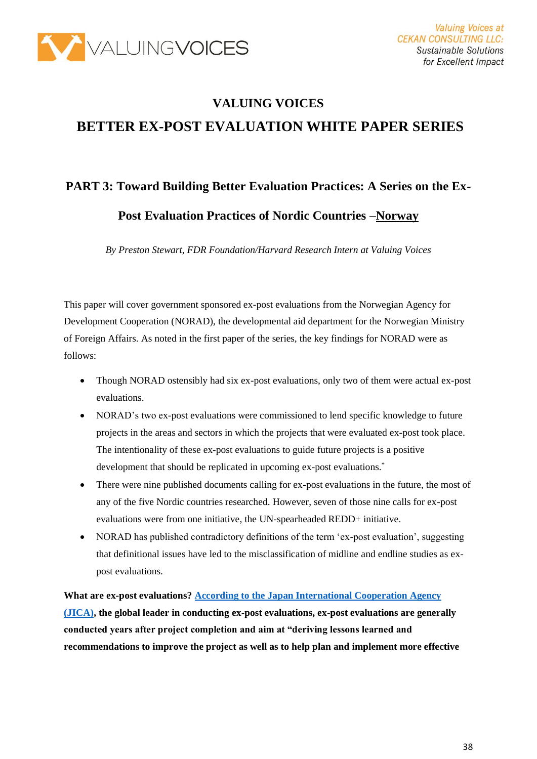

# **VALUING VOICES BETTER EX-POST EVALUATION WHITE PAPER SERIES**

## **PART 3: Toward Building Better Evaluation Practices: A Series on the Ex-**

**Post Evaluation Practices of Nordic Countries –Norway**

*By Preston Stewart, FDR Foundation/Harvard Research Intern at Valuing Voices*

This paper will cover government sponsored ex-post evaluations from the Norwegian Agency for Development Cooperation (NORAD), the developmental aid department for the Norwegian Ministry of Foreign Affairs. As noted in the first paper of the series, the key findings for NORAD were as follows:

- Though NORAD ostensibly had six ex-post evaluations, only two of them were actual ex-post evaluations.
- NORAD's two ex-post evaluations were commissioned to lend specific knowledge to future projects in the areas and sectors in which the projects that were evaluated ex-post took place. The intentionality of these ex-post evaluations to guide future projects is a positive development that should be replicated in upcoming ex-post evaluations.\*
- There were nine published documents calling for ex-post evaluations in the future, the most of any of the five Nordic countries researched. However, seven of those nine calls for ex-post evaluations were from one initiative, the UN-spearheaded REDD+ initiative.
- NORAD has published contradictory definitions of the term 'ex-post evaluation', suggesting that definitional issues have led to the misclassification of midline and endline studies as expost evaluations.

**What are ex-post evaluations[? According to the Japan International Cooperation Agency](https://www.jica.go.jp/english/our_work/evaluation/tech_and_grant/project/ex_post/index.html)  [\(JICA\),](https://www.jica.go.jp/english/our_work/evaluation/tech_and_grant/project/ex_post/index.html) the global leader in conducting ex-post evaluations, ex-post evaluations are generally conducted years after project completion and aim at "deriving lessons learned and recommendations to improve the project as well as to help plan and implement more effective**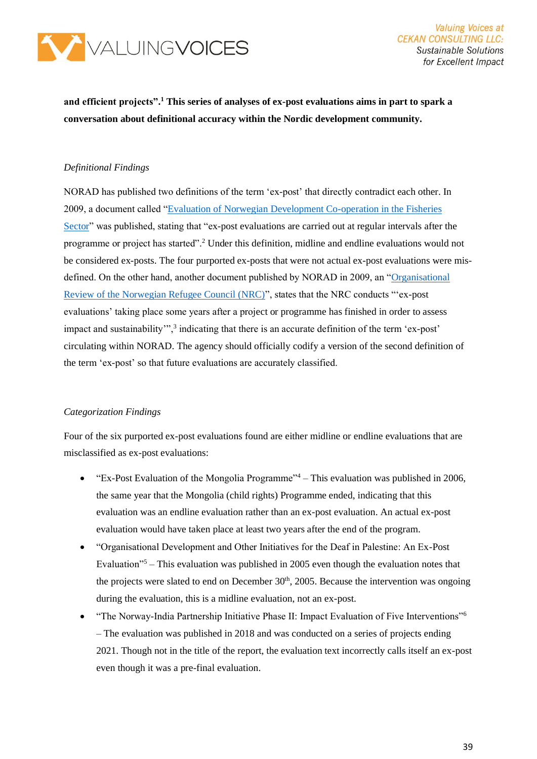

**Valuing Voices at CEKAN CONSULTING LLC: Sustainable Solutions** for Excellent Impact

**and efficient projects".<sup>1</sup> This series of analyses of ex-post evaluations aims in part to spark a conversation about definitional accuracy within the Nordic development community.**

#### *Definitional Findings*

NORAD has published two definitions of the term 'ex-post' that directly contradict each other. In 2009, a document called "Evaluation of [Norwegian Development Co-operation in the Fisheries](https://norad.no/globalassets/import-2162015-80434-am/www.norad.no-ny/filarkiv/vedlegg-til-publikasjoner/evaluation-of-norwegian-development-co-operation-in-the-fisheries-sector1.pdf)  [Sector"](https://norad.no/globalassets/import-2162015-80434-am/www.norad.no-ny/filarkiv/vedlegg-til-publikasjoner/evaluation-of-norwegian-development-co-operation-in-the-fisheries-sector1.pdf) was published, stating that "ex-post evaluations are carried out at regular intervals after the programme or project has started".<sup>2</sup> Under this definition, midline and endline evaluations would not be considered ex-posts. The four purported ex-posts that were not actual ex-post evaluations were misdefined. On the other hand, another document published by NORAD in 2009, an ["Organisational](https://norad.no/globalassets/import-2162015-80434-am/www.norad.no-ny/filarkiv/vedlegg-til-publikasjoner/organisational-review-of-the-norwegian-refugee-council.pdf)  [Review of the Norwegian Refugee Council \(NRC\)"](https://norad.no/globalassets/import-2162015-80434-am/www.norad.no-ny/filarkiv/vedlegg-til-publikasjoner/organisational-review-of-the-norwegian-refugee-council.pdf), states that the NRC conducts "'ex-post evaluations' taking place some years after a project or programme has finished in order to assess impact and sustainability"',<sup>3</sup> indicating that there is an accurate definition of the term 'ex-post' circulating within NORAD. The agency should officially codify a version of the second definition of the term 'ex-post' so that future evaluations are accurately classified.

#### *Categorization Findings*

Four of the six purported ex-post evaluations found are either midline or endline evaluations that are misclassified as ex-post evaluations:

- "Ex-Post Evaluation of the Mongolia Programme"<sup>4</sup> This evaluation was published in 2006, the same year that the Mongolia (child rights) Programme ended, indicating that this evaluation was an endline evaluation rather than an ex-post evaluation. An actual ex-post evaluation would have taken place at least two years after the end of the program.
- "Organisational Development and Other Initiatives for the Deaf in Palestine: An Ex-Post Evaluation"<sup>5</sup> – This evaluation was published in 2005 even though the evaluation notes that the projects were slated to end on December  $30<sup>th</sup>$ , 2005. Because the intervention was ongoing during the evaluation, this is a midline evaluation, not an ex-post.
- "The Norway-India Partnership Initiative Phase II: Impact Evaluation of Five Interventions"<sup>6</sup> – The evaluation was published in 2018 and was conducted on a series of projects ending 2021. Though not in the title of the report, the evaluation text incorrectly calls itself an ex-post even though it was a pre-final evaluation.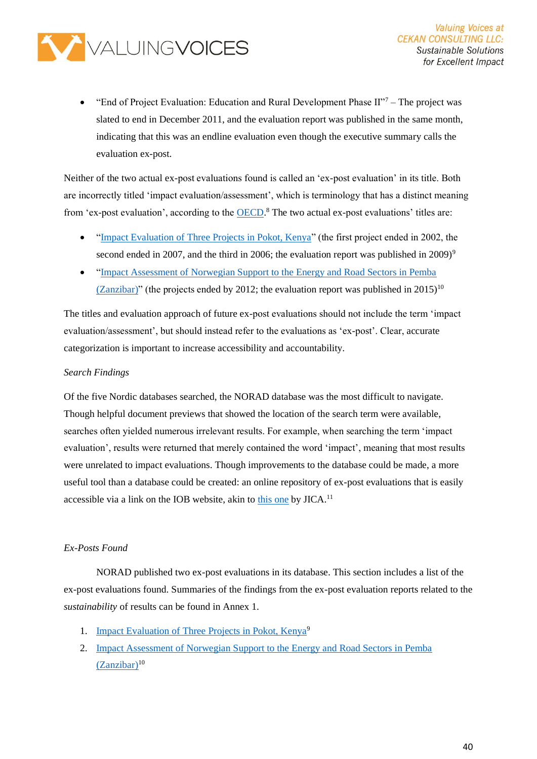

"End of Project Evaluation: Education and Rural Development Phase  $II$ <sup>-7</sup> – The project was slated to end in December 2011, and the evaluation report was published in the same month, indicating that this was an endline evaluation even though the executive summary calls the evaluation ex-post.

Neither of the two actual ex-post evaluations found is called an 'ex-post evaluation' in its title. Both are incorrectly titled 'impact evaluation/assessment', which is terminology that has a distinct meaning from 'ex-post evaluation', according to the **OECD**.<sup>8</sup> The two actual ex-post evaluations' titles are:

- ["Impact Evaluation of Three Projects in Pokot, Kenya"](https://norad.no/globalassets/import-2162015-80434-am/www.norad.no-ny/filarkiv/ngo-evaluations/impact-evaluation-of-three-projects-in-pokot-kenya.pdf) (the first project ended in 2002, the second ended in 2007, and the third in 2006; the evaluation report was published in 2009)<sup>9</sup>
- ["Impact Assessment of Norwegian Support to the Energy and Road Sectors in Pemba](https://norad.no/globalassets/publikasjoner/publikasjoner-2015-/norad-collected-reviews/impact-assessment-of-norwegian-support-to-the-energy-and-road-sectors-in-pemba.pdf)  [\(Zanzibar\)](https://norad.no/globalassets/publikasjoner/publikasjoner-2015-/norad-collected-reviews/impact-assessment-of-norwegian-support-to-the-energy-and-road-sectors-in-pemba.pdf)" (the projects ended by 2012; the evaluation report was published in  $2015$ )<sup>10</sup>

The titles and evaluation approach of future ex-post evaluations should not include the term 'impact evaluation/assessment', but should instead refer to the evaluations as 'ex-post'. Clear, accurate categorization is important to increase accessibility and accountability.

#### *Search Findings*

Of the five Nordic databases searched, the NORAD database was the most difficult to navigate. Though helpful document previews that showed the location of the search term were available, searches often yielded numerous irrelevant results. For example, when searching the term 'impact evaluation', results were returned that merely contained the word 'impact', meaning that most results were unrelated to impact evaluations. Though improvements to the database could be made, a more useful tool than a database could be created: an online repository of ex-post evaluations that is easily accessible via a link on the IOB website, akin to [this one](https://www.jica.go.jp/english/our_work/evaluation/oda_loan/post/index.html) by  $JICA$ <sup>11</sup>

#### *Ex-Posts Found*

NORAD published two ex-post evaluations in its database. This section includes a list of the ex-post evaluations found. Summaries of the findings from the ex-post evaluation reports related to the *sustainability* of results can be found in Annex 1.

- 1. [Impact Evaluation of Three Projects in Pokot, Kenya](https://norad.no/globalassets/import-2162015-80434-am/www.norad.no-ny/filarkiv/ngo-evaluations/impact-evaluation-of-three-projects-in-pokot-kenya.pdf)<sup>9</sup>
- 2. [Impact Assessment of Norwegian Support to the Energy and Road Sectors in Pemba](https://norad.no/globalassets/publikasjoner/publikasjoner-2015-/norad-collected-reviews/impact-assessment-of-norwegian-support-to-the-energy-and-road-sectors-in-pemba.pdf)  [\(Zanzibar\)](https://norad.no/globalassets/publikasjoner/publikasjoner-2015-/norad-collected-reviews/impact-assessment-of-norwegian-support-to-the-energy-and-road-sectors-in-pemba.pdf)<sup>10</sup>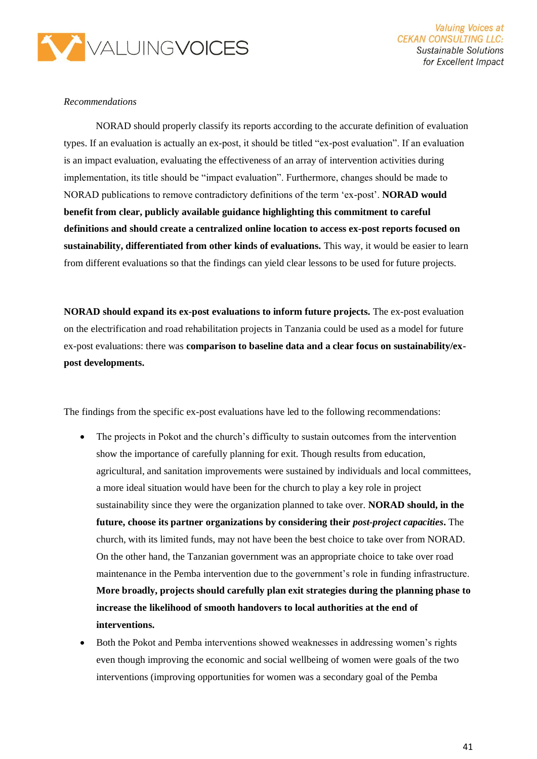

#### *Recommendations*

NORAD should properly classify its reports according to the accurate definition of evaluation types. If an evaluation is actually an ex-post, it should be titled "ex-post evaluation". If an evaluation is an impact evaluation, evaluating the effectiveness of an array of intervention activities during implementation, its title should be "impact evaluation". Furthermore, changes should be made to NORAD publications to remove contradictory definitions of the term 'ex-post'. **NORAD would benefit from clear, publicly available guidance highlighting this commitment to careful definitions and should create a centralized online location to access ex-post reports focused on sustainability, differentiated from other kinds of evaluations.** This way, it would be easier to learn from different evaluations so that the findings can yield clear lessons to be used for future projects.

**NORAD should expand its ex-post evaluations to inform future projects.** The ex-post evaluation on the electrification and road rehabilitation projects in Tanzania could be used as a model for future ex-post evaluations: there was **comparison to baseline data and a clear focus on sustainability/expost developments.**

The findings from the specific ex-post evaluations have led to the following recommendations:

- The projects in Pokot and the church's difficulty to sustain outcomes from the intervention show the importance of carefully planning for exit. Though results from education, agricultural, and sanitation improvements were sustained by individuals and local committees, a more ideal situation would have been for the church to play a key role in project sustainability since they were the organization planned to take over. **NORAD should, in the future, choose its partner organizations by considering their** *post-project capacities***.** The church, with its limited funds, may not have been the best choice to take over from NORAD. On the other hand, the Tanzanian government was an appropriate choice to take over road maintenance in the Pemba intervention due to the government's role in funding infrastructure. **More broadly, projects should carefully plan exit strategies during the planning phase to increase the likelihood of smooth handovers to local authorities at the end of interventions.**
- Both the Pokot and Pemba interventions showed weaknesses in addressing women's rights even though improving the economic and social wellbeing of women were goals of the two interventions (improving opportunities for women was a secondary goal of the Pemba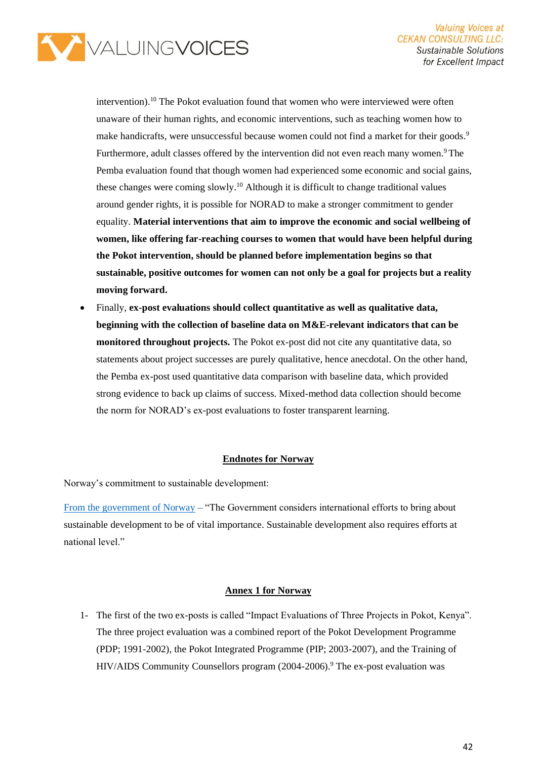

intervention).<sup>10</sup> The Pokot evaluation found that women who were interviewed were often unaware of their human rights, and economic interventions, such as teaching women how to make handicrafts, were unsuccessful because women could not find a market for their goods.<sup>9</sup> Furthermore, adult classes offered by the intervention did not even reach many women.<sup>9</sup>The Pemba evaluation found that though women had experienced some economic and social gains, these changes were coming slowly.<sup>10</sup> Although it is difficult to change traditional values around gender rights, it is possible for NORAD to make a stronger commitment to gender equality. **Material interventions that aim to improve the economic and social wellbeing of women, like offering far-reaching courses to women that would have been helpful during the Pokot intervention, should be planned before implementation begins so that sustainable, positive outcomes for women can not only be a goal for projects but a reality moving forward.**

• Finally, **ex-post evaluations should collect quantitative as well as qualitative data, beginning with the collection of baseline data on M&E-relevant indicators that can be monitored throughout projects.** The Pokot ex-post did not cite any quantitative data, so statements about project successes are purely qualitative, hence anecdotal. On the other hand, the Pemba ex-post used quantitative data comparison with baseline data, which provided strong evidence to back up claims of success. Mixed-method data collection should become the norm for NORAD's ex-post evaluations to foster transparent learning.

#### **Endnotes for Norway**

Norway's commitment to sustainable development:

[From the government of Norway](https://www.regjeringen.no/globalassets/upload/fin/berekraftig/nat_action.pdf) – "The Government considers international efforts to bring about sustainable development to be of vital importance. Sustainable development also requires efforts at national level."

#### **Annex 1 for Norway**

1- The first of the two ex-posts is called "Impact Evaluations of Three Projects in Pokot, Kenya". The three project evaluation was a combined report of the Pokot Development Programme (PDP; 1991-2002), the Pokot Integrated Programme (PIP; 2003-2007), and the Training of HIV/AIDS Community Counsellors program (2004-2006).<sup>9</sup> The ex-post evaluation was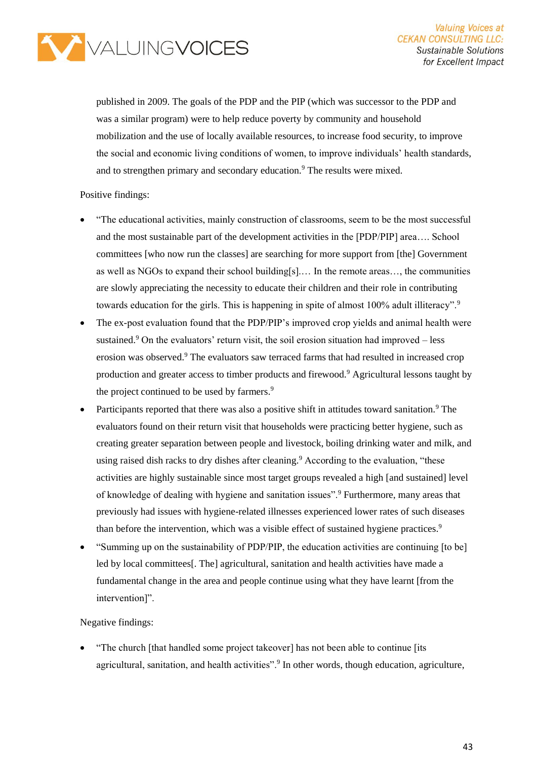

published in 2009. The goals of the PDP and the PIP (which was successor to the PDP and was a similar program) were to help reduce poverty by community and household mobilization and the use of locally available resources, to increase food security, to improve the social and economic living conditions of women, to improve individuals' health standards, and to strengthen primary and secondary education.<sup>9</sup> The results were mixed.

#### Positive findings:

- "The educational activities, mainly construction of classrooms, seem to be the most successful and the most sustainable part of the development activities in the [PDP/PIP] area…. School committees [who now run the classes] are searching for more support from [the] Government as well as NGOs to expand their school building[s].… In the remote areas…, the communities are slowly appreciating the necessity to educate their children and their role in contributing towards education for the girls. This is happening in spite of almost 100% adult illiteracy".<sup>9</sup>
- The ex-post evaluation found that the PDP/PIP's improved crop yields and animal health were sustained.<sup>9</sup> On the evaluators' return visit, the soil erosion situation had improved  $-$  less erosion was observed.<sup>9</sup> The evaluators saw terraced farms that had resulted in increased crop production and greater access to timber products and firewood.<sup>9</sup> Agricultural lessons taught by the project continued to be used by farmers.<sup>9</sup>
- Participants reported that there was also a positive shift in attitudes toward sanitation.<sup>9</sup> The evaluators found on their return visit that households were practicing better hygiene, such as creating greater separation between people and livestock, boiling drinking water and milk, and using raised dish racks to dry dishes after cleaning.<sup>9</sup> According to the evaluation, "these activities are highly sustainable since most target groups revealed a high [and sustained] level of knowledge of dealing with hygiene and sanitation issues".<sup>9</sup> Furthermore, many areas that previously had issues with hygiene-related illnesses experienced lower rates of such diseases than before the intervention, which was a visible effect of sustained hygiene practices.<sup>9</sup>
- "Summing up on the sustainability of PDP/PIP, the education activities are continuing [to be] led by local committees[. The] agricultural, sanitation and health activities have made a fundamental change in the area and people continue using what they have learnt [from the intervention]".

#### Negative findings:

• "The church [that handled some project takeover] has not been able to continue [its agricultural, sanitation, and health activities".<sup>9</sup> In other words, though education, agriculture,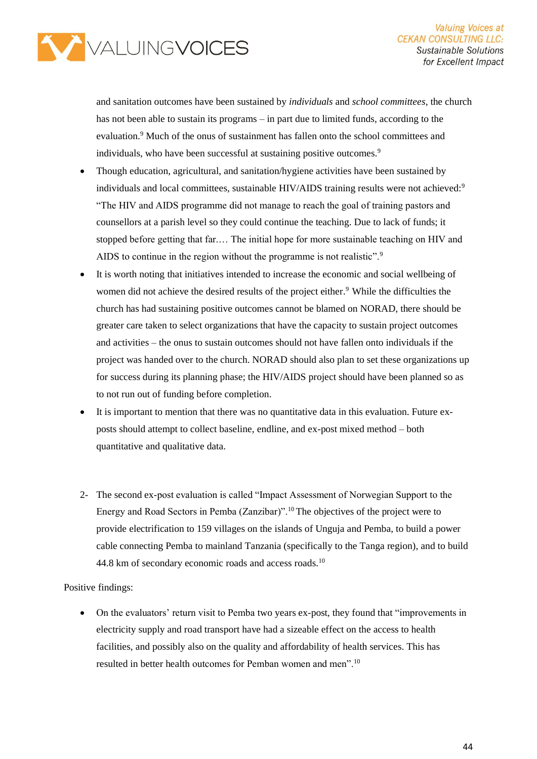

and sanitation outcomes have been sustained by *individuals* and *school committees*, the church has not been able to sustain its programs – in part due to limited funds, according to the evaluation.<sup>9</sup> Much of the onus of sustainment has fallen onto the school committees and individuals, who have been successful at sustaining positive outcomes.<sup>9</sup>

- Though education, agricultural, and sanitation/hygiene activities have been sustained by individuals and local committees, sustainable HIV/AIDS training results were not achieved:<sup>9</sup> "The HIV and AIDS programme did not manage to reach the goal of training pastors and counsellors at a parish level so they could continue the teaching. Due to lack of funds; it stopped before getting that far.… The initial hope for more sustainable teaching on HIV and AIDS to continue in the region without the programme is not realistic".<sup>9</sup>
- It is worth noting that initiatives intended to increase the economic and social wellbeing of women did not achieve the desired results of the project either.<sup>9</sup> While the difficulties the church has had sustaining positive outcomes cannot be blamed on NORAD, there should be greater care taken to select organizations that have the capacity to sustain project outcomes and activities – the onus to sustain outcomes should not have fallen onto individuals if the project was handed over to the church. NORAD should also plan to set these organizations up for success during its planning phase; the HIV/AIDS project should have been planned so as to not run out of funding before completion.
- It is important to mention that there was no quantitative data in this evaluation. Future exposts should attempt to collect baseline, endline, and ex-post mixed method – both quantitative and qualitative data.
- 2- The second ex-post evaluation is called "Impact Assessment of Norwegian Support to the Energy and Road Sectors in Pemba (Zanzibar)".<sup>10</sup>The objectives of the project were to provide electrification to 159 villages on the islands of Unguja and Pemba, to build a power cable connecting Pemba to mainland Tanzania (specifically to the Tanga region), and to build 44.8 km of secondary economic roads and access roads.<sup>10</sup>

Positive findings:

• On the evaluators' return visit to Pemba two years ex-post, they found that "improvements in electricity supply and road transport have had a sizeable effect on the access to health facilities, and possibly also on the quality and affordability of health services. This has resulted in better health outcomes for Pemban women and men".10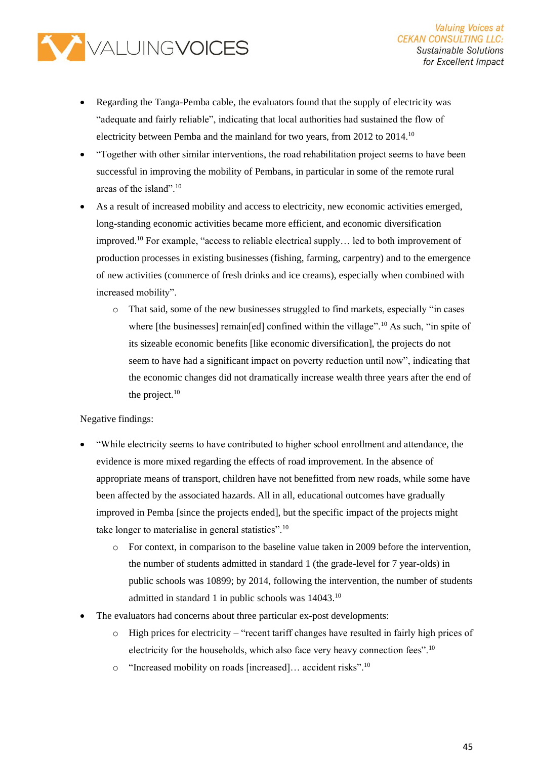

- Regarding the Tanga-Pemba cable, the evaluators found that the supply of electricity was "adequate and fairly reliable", indicating that local authorities had sustained the flow of electricity between Pemba and the mainland for two years, from 2012 to 2014.<sup>10</sup>
- "Together with other similar interventions, the road rehabilitation project seems to have been successful in improving the mobility of Pembans, in particular in some of the remote rural areas of the island".<sup>10</sup>
- As a result of increased mobility and access to electricity, new economic activities emerged, long-standing economic activities became more efficient, and economic diversification improved.<sup>10</sup> For example, "access to reliable electrical supply… led to both improvement of production processes in existing businesses (fishing, farming, carpentry) and to the emergence of new activities (commerce of fresh drinks and ice creams), especially when combined with increased mobility".
	- o That said, some of the new businesses struggled to find markets, especially "in cases where [the businesses] remain[ed] confined within the village".<sup>10</sup> As such, "in spite of its sizeable economic benefits [like economic diversification], the projects do not seem to have had a significant impact on poverty reduction until now", indicating that the economic changes did not dramatically increase wealth three years after the end of the project. $10$

#### Negative findings:

- "While electricity seems to have contributed to higher school enrollment and attendance, the evidence is more mixed regarding the effects of road improvement. In the absence of appropriate means of transport, children have not benefitted from new roads, while some have been affected by the associated hazards. All in all, educational outcomes have gradually improved in Pemba [since the projects ended], but the specific impact of the projects might take longer to materialise in general statistics".<sup>10</sup>
	- o For context, in comparison to the baseline value taken in 2009 before the intervention, the number of students admitted in standard 1 (the grade-level for 7 year-olds) in public schools was 10899; by 2014, following the intervention, the number of students admitted in standard 1 in public schools was 14043.<sup>10</sup>
- The evaluators had concerns about three particular ex-post developments:
	- $\circ$  High prices for electricity "recent tariff changes have resulted in fairly high prices of electricity for the households, which also face very heavy connection fees".<sup>10</sup>
	- $\circ$  "Increased mobility on roads [increased]... accident risks".<sup>10</sup>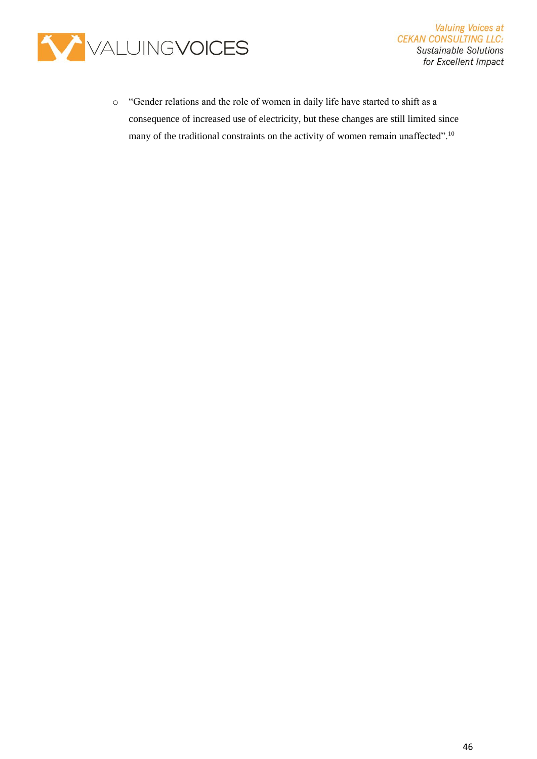

o "Gender relations and the role of women in daily life have started to shift as a consequence of increased use of electricity, but these changes are still limited since many of the traditional constraints on the activity of women remain unaffected".10

**Valuing Voices at** 

**CEKAN CONSULTING LLC: Sustainable Solutions** for Excellent Impact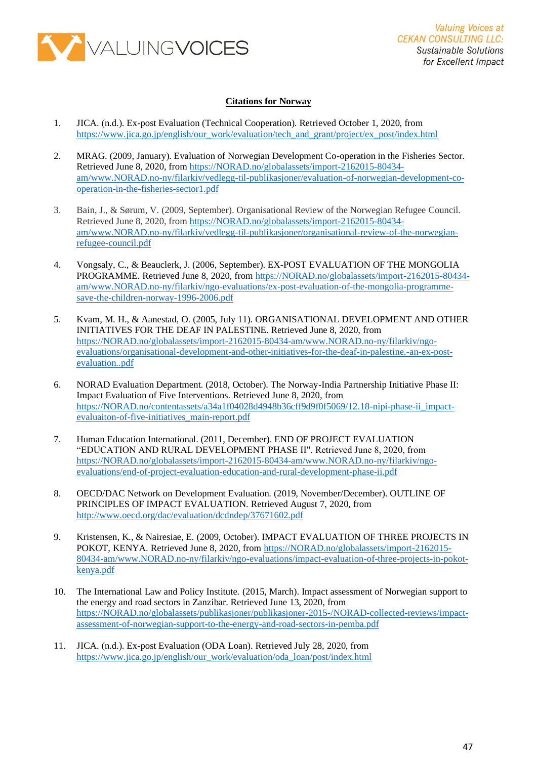

#### **Citations for Norway**

- 1. JICA. (n.d.). Ex-post Evaluation (Technical Cooperation). Retrieved October 1, 2020, from [https://www.jica.go.jp/english/our\\_work/evaluation/tech\\_and\\_grant/project/ex\\_post/index.html](https://www.jica.go.jp/english/our_work/evaluation/tech_and_grant/project/ex_post/index.html)
- 2. MRAG. (2009, January). Evaluation of Norwegian Development Co-operation in the Fisheries Sector. Retrieved June 8, 2020, from [https://NORAD.no/globalassets/import-2162015-80434](https://norad.no/globalassets/import-2162015-80434-am/www.norad.no-ny/filarkiv/vedlegg-til-publikasjoner/evaluation-of-norwegian-development-co-operation-in-the-fisheries-sector1.pdf) [am/www.NORAD.no-ny/filarkiv/vedlegg-til-publikasjoner/evaluation-of-norwegian-development-co](https://norad.no/globalassets/import-2162015-80434-am/www.norad.no-ny/filarkiv/vedlegg-til-publikasjoner/evaluation-of-norwegian-development-co-operation-in-the-fisheries-sector1.pdf)[operation-in-the-fisheries-sector1.pdf](https://norad.no/globalassets/import-2162015-80434-am/www.norad.no-ny/filarkiv/vedlegg-til-publikasjoner/evaluation-of-norwegian-development-co-operation-in-the-fisheries-sector1.pdf)
- 3. Bain, J., & Sørum, V. (2009, September). Organisational Review of the Norwegian Refugee Council. Retrieved June 8, 2020, from [https://NORAD.no/globalassets/import-2162015-80434](https://norad.no/globalassets/import-2162015-80434-am/www.norad.no-ny/filarkiv/vedlegg-til-publikasjoner/organisational-review-of-the-norwegian-refugee-council.pdf) [am/www.NORAD.no-ny/filarkiv/vedlegg-til-publikasjoner/organisational-review-of-the-norwegian](https://norad.no/globalassets/import-2162015-80434-am/www.norad.no-ny/filarkiv/vedlegg-til-publikasjoner/organisational-review-of-the-norwegian-refugee-council.pdf)[refugee-council.pdf](https://norad.no/globalassets/import-2162015-80434-am/www.norad.no-ny/filarkiv/vedlegg-til-publikasjoner/organisational-review-of-the-norwegian-refugee-council.pdf)
- 4. Vongsaly, C., & Beauclerk, J. (2006, September). EX-POST EVALUATION OF THE MONGOLIA PROGRAMME. Retrieved June 8, 2020, from [https://NORAD.no/globalassets/import-2162015-80434](https://norad.no/globalassets/import-2162015-80434-am/www.norad.no-ny/filarkiv/ngo-evaluations/ex-post-evaluation-of-the-mongolia-programme-save-the-children-norway-1996-2006.pdf) [am/www.NORAD.no-ny/filarkiv/ngo-evaluations/ex-post-evaluation-of-the-mongolia-programme](https://norad.no/globalassets/import-2162015-80434-am/www.norad.no-ny/filarkiv/ngo-evaluations/ex-post-evaluation-of-the-mongolia-programme-save-the-children-norway-1996-2006.pdf)[save-the-children-norway-1996-2006.pdf](https://norad.no/globalassets/import-2162015-80434-am/www.norad.no-ny/filarkiv/ngo-evaluations/ex-post-evaluation-of-the-mongolia-programme-save-the-children-norway-1996-2006.pdf)
- 5. Kvam, M. H., & Aanestad, O. (2005, July 11). ORGANISATIONAL DEVELOPMENT AND OTHER INITIATIVES FOR THE DEAF IN PALESTINE. Retrieved June 8, 2020, from [https://NORAD.no/globalassets/import-2162015-80434-am/www.NORAD.no-ny/filarkiv/ngo](https://norad.no/globalassets/import-2162015-80434-am/www.norad.no-ny/filarkiv/ngo-evaluations/organisational-development-and-other-initiatives-for-the-deaf-in-palestine.-an-ex-post-evaluation..pdf)[evaluations/organisational-development-and-other-initiatives-for-the-deaf-in-palestine.-an-ex-post](https://norad.no/globalassets/import-2162015-80434-am/www.norad.no-ny/filarkiv/ngo-evaluations/organisational-development-and-other-initiatives-for-the-deaf-in-palestine.-an-ex-post-evaluation..pdf)[evaluation..pdf](https://norad.no/globalassets/import-2162015-80434-am/www.norad.no-ny/filarkiv/ngo-evaluations/organisational-development-and-other-initiatives-for-the-deaf-in-palestine.-an-ex-post-evaluation..pdf)
- 6. NORAD Evaluation Department. (2018, October). The Norway-India Partnership Initiative Phase II: Impact Evaluation of Five Interventions. Retrieved June 8, 2020, from [https://NORAD.no/contentassets/a34a1f04028d4948b36cff9d9f0f5069/12.18-nipi-phase-ii\\_impact](https://norad.no/contentassets/a34a1f04028d4948b36cff9d9f0f5069/12.18-nipi-phase-ii_impact-evaluaiton-of-five-initiatives_main-report.pdf)[evaluaiton-of-five-initiatives\\_main-report.pdf](https://norad.no/contentassets/a34a1f04028d4948b36cff9d9f0f5069/12.18-nipi-phase-ii_impact-evaluaiton-of-five-initiatives_main-report.pdf)
- 7. Human Education International. (2011, December). END OF PROJECT EVALUATION "EDUCATION AND RURAL DEVELOPMENT PHASE II". Retrieved June 8, 2020, from [https://NORAD.no/globalassets/import-2162015-80434-am/www.NORAD.no-ny/filarkiv/ngo](https://norad.no/globalassets/import-2162015-80434-am/www.norad.no-ny/filarkiv/ngo-evaluations/end-of-project-evaluation-education-and-rural-development-phase-ii.pdf)[evaluations/end-of-project-evaluation-education-and-rural-development-phase-ii.pdf](https://norad.no/globalassets/import-2162015-80434-am/www.norad.no-ny/filarkiv/ngo-evaluations/end-of-project-evaluation-education-and-rural-development-phase-ii.pdf)
- 8. OECD/DAC Network on Development Evaluation. (2019, November/December). OUTLINE OF PRINCIPLES OF IMPACT EVALUATION. Retrieved August 7, 2020, from <http://www.oecd.org/dac/evaluation/dcdndep/37671602.pdf>
- 9. Kristensen, K., & Nairesiae, E. (2009, October). IMPACT EVALUATION OF THREE PROJECTS IN POKOT, KENYA. Retrieved June 8, 2020, from [https://NORAD.no/globalassets/import-2162015-](https://norad.no/globalassets/import-2162015-80434-am/www.norad.no-ny/filarkiv/ngo-evaluations/impact-evaluation-of-three-projects-in-pokot-kenya.pdf) [80434-am/www.NORAD.no-ny/filarkiv/ngo-evaluations/impact-evaluation-of-three-projects-in-pokot](https://norad.no/globalassets/import-2162015-80434-am/www.norad.no-ny/filarkiv/ngo-evaluations/impact-evaluation-of-three-projects-in-pokot-kenya.pdf)[kenya.pdf](https://norad.no/globalassets/import-2162015-80434-am/www.norad.no-ny/filarkiv/ngo-evaluations/impact-evaluation-of-three-projects-in-pokot-kenya.pdf)
- 10. The International Law and Policy Institute. (2015, March). Impact assessment of Norwegian support to the energy and road sectors in Zanzibar. Retrieved June 13, 2020, from [https://NORAD.no/globalassets/publikasjoner/publikasjoner-2015-/NORAD-collected-reviews/impact](https://norad.no/globalassets/publikasjoner/publikasjoner-2015-/norad-collected-reviews/impact-assessment-of-norwegian-support-to-the-energy-and-road-sectors-in-pemba.pdf)[assessment-of-norwegian-support-to-the-energy-and-road-sectors-in-pemba.pdf](https://norad.no/globalassets/publikasjoner/publikasjoner-2015-/norad-collected-reviews/impact-assessment-of-norwegian-support-to-the-energy-and-road-sectors-in-pemba.pdf)
- 11. JICA. (n.d.). Ex-post Evaluation (ODA Loan). Retrieved July 28, 2020, from [https://www.jica.go.jp/english/our\\_work/evaluation/oda\\_loan/post/index.html](https://www.jica.go.jp/english/our_work/evaluation/oda_loan/post/index.html)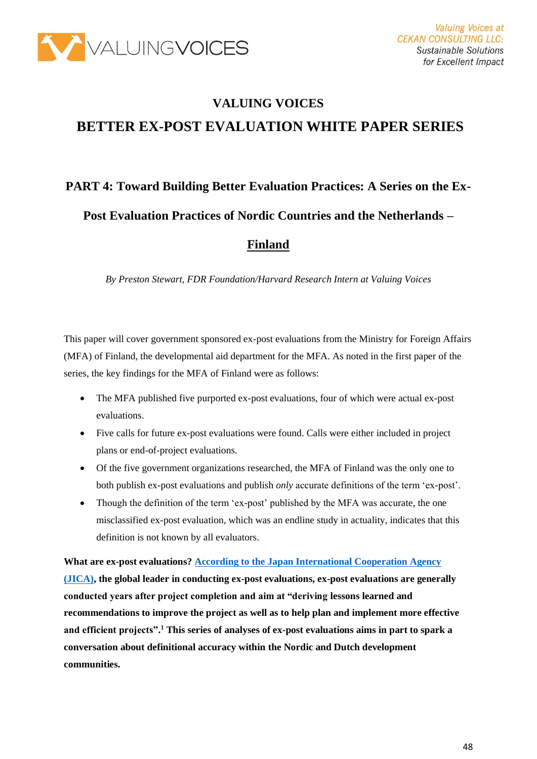

# **VALUING VOICES BETTER EX-POST EVALUATION WHITE PAPER SERIES**

# **PART 4: Toward Building Better Evaluation Practices: A Series on the Ex-**

**Post Evaluation Practices of Nordic Countries and the Netherlands –**

### **Finland**

*By Preston Stewart, FDR Foundation/Harvard Research Intern at Valuing Voices*

This paper will cover government sponsored ex-post evaluations from the Ministry for Foreign Affairs (MFA) of Finland, the developmental aid department for the MFA. As noted in the first paper of the series, the key findings for the MFA of Finland were as follows:

- The MFA published five purported ex-post evaluations, four of which were actual ex-post evaluations.
- Five calls for future ex-post evaluations were found. Calls were either included in project plans or end-of-project evaluations.
- Of the five government organizations researched, the MFA of Finland was the only one to both publish ex-post evaluations and publish *only* accurate definitions of the term 'ex-post'.
- Though the definition of the term 'ex-post' published by the MFA was accurate, the one misclassified ex-post evaluation, which was an endline study in actuality, indicates that this definition is not known by all evaluators.

**What are ex-post evaluations[? According to the Japan International Cooperation Agency](https://www.jica.go.jp/english/our_work/evaluation/tech_and_grant/project/ex_post/index.html)  [\(JICA\),](https://www.jica.go.jp/english/our_work/evaluation/tech_and_grant/project/ex_post/index.html) the global leader in conducting ex-post evaluations, ex-post evaluations are generally conducted years after project completion and aim at "deriving lessons learned and recommendations to improve the project as well as to help plan and implement more effective and efficient projects".<sup>1</sup> This series of analyses of ex-post evaluations aims in part to spark a conversation about definitional accuracy within the Nordic and Dutch development communities.**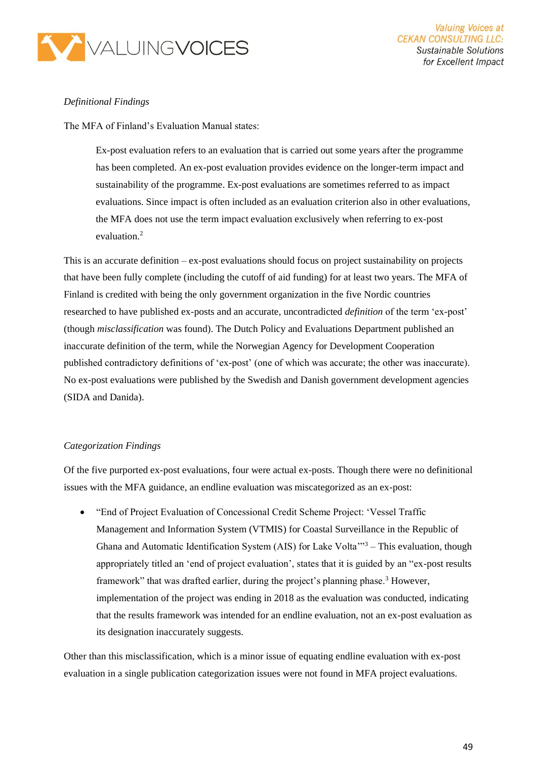

#### *Definitional Findings*

The MFA of Finland's Evaluation Manual states:

Ex-post evaluation refers to an evaluation that is carried out some years after the programme has been completed. An ex-post evaluation provides evidence on the longer-term impact and sustainability of the programme. Ex-post evaluations are sometimes referred to as impact evaluations. Since impact is often included as an evaluation criterion also in other evaluations, the MFA does not use the term impact evaluation exclusively when referring to ex-post evaluation<sup>2</sup>

This is an accurate definition – ex-post evaluations should focus on project sustainability on projects that have been fully complete (including the cutoff of aid funding) for at least two years. The MFA of Finland is credited with being the only government organization in the five Nordic countries researched to have published ex-posts and an accurate, uncontradicted *definition* of the term 'ex-post' (though *misclassification* was found). The Dutch Policy and Evaluations Department published an inaccurate definition of the term, while the Norwegian Agency for Development Cooperation published contradictory definitions of 'ex-post' (one of which was accurate; the other was inaccurate). No ex-post evaluations were published by the Swedish and Danish government development agencies (SIDA and Danida).

#### *Categorization Findings*

Of the five purported ex-post evaluations, four were actual ex-posts. Though there were no definitional issues with the MFA guidance, an endline evaluation was miscategorized as an ex-post:

• "End of Project Evaluation of Concessional Credit Scheme Project: 'Vessel Traffic Management and Information System (VTMIS) for Coastal Surveillance in the Republic of Ghana and Automatic Identification System (AIS) for Lake Volta<sup>''3</sup> – This evaluation, though appropriately titled an 'end of project evaluation', states that it is guided by an "ex-post results framework" that was drafted earlier, during the project's planning phase.<sup>3</sup> However, implementation of the project was ending in 2018 as the evaluation was conducted, indicating that the results framework was intended for an endline evaluation, not an ex-post evaluation as its designation inaccurately suggests.

Other than this misclassification, which is a minor issue of equating endline evaluation with ex-post evaluation in a single publication categorization issues were not found in MFA project evaluations.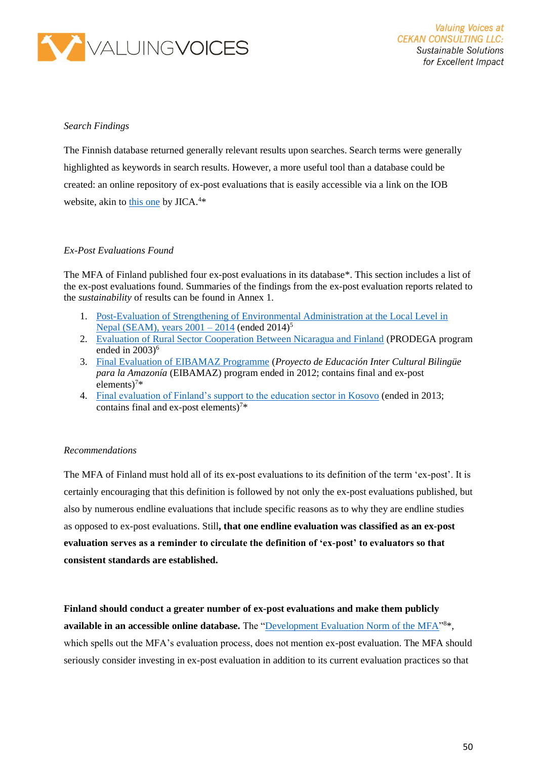

#### *Search Findings*

The Finnish database returned generally relevant results upon searches. Search terms were generally highlighted as keywords in search results. However, a more useful tool than a database could be created: an online repository of ex-post evaluations that is easily accessible via a link on the IOB website, akin to [this one](https://www.jica.go.jp/english/our_work/evaluation/oda_loan/post/index.html) by JICA.<sup>4\*</sup>

#### *Ex-Post Evaluations Found*

The MFA of Finland published four ex-post evaluations in its database\*. This section includes a list of the ex-post evaluations found. Summaries of the findings from the ex-post evaluation reports related to the *sustainability* of results can be found in Annex 1.

- 1. [Post-Evaluation of Strengthening of Environmental Administration at the Local Level in](https://um.fi/documents/384998/0/Nepal_SEAM_Post_evaluation%2BTOR_2016.pdf/03bc624c-2241-7fd0-2c03-0d9b3c68feda#search=%22ex+post%22)  Nepal (SEAM), years  $2001 - 2014$  (ended  $2014$ )<sup>5</sup>
- 2. [Evaluation of Rural Sector Cooperation Between Nicaragua and Finland](https://um.fi/documents/384998/385866/prodega_final_report/b4812a1d-5bc0-b467-3634-4fd13763cb8e?t=1528278516971) (PRODEGA program ended in 2003) 6
- 3. [Final Evaluation of EIBAMAZ Programme](https://um.fi/documents/384998/385866/synthesis_report__inclusive_education_in_finland_s_development_cooperation_in_2004_2013) (*Proyecto de Educación Inter Cultural Bilingüe para la Amazonía* (EIBAMAZ) program ended in 2012; contains final and ex-post elements)<sup>7\*</sup>
- 4. [Final evaluation of Finland's support to the education sector in Kosovo](https://um.fi/documents/384998/385866/synthesis_report__inclusive_education_in_finland_s_development_cooperation_in_2004_2013) (ended in 2013; contains final and ex-post elements)<sup>7\*</sup>

#### *Recommendations*

The MFA of Finland must hold all of its ex-post evaluations to its definition of the term 'ex-post'. It is certainly encouraging that this definition is followed by not only the ex-post evaluations published, but also by numerous endline evaluations that include specific reasons as to why they are endline studies as opposed to ex-post evaluations. Still**, that one endline evaluation was classified as an ex-post evaluation serves as a reminder to circulate the definition of 'ex-post' to evaluators so that consistent standards are established.**

**Finland should conduct a greater number of ex-post evaluations and make them publicly**  available in an accessible online database. The ["Development Evaluation Norm of the MFA"](https://um.fi/documents/35732/48132/development_evaluation_norm_2015/bd2579d5-ccb3-bb0f-540d-1db0513a3a76?t=1525690790183)<sup>8\*</sup>, which spells out the MFA's evaluation process, does not mention ex-post evaluation. The MFA should seriously consider investing in ex-post evaluation in addition to its current evaluation practices so that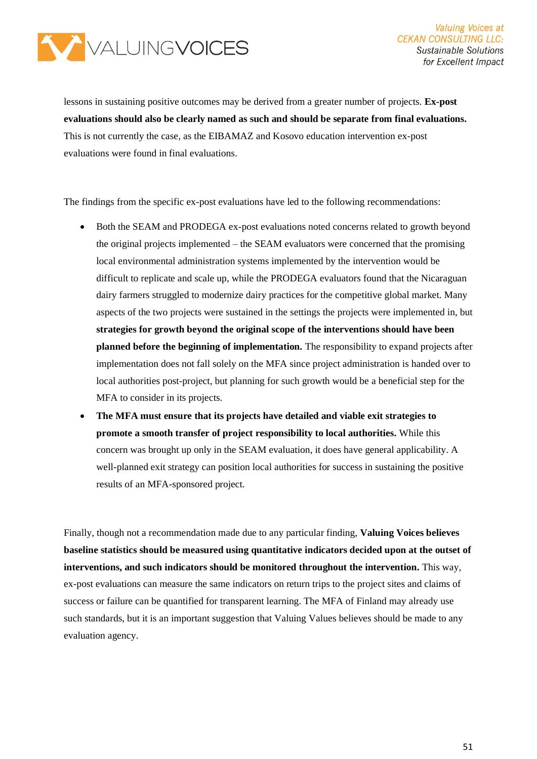

lessons in sustaining positive outcomes may be derived from a greater number of projects. **Ex-post evaluations should also be clearly named as such and should be separate from final evaluations.**  This is not currently the case, as the EIBAMAZ and Kosovo education intervention ex-post evaluations were found in final evaluations.

The findings from the specific ex-post evaluations have led to the following recommendations:

- Both the SEAM and PRODEGA ex-post evaluations noted concerns related to growth beyond the original projects implemented – the SEAM evaluators were concerned that the promising local environmental administration systems implemented by the intervention would be difficult to replicate and scale up, while the PRODEGA evaluators found that the Nicaraguan dairy farmers struggled to modernize dairy practices for the competitive global market. Many aspects of the two projects were sustained in the settings the projects were implemented in, but **strategies for growth beyond the original scope of the interventions should have been planned before the beginning of implementation.** The responsibility to expand projects after implementation does not fall solely on the MFA since project administration is handed over to local authorities post-project, but planning for such growth would be a beneficial step for the MFA to consider in its projects.
- **The MFA must ensure that its projects have detailed and viable exit strategies to promote a smooth transfer of project responsibility to local authorities.** While this concern was brought up only in the SEAM evaluation, it does have general applicability. A well-planned exit strategy can position local authorities for success in sustaining the positive results of an MFA-sponsored project.

Finally, though not a recommendation made due to any particular finding, **Valuing Voices believes baseline statistics should be measured using quantitative indicators decided upon at the outset of interventions, and such indicators should be monitored throughout the intervention.** This way, ex-post evaluations can measure the same indicators on return trips to the project sites and claims of success or failure can be quantified for transparent learning. The MFA of Finland may already use such standards, but it is an important suggestion that Valuing Values believes should be made to any evaluation agency.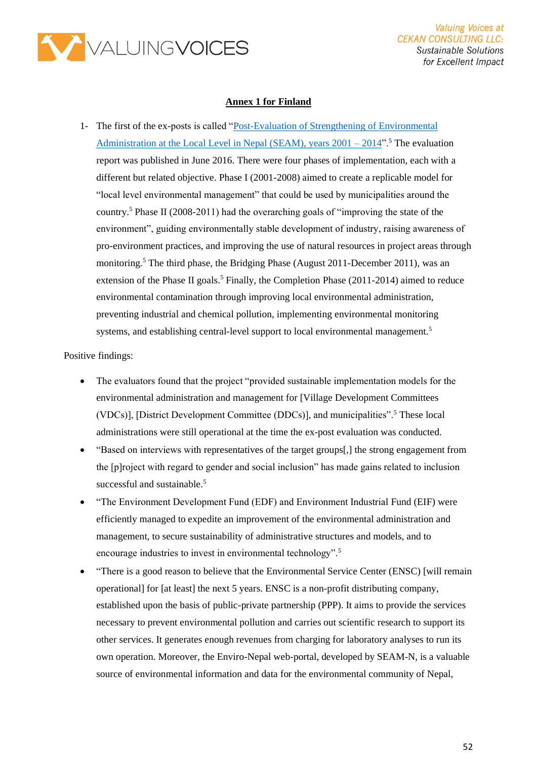

#### **Annex 1 for Finland**

1- The first of the ex-posts is called ["Post-Evaluation of Strengthening of Environmental](https://um.fi/documents/384998/0/Nepal_SEAM_Post_evaluation%2BTOR_2016.pdf/03bc624c-2241-7fd0-2c03-0d9b3c68feda#search=%22ex+post%22)  Administration at the Local Level in Nepal (SEAM), years  $2001 - 2014$ ".<sup>5</sup> The evaluation report was published in June 2016. There were four phases of implementation, each with a different but related objective. Phase I (2001-2008) aimed to create a replicable model for "local level environmental management" that could be used by municipalities around the country.<sup>5</sup> Phase II (2008-2011) had the overarching goals of "improving the state of the environment", guiding environmentally stable development of industry, raising awareness of pro-environment practices, and improving the use of natural resources in project areas through monitoring.<sup>5</sup> The third phase, the Bridging Phase (August 2011-December 2011), was an extension of the Phase II goals.<sup>5</sup> Finally, the Completion Phase (2011-2014) aimed to reduce environmental contamination through improving local environmental administration, preventing industrial and chemical pollution, implementing environmental monitoring systems, and establishing central-level support to local environmental management.<sup>5</sup>

#### Positive findings:

- The evaluators found that the project "provided sustainable implementation models for the environmental administration and management for [Village Development Committees (VDCs)], [District Development Committee (DDCs)], and municipalities".<sup>5</sup> These local administrations were still operational at the time the ex-post evaluation was conducted.
- "Based on interviews with representatives of the target groups[,] the strong engagement from the [p]roject with regard to gender and social inclusion" has made gains related to inclusion successful and sustainable.<sup>5</sup>
- "The Environment Development Fund (EDF) and Environment Industrial Fund (EIF) were efficiently managed to expedite an improvement of the environmental administration and management, to secure sustainability of administrative structures and models, and to encourage industries to invest in environmental technology".<sup>5</sup>
- "There is a good reason to believe that the Environmental Service Center (ENSC) [will remain operational] for [at least] the next 5 years. ENSC is a non-profit distributing company, established upon the basis of public-private partnership (PPP). It aims to provide the services necessary to prevent environmental pollution and carries out scientific research to support its other services. It generates enough revenues from charging for laboratory analyses to run its own operation. Moreover, the Enviro-Nepal web-portal, developed by SEAM-N, is a valuable source of environmental information and data for the environmental community of Nepal,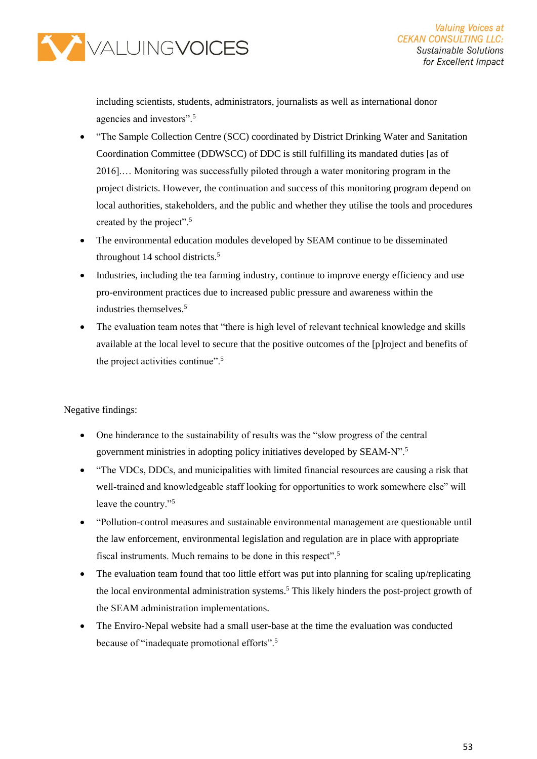

including scientists, students, administrators, journalists as well as international donor agencies and investors".<sup>5</sup>

- "The Sample Collection Centre (SCC) coordinated by District Drinking Water and Sanitation Coordination Committee (DDWSCC) of DDC is still fulfilling its mandated duties [as of 2016].… Monitoring was successfully piloted through a water monitoring program in the project districts. However, the continuation and success of this monitoring program depend on local authorities, stakeholders, and the public and whether they utilise the tools and procedures created by the project".<sup>5</sup>
- The environmental education modules developed by SEAM continue to be disseminated throughout 14 school districts.<sup>5</sup>
- Industries, including the tea farming industry, continue to improve energy efficiency and use pro-environment practices due to increased public pressure and awareness within the industries themselves.<sup>5</sup>
- The evaluation team notes that "there is high level of relevant technical knowledge and skills available at the local level to secure that the positive outcomes of the [p]roject and benefits of the project activities continue".<sup>5</sup>

Negative findings:

- One hinderance to the sustainability of results was the "slow progress of the central government ministries in adopting policy initiatives developed by SEAM-N".<sup>5</sup>
- "The VDCs, DDCs, and municipalities with limited financial resources are causing a risk that well-trained and knowledgeable staff looking for opportunities to work somewhere else" will leave the country."<sup>5</sup>
- "Pollution-control measures and sustainable environmental management are questionable until the law enforcement, environmental legislation and regulation are in place with appropriate fiscal instruments. Much remains to be done in this respect".<sup>5</sup>
- The evaluation team found that too little effort was put into planning for scaling up/replicating the local environmental administration systems.<sup>5</sup> This likely hinders the post-project growth of the SEAM administration implementations.
- The Enviro-Nepal website had a small user-base at the time the evaluation was conducted because of "inadequate promotional efforts".<sup>5</sup>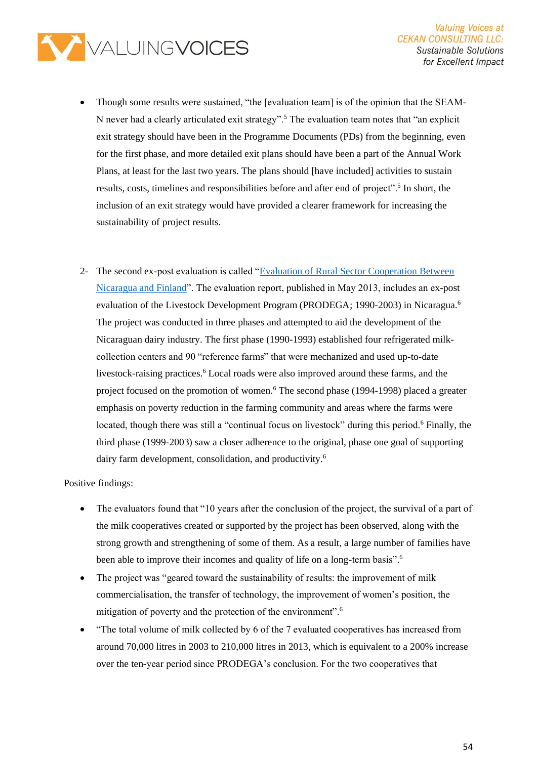

- Though some results were sustained, "the [evaluation team] is of the opinion that the SEAM-N never had a clearly articulated exit strategy".<sup>5</sup> The evaluation team notes that "an explicit exit strategy should have been in the Programme Documents (PDs) from the beginning, even for the first phase, and more detailed exit plans should have been a part of the Annual Work Plans, at least for the last two years. The plans should [have included] activities to sustain results, costs, timelines and responsibilities before and after end of project".<sup>5</sup> In short, the inclusion of an exit strategy would have provided a clearer framework for increasing the sustainability of project results.
- 2- The second ex-post evaluation is called ["Evaluation of Rural Sector Cooperation Between](https://um.fi/documents/384998/385866/prodega_final_report/b4812a1d-5bc0-b467-3634-4fd13763cb8e?t=1528278516971)  [Nicaragua and Finland"](https://um.fi/documents/384998/385866/prodega_final_report/b4812a1d-5bc0-b467-3634-4fd13763cb8e?t=1528278516971). The evaluation report, published in May 2013, includes an ex-post evaluation of the Livestock Development Program (PRODEGA; 1990-2003) in Nicaragua.<sup>6</sup> The project was conducted in three phases and attempted to aid the development of the Nicaraguan dairy industry. The first phase (1990-1993) established four refrigerated milkcollection centers and 90 "reference farms" that were mechanized and used up-to-date livestock-raising practices.<sup>6</sup> Local roads were also improved around these farms, and the project focused on the promotion of women.<sup>6</sup> The second phase (1994-1998) placed a greater emphasis on poverty reduction in the farming community and areas where the farms were located, though there was still a "continual focus on livestock" during this period.<sup>6</sup> Finally, the third phase (1999-2003) saw a closer adherence to the original, phase one goal of supporting dairy farm development, consolidation, and productivity.<sup>6</sup>

Positive findings:

- The evaluators found that "10 years after the conclusion of the project, the survival of a part of the milk cooperatives created or supported by the project has been observed, along with the strong growth and strengthening of some of them. As a result, a large number of families have been able to improve their incomes and quality of life on a long-term basis".<sup>6</sup>
- The project was "geared toward the sustainability of results: the improvement of milk commercialisation, the transfer of technology, the improvement of women's position, the mitigation of poverty and the protection of the environment".<sup>6</sup>
- "The total volume of milk collected by 6 of the 7 evaluated cooperatives has increased from around 70,000 litres in 2003 to 210,000 litres in 2013, which is equivalent to a 200% increase over the ten-year period since PRODEGA's conclusion. For the two cooperatives that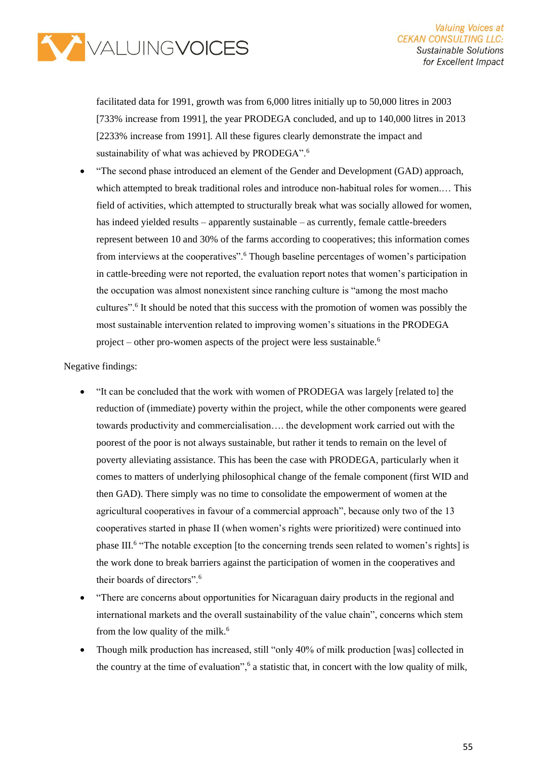

facilitated data for 1991, growth was from 6,000 litres initially up to 50,000 litres in 2003 [733% increase from 1991], the year PRODEGA concluded, and up to 140,000 litres in 2013 [2233% increase from 1991]. All these figures clearly demonstrate the impact and sustainability of what was achieved by PRODEGA".<sup>6</sup>

• "The second phase introduced an element of the Gender and Development (GAD) approach, which attempted to break traditional roles and introduce non-habitual roles for women.… This field of activities, which attempted to structurally break what was socially allowed for women, has indeed yielded results – apparently sustainable – as currently, female cattle-breeders represent between 10 and 30% of the farms according to cooperatives; this information comes from interviews at the cooperatives".<sup>6</sup> Though baseline percentages of women's participation in cattle-breeding were not reported, the evaluation report notes that women's participation in the occupation was almost nonexistent since ranching culture is "among the most macho cultures".<sup>6</sup> It should be noted that this success with the promotion of women was possibly the most sustainable intervention related to improving women's situations in the PRODEGA project – other pro-women aspects of the project were less sustainable.<sup>6</sup>

#### Negative findings:

- "It can be concluded that the work with women of PRODEGA was largely [related to] the reduction of (immediate) poverty within the project, while the other components were geared towards productivity and commercialisation…. the development work carried out with the poorest of the poor is not always sustainable, but rather it tends to remain on the level of poverty alleviating assistance. This has been the case with PRODEGA, particularly when it comes to matters of underlying philosophical change of the female component (first WID and then GAD). There simply was no time to consolidate the empowerment of women at the agricultural cooperatives in favour of a commercial approach", because only two of the 13 cooperatives started in phase II (when women's rights were prioritized) were continued into phase III.<sup>6</sup> "The notable exception [to the concerning trends seen related to women's rights] is the work done to break barriers against the participation of women in the cooperatives and their boards of directors".<sup>6</sup>
- "There are concerns about opportunities for Nicaraguan dairy products in the regional and international markets and the overall sustainability of the value chain", concerns which stem from the low quality of the milk.<sup>6</sup>
- Though milk production has increased, still "only 40% of milk production [was] collected in the country at the time of evaluation",<sup>6</sup> a statistic that, in concert with the low quality of milk,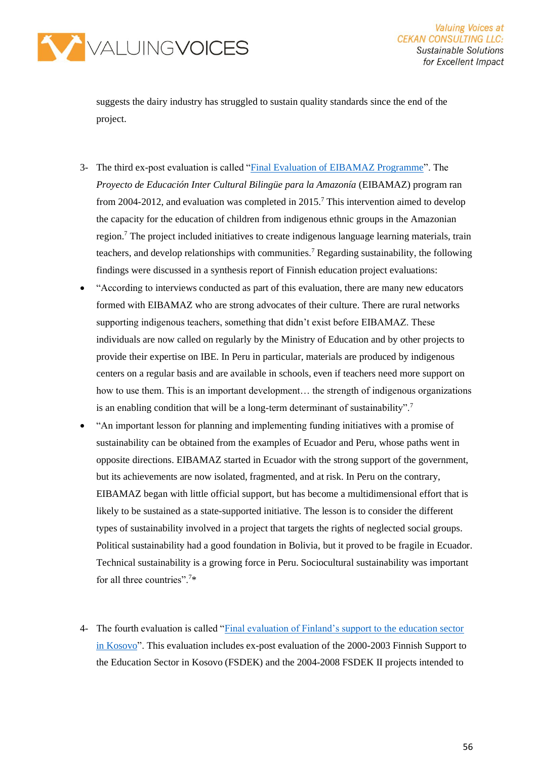

suggests the dairy industry has struggled to sustain quality standards since the end of the project.

- 3- The third ex-post evaluation is called ["Final Evaluation of EIBAMAZ Programme"](https://um.fi/documents/384998/385866/synthesis_report__inclusive_education_in_finland_s_development_cooperation_in_2004_2013). The *Proyecto de Educación Inter Cultural Bilingüe para la Amazonía* (EIBAMAZ) program ran from 2004-2012, and evaluation was completed in 2015.<sup>7</sup> This intervention aimed to develop the capacity for the education of children from indigenous ethnic groups in the Amazonian region.<sup>7</sup> The project included initiatives to create indigenous language learning materials, train teachers, and develop relationships with communities.<sup>7</sup> Regarding sustainability, the following findings were discussed in a synthesis report of Finnish education project evaluations:
- "According to interviews conducted as part of this evaluation, there are many new educators formed with EIBAMAZ who are strong advocates of their culture. There are rural networks supporting indigenous teachers, something that didn't exist before EIBAMAZ. These individuals are now called on regularly by the Ministry of Education and by other projects to provide their expertise on IBE. In Peru in particular, materials are produced by indigenous centers on a regular basis and are available in schools, even if teachers need more support on how to use them. This is an important development... the strength of indigenous organizations is an enabling condition that will be a long-term determinant of sustainability".<sup>7</sup>
- "An important lesson for planning and implementing funding initiatives with a promise of sustainability can be obtained from the examples of Ecuador and Peru, whose paths went in opposite directions. EIBAMAZ started in Ecuador with the strong support of the government, but its achievements are now isolated, fragmented, and at risk. In Peru on the contrary, EIBAMAZ began with little official support, but has become a multidimensional effort that is likely to be sustained as a state-supported initiative. The lesson is to consider the different types of sustainability involved in a project that targets the rights of neglected social groups. Political sustainability had a good foundation in Bolivia, but it proved to be fragile in Ecuador. Technical sustainability is a growing force in Peru. Sociocultural sustainability was important for all three countries".<sup>7</sup>\*
- 4- The fourth evaluation is called ["Final evaluation of Finland's support to the education sector](https://um.fi/documents/384998/385866/synthesis_report__inclusive_education_in_finland_s_development_cooperation_in_2004_2013)  [in Kosovo"](https://um.fi/documents/384998/385866/synthesis_report__inclusive_education_in_finland_s_development_cooperation_in_2004_2013). This evaluation includes ex-post evaluation of the 2000-2003 Finnish Support to the Education Sector in Kosovo (FSDEK) and the 2004-2008 FSDEK II projects intended to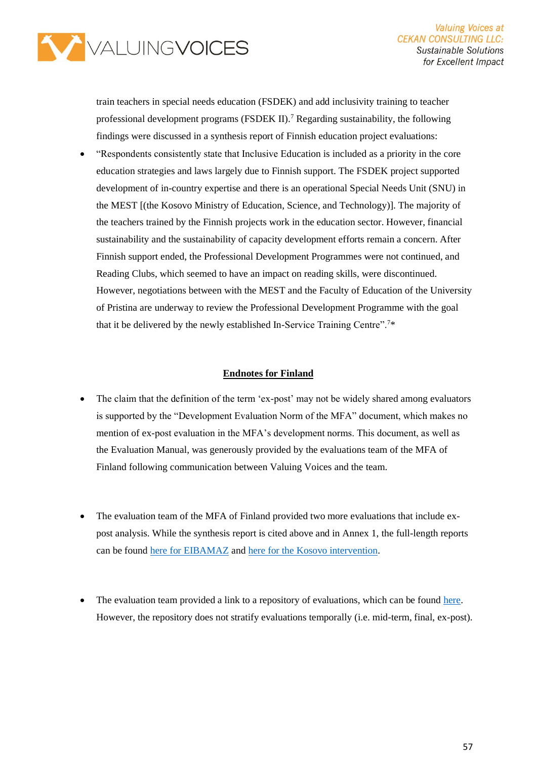

train teachers in special needs education (FSDEK) and add inclusivity training to teacher professional development programs (FSDEK II).<sup>7</sup> Regarding sustainability, the following findings were discussed in a synthesis report of Finnish education project evaluations:

• "Respondents consistently state that Inclusive Education is included as a priority in the core education strategies and laws largely due to Finnish support. The FSDEK project supported development of in-country expertise and there is an operational Special Needs Unit (SNU) in the MEST [(the Kosovo Ministry of Education, Science, and Technology)]. The majority of the teachers trained by the Finnish projects work in the education sector. However, financial sustainability and the sustainability of capacity development efforts remain a concern. After Finnish support ended, the Professional Development Programmes were not continued, and Reading Clubs, which seemed to have an impact on reading skills, were discontinued. However, negotiations between with the MEST and the Faculty of Education of the University of Pristina are underway to review the Professional Development Programme with the goal that it be delivered by the newly established In-Service Training Centre".<sup>7</sup>\*

#### **Endnotes for Finland**

- The claim that the definition of the term 'ex-post' may not be widely shared among evaluators is supported by the "Development Evaluation Norm of the MFA" document, which makes no mention of ex-post evaluation in the MFA's development norms. This document, as well as the Evaluation Manual, was generously provided by the evaluations team of the MFA of Finland following communication between Valuing Voices and the team.
- The evaluation team of the MFA of Finland provided two more evaluations that include expost analysis. While the synthesis report is cited above and in Annex 1, the full-length reports can be found [here for EIBAMAZ](https://um.fi/documents/384998/385866/case_study__final_evaluation_of_eibamaz_programme/a7f797f3-2fa0-5fe3-c206-d6d679d60c4d?t=1528280740353) and [here for the Kosovo intervention.](https://um.fi/documents/384998/385866/case_study__final_evaluation_of_finland_s_support_to_the_education/620d0c81-128b-9f63-ad31-fa45ac88bf9f?t=1528280739684)
- The evaluation team provided a link to a repository of evaluations, which can be found [here.](https://um.fi/development-cooperation-evaluation-reports-project-and-programme-evaluations) However, the repository does not stratify evaluations temporally (i.e. mid-term, final, ex-post).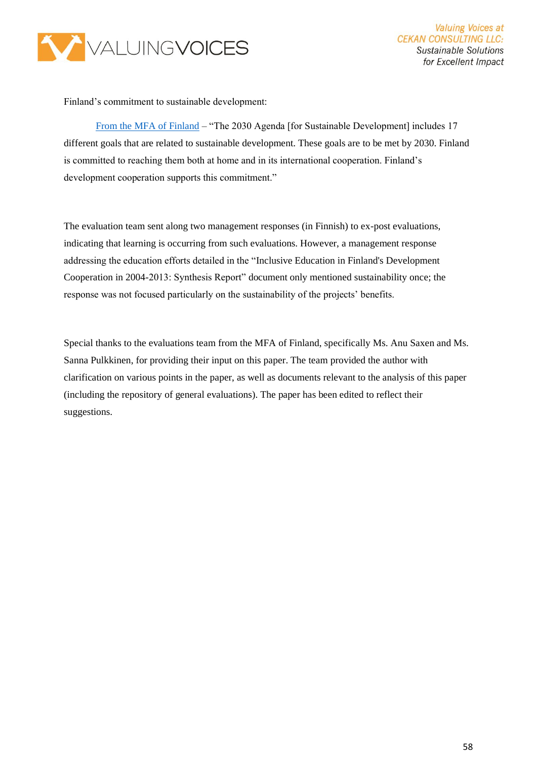

Finland's commitment to sustainable development:

[From the MFA of Finland](https://um.fi/agenda-2030-sustainable-development-goals) – "The 2030 Agenda [for Sustainable Development] includes 17 different goals that are related to sustainable development. These goals are to be met by 2030. Finland is committed to reaching them both at home and in its international cooperation. Finland's development cooperation supports this commitment."

The evaluation team sent along two management responses (in Finnish) to ex-post evaluations, indicating that learning is occurring from such evaluations. However, a management response addressing the education efforts detailed in the "Inclusive Education in Finland's Development Cooperation in 2004-2013: Synthesis Report" document only mentioned sustainability once; the response was not focused particularly on the sustainability of the projects' benefits.

Special thanks to the evaluations team from the MFA of Finland, specifically Ms. Anu Saxen and Ms. Sanna Pulkkinen, for providing their input on this paper. The team provided the author with clarification on various points in the paper, as well as documents relevant to the analysis of this paper (including the repository of general evaluations). The paper has been edited to reflect their suggestions.